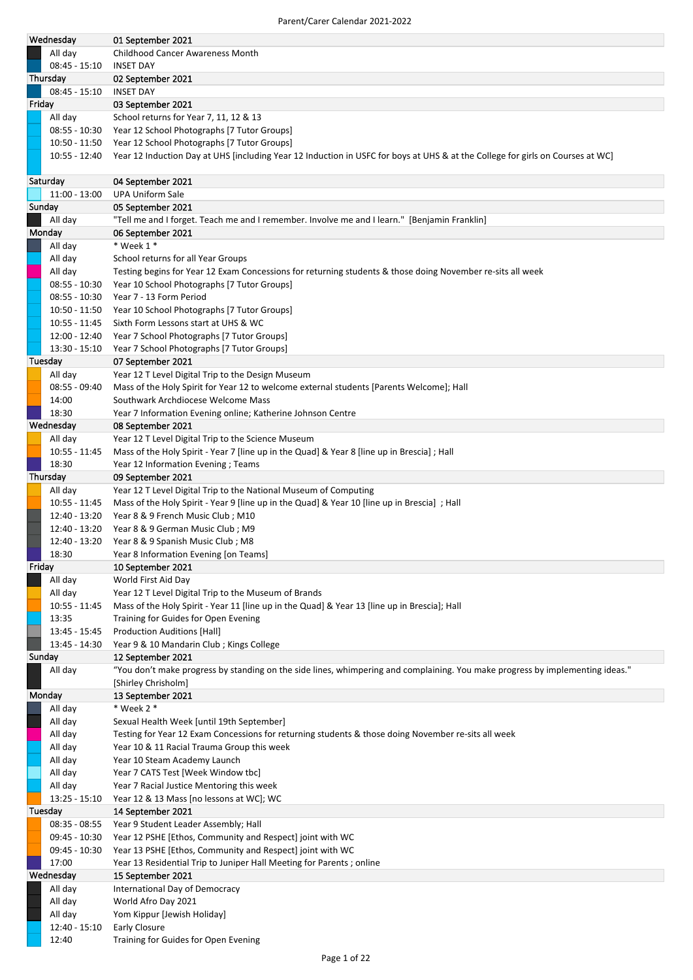| Wednesday              | 01 September 2021                                                                                                              |
|------------------------|--------------------------------------------------------------------------------------------------------------------------------|
| All day                | Childhood Cancer Awareness Month                                                                                               |
| $08:45 - 15:10$        | <b>INSET DAY</b>                                                                                                               |
| Thursday               | 02 September 2021                                                                                                              |
| $08:45 - 15:10$        | INSET DAY                                                                                                                      |
| Friday                 | 03 September 2021                                                                                                              |
| All day                | School returns for Year 7, 11, 12 & 13                                                                                         |
| $08:55 - 10:30$        | Year 12 School Photographs [7 Tutor Groups]                                                                                    |
| 10:50 - 11:50          | Year 12 School Photographs [7 Tutor Groups]                                                                                    |
|                        | Year 12 Induction Day at UHS [including Year 12 Induction in USFC for boys at UHS & at the College for girls on Courses at WC] |
| 10:55 - 12:40          |                                                                                                                                |
|                        |                                                                                                                                |
| Saturday               | 04 September 2021                                                                                                              |
| 11:00 - 13:00          | <b>UPA Uniform Sale</b>                                                                                                        |
| Sunday                 | 05 September 2021                                                                                                              |
| All day                | "Tell me and I forget. Teach me and I remember. Involve me and I learn." [Benjamin Franklin]                                   |
| Monday                 | 06 September 2021                                                                                                              |
| All day                | $*$ Week 1 $*$                                                                                                                 |
| All day                | School returns for all Year Groups                                                                                             |
| All day                | Testing begins for Year 12 Exam Concessions for returning students & those doing November re-sits all week                     |
| $08:55 - 10:30$        | Year 10 School Photographs [7 Tutor Groups]                                                                                    |
| $08:55 - 10:30$        | Year 7 - 13 Form Period                                                                                                        |
| 10:50 - 11:50          | Year 10 School Photographs [7 Tutor Groups]                                                                                    |
| $10:55 - 11:45$        | Sixth Form Lessons start at UHS & WC                                                                                           |
| 12:00 - 12:40          | Year 7 School Photographs [7 Tutor Groups]                                                                                     |
| $13:30 - 15:10$        | Year 7 School Photographs [7 Tutor Groups]                                                                                     |
| Tuesday                | 07 September 2021                                                                                                              |
| All day                | Year 12 T Level Digital Trip to the Design Museum                                                                              |
| $08:55 - 09:40$        | Mass of the Holy Spirit for Year 12 to welcome external students [Parents Welcome]; Hall                                       |
| 14:00                  | Southwark Archdiocese Welcome Mass                                                                                             |
| 18:30                  |                                                                                                                                |
|                        | Year 7 Information Evening online; Katherine Johnson Centre                                                                    |
| Wednesday              | 08 September 2021                                                                                                              |
| All day                | Year 12 T Level Digital Trip to the Science Museum                                                                             |
| $10:55 - 11:45$        | Mass of the Holy Spirit - Year 7 [line up in the Quad] & Year 8 [line up in Brescia]; Hall                                     |
| 18:30                  | Year 12 Information Evening ; Teams                                                                                            |
| Thursday               | 09 September 2021                                                                                                              |
| All day                | Year 12 T Level Digital Trip to the National Museum of Computing                                                               |
| 10:55 - 11:45          | Mass of the Holy Spirit - Year 9 [line up in the Quad] & Year 10 [line up in Brescia]; Hall                                    |
| 12:40 - 13:20          | Year 8 & 9 French Music Club; M10                                                                                              |
| 12:40 - 13:20          | Year 8 & 9 German Music Club; M9                                                                                               |
| 12:40 - 13:20          | Year 8 & 9 Spanish Music Club; M8                                                                                              |
| 18:30                  | Year 8 Information Evening [on Teams]                                                                                          |
| Friday                 | 10 September 2021                                                                                                              |
| All day                | World First Aid Day                                                                                                            |
| All day                | Year 12 T Level Digital Trip to the Museum of Brands                                                                           |
| $10:55 - 11:45$        | Mass of the Holy Spirit - Year 11 [line up in the Quad] & Year 13 [line up in Brescia]; Hall                                   |
| 13:35                  | Training for Guides for Open Evening                                                                                           |
| $13:45 - 15:45$        | <b>Production Auditions [Hall]</b>                                                                                             |
| 13:45 - 14:30          | Year 9 & 10 Mandarin Club; Kings College                                                                                       |
| Sunday                 | 12 September 2021                                                                                                              |
| All day                | "You don't make progress by standing on the side lines, whimpering and complaining. You make progress by implementing ideas."  |
|                        | [Shirley Chrisholm]                                                                                                            |
| Monday                 | 13 September 2021                                                                                                              |
| All day                | $*$ Week 2 $*$                                                                                                                 |
| All day                | Sexual Health Week [until 19th September]                                                                                      |
| All day                | Testing for Year 12 Exam Concessions for returning students & those doing November re-sits all week                            |
| All day                | Year 10 & 11 Racial Trauma Group this week                                                                                     |
| All day                | Year 10 Steam Academy Launch                                                                                                   |
| All day                | Year 7 CATS Test [Week Window tbc]                                                                                             |
| All day                | Year 7 Racial Justice Mentoring this week                                                                                      |
| $13:25 - 15:10$        | Year 12 & 13 Mass [no lessons at WC]; WC                                                                                       |
| Tuesday                | 14 September 2021                                                                                                              |
| $08:35 - 08:55$        | Year 9 Student Leader Assembly; Hall                                                                                           |
| 09:45 - 10:30          | Year 12 PSHE [Ethos, Community and Respect] joint with WC                                                                      |
|                        |                                                                                                                                |
| 09:45 - 10:30<br>17:00 | Year 13 PSHE [Ethos, Community and Respect] joint with WC                                                                      |
|                        | Year 13 Residential Trip to Juniper Hall Meeting for Parents; online                                                           |
|                        |                                                                                                                                |
| Wednesday              | 15 September 2021                                                                                                              |
| All day                | International Day of Democracy                                                                                                 |
| All day                | World Afro Day 2021                                                                                                            |
| All day                | Yom Kippur [Jewish Holiday]                                                                                                    |
| 12:40 - 15:10<br>12:40 | <b>Early Closure</b><br>Training for Guides for Open Evening                                                                   |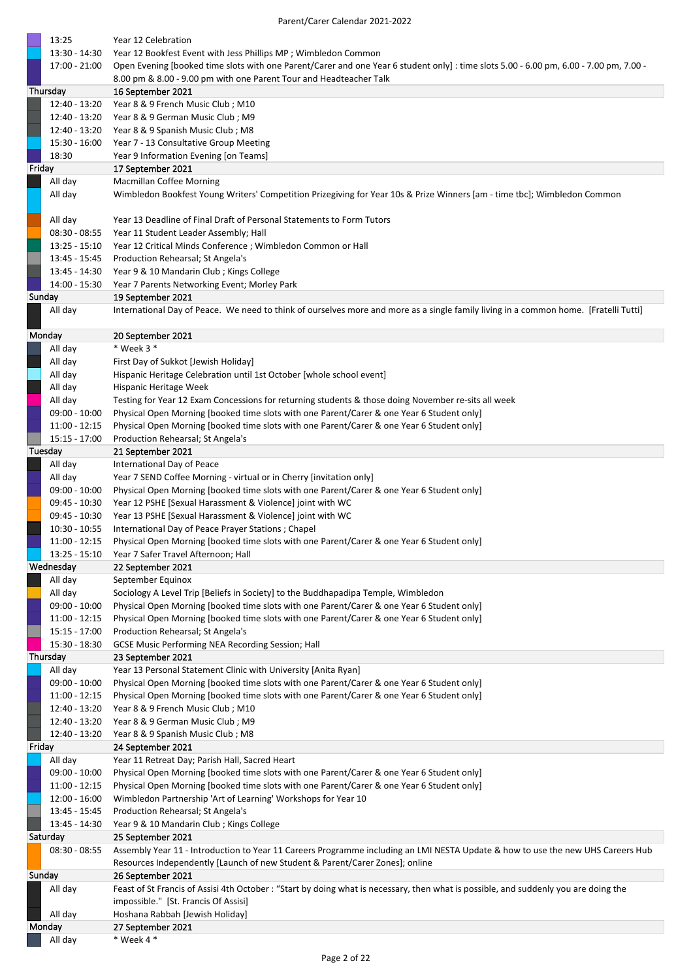|        | 13:25                            | Year 12 Celebration                                                                                                                                                                              |
|--------|----------------------------------|--------------------------------------------------------------------------------------------------------------------------------------------------------------------------------------------------|
|        | 13:30 - 14:30                    | Year 12 Bookfest Event with Jess Phillips MP; Wimbledon Common                                                                                                                                   |
|        | 17:00 - 21:00                    | Open Evening [booked time slots with one Parent/Carer and one Year 6 student only]: time slots 5.00 - 6.00 pm, 6.00 - 7.00 pm, 7.00 -                                                            |
|        | Thursday                         | 8.00 pm & 8.00 - 9.00 pm with one Parent Tour and Headteacher Talk                                                                                                                               |
|        | 12:40 - 13:20                    | 16 September 2021<br>Year 8 & 9 French Music Club; M10                                                                                                                                           |
|        | 12:40 - 13:20                    | Year 8 & 9 German Music Club; M9                                                                                                                                                                 |
|        | 12:40 - 13:20                    | Year 8 & 9 Spanish Music Club; M8                                                                                                                                                                |
|        | 15:30 - 16:00                    | Year 7 - 13 Consultative Group Meeting                                                                                                                                                           |
|        | 18:30                            | Year 9 Information Evening [on Teams]                                                                                                                                                            |
| Friday |                                  | 17 September 2021                                                                                                                                                                                |
|        | All day                          | <b>Macmillan Coffee Morning</b><br>Wimbledon Bookfest Young Writers' Competition Prizegiving for Year 10s & Prize Winners [am - time tbc]; Wimbledon Common                                      |
|        | All day                          |                                                                                                                                                                                                  |
|        | All day                          | Year 13 Deadline of Final Draft of Personal Statements to Form Tutors                                                                                                                            |
|        | $08:30 - 08:55$                  | Year 11 Student Leader Assembly; Hall                                                                                                                                                            |
|        | $13:25 - 15:10$                  | Year 12 Critical Minds Conference ; Wimbledon Common or Hall                                                                                                                                     |
|        | 13:45 - 15:45                    | Production Rehearsal; St Angela's                                                                                                                                                                |
|        | 13:45 - 14:30                    | Year 9 & 10 Mandarin Club; Kings College                                                                                                                                                         |
|        | 14:00 - 15:30                    | Year 7 Parents Networking Event; Morley Park                                                                                                                                                     |
| Sunday | All day                          | 19 September 2021<br>International Day of Peace. We need to think of ourselves more and more as a single family living in a common home. [Fratelli Tutti]                                        |
|        |                                  |                                                                                                                                                                                                  |
|        | Monday                           | 20 September 2021                                                                                                                                                                                |
|        | All day                          | $*$ Week 3 $*$                                                                                                                                                                                   |
|        | All day                          | First Day of Sukkot [Jewish Holiday]                                                                                                                                                             |
|        | All day                          | Hispanic Heritage Celebration until 1st October [whole school event]                                                                                                                             |
|        | All day                          | Hispanic Heritage Week                                                                                                                                                                           |
|        | All day<br>$09:00 - 10:00$       | Testing for Year 12 Exam Concessions for returning students & those doing November re-sits all week<br>Physical Open Morning [booked time slots with one Parent/Carer & one Year 6 Student only] |
|        | $11:00 - 12:15$                  | Physical Open Morning [booked time slots with one Parent/Carer & one Year 6 Student only]                                                                                                        |
|        | $15:15 - 17:00$                  | Production Rehearsal; St Angela's                                                                                                                                                                |
|        | Tuesday                          | 21 September 2021                                                                                                                                                                                |
|        | All day                          | International Day of Peace                                                                                                                                                                       |
|        | All day                          | Year 7 SEND Coffee Morning - virtual or in Cherry [invitation only]                                                                                                                              |
|        | 09:00 - 10:00                    | Physical Open Morning [booked time slots with one Parent/Carer & one Year 6 Student only]                                                                                                        |
|        | 09:45 - 10:30<br>09:45 - 10:30   | Year 12 PSHE [Sexual Harassment & Violence] joint with WC<br>Year 13 PSHE [Sexual Harassment & Violence] joint with WC                                                                           |
|        | $10:30 - 10:55$                  | International Day of Peace Prayer Stations ; Chapel                                                                                                                                              |
|        | 11:00 - 12:15                    | Physical Open Morning [booked time slots with one Parent/Carer & one Year 6 Student only]                                                                                                        |
|        | 13:25 - 15:10                    | Year 7 Safer Travel Afternoon; Hall                                                                                                                                                              |
|        | Wednesday                        | 22 September 2021                                                                                                                                                                                |
|        | All day                          | September Equinox                                                                                                                                                                                |
|        | All day                          | Sociology A Level Trip [Beliefs in Society] to the Buddhapadipa Temple, Wimbledon                                                                                                                |
|        | $09:00 - 10:00$<br>11:00 - 12:15 | Physical Open Morning [booked time slots with one Parent/Carer & one Year 6 Student only]<br>Physical Open Morning [booked time slots with one Parent/Carer & one Year 6 Student only]           |
|        | 15:15 - 17:00                    | Production Rehearsal; St Angela's                                                                                                                                                                |
|        | 15:30 - 18:30                    | GCSE Music Performing NEA Recording Session; Hall                                                                                                                                                |
|        | Thursday                         | 23 September 2021                                                                                                                                                                                |
|        | All day                          | Year 13 Personal Statement Clinic with University [Anita Ryan]                                                                                                                                   |
|        | $09:00 - 10:00$                  | Physical Open Morning [booked time slots with one Parent/Carer & one Year 6 Student only]                                                                                                        |
|        | 11:00 - 12:15                    | Physical Open Morning [booked time slots with one Parent/Carer & one Year 6 Student only]                                                                                                        |
|        | 12:40 - 13:20<br>12:40 - 13:20   | Year 8 & 9 French Music Club; M10<br>Year 8 & 9 German Music Club; M9                                                                                                                            |
|        | 12:40 - 13:20                    | Year 8 & 9 Spanish Music Club; M8                                                                                                                                                                |
| Friday |                                  | 24 September 2021                                                                                                                                                                                |
|        | All day                          | Year 11 Retreat Day; Parish Hall, Sacred Heart                                                                                                                                                   |
|        | $09:00 - 10:00$                  | Physical Open Morning [booked time slots with one Parent/Carer & one Year 6 Student only]                                                                                                        |
|        | 11:00 - 12:15                    | Physical Open Morning [booked time slots with one Parent/Carer & one Year 6 Student only]                                                                                                        |
|        | $12:00 - 16:00$<br>13:45 - 15:45 | Wimbledon Partnership 'Art of Learning' Workshops for Year 10<br>Production Rehearsal; St Angela's                                                                                               |
|        | 13:45 - 14:30                    | Year 9 & 10 Mandarin Club; Kings College                                                                                                                                                         |
|        | Saturday                         | 25 September 2021                                                                                                                                                                                |
|        | $08:30 - 08:55$                  | Assembly Year 11 - Introduction to Year 11 Careers Programme including an LMI NESTA Update & how to use the new UHS Careers Hub                                                                  |
|        |                                  | Resources Independently [Launch of new Student & Parent/Carer Zones]; online                                                                                                                     |
| Sunday |                                  | 26 September 2021                                                                                                                                                                                |
|        | All day                          | Feast of St Francis of Assisi 4th October: "Start by doing what is necessary, then what is possible, and suddenly you are doing the                                                              |
|        | All day                          | impossible." [St. Francis Of Assisi]<br>Hoshana Rabbah [Jewish Holiday]                                                                                                                          |
|        | Monday                           | 27 September 2021                                                                                                                                                                                |
|        | All day                          | * Week 4 *                                                                                                                                                                                       |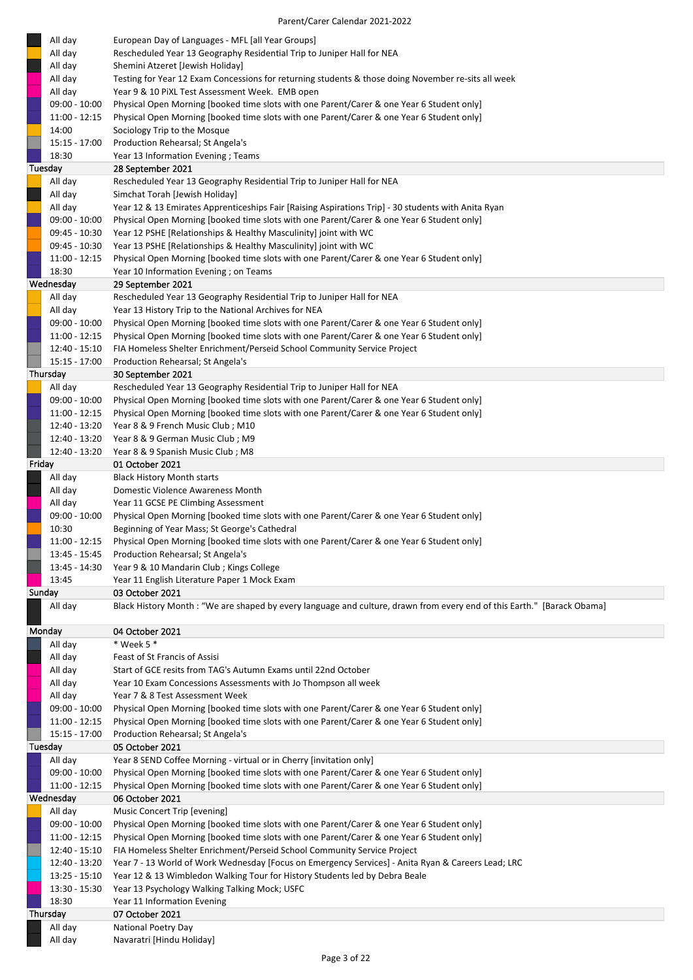| All day            | European Day of Languages - MFL [all Year Groups]                                                                       |
|--------------------|-------------------------------------------------------------------------------------------------------------------------|
| All day            | Rescheduled Year 13 Geography Residential Trip to Juniper Hall for NEA                                                  |
| All day            | Shemini Atzeret [Jewish Holiday]                                                                                        |
| All day            | Testing for Year 12 Exam Concessions for returning students & those doing November re-sits all week                     |
| All day            | Year 9 & 10 PiXL Test Assessment Week. EMB open                                                                         |
| $09:00 - 10:00$    | Physical Open Morning [booked time slots with one Parent/Carer & one Year 6 Student only]                               |
| $11:00 - 12:15$    | Physical Open Morning [booked time slots with one Parent/Carer & one Year 6 Student only]                               |
| 14:00              | Sociology Trip to the Mosque                                                                                            |
| 15:15 - 17:00      | Production Rehearsal; St Angela's                                                                                       |
| 18:30              | Year 13 Information Evening; Teams                                                                                      |
| Tuesday            | 28 September 2021                                                                                                       |
| All day            | Rescheduled Year 13 Geography Residential Trip to Juniper Hall for NEA                                                  |
| All day            | Simchat Torah [Jewish Holiday]                                                                                          |
| All day            | Year 12 & 13 Emirates Apprenticeships Fair [Raising Aspirations Trip] - 30 students with Anita Ryan                     |
| 09:00 - 10:00      | Physical Open Morning [booked time slots with one Parent/Carer & one Year 6 Student only]                               |
| 09:45 - 10:30      | Year 12 PSHE [Relationships & Healthy Masculinity] joint with WC                                                        |
| 09:45 - 10:30      | Year 13 PSHE [Relationships & Healthy Masculinity] joint with WC                                                        |
| $11:00 - 12:15$    | Physical Open Morning [booked time slots with one Parent/Carer & one Year 6 Student only]                               |
| 18:30              | Year 10 Information Evening ; on Teams                                                                                  |
| Wednesday          | 29 September 2021                                                                                                       |
| All day            | Rescheduled Year 13 Geography Residential Trip to Juniper Hall for NEA                                                  |
| All day            | Year 13 History Trip to the National Archives for NEA                                                                   |
| $09:00 - 10:00$    | Physical Open Morning [booked time slots with one Parent/Carer & one Year 6 Student only]                               |
| $11:00 - 12:15$    | Physical Open Morning [booked time slots with one Parent/Carer & one Year 6 Student only]                               |
| $12:40 - 15:10$    | FIA Homeless Shelter Enrichment/Perseid School Community Service Project                                                |
| 15:15 - 17:00      | Production Rehearsal; St Angela's                                                                                       |
| Thursday           | 30 September 2021                                                                                                       |
| All day            | Rescheduled Year 13 Geography Residential Trip to Juniper Hall for NEA                                                  |
| 09:00 - 10:00      | Physical Open Morning [booked time slots with one Parent/Carer & one Year 6 Student only]                               |
| 11:00 - 12:15      | Physical Open Morning [booked time slots with one Parent/Carer & one Year 6 Student only]                               |
| 12:40 - 13:20      | Year 8 & 9 French Music Club; M10                                                                                       |
| 12:40 - 13:20      | Year 8 & 9 German Music Club; M9                                                                                        |
| 12:40 - 13:20      | Year 8 & 9 Spanish Music Club; M8                                                                                       |
| Friday             | 01 October 2021                                                                                                         |
| All day            | <b>Black History Month starts</b>                                                                                       |
| All day            | Domestic Violence Awareness Month                                                                                       |
| All day            | Year 11 GCSE PE Climbing Assessment                                                                                     |
| 09:00 - 10:00      | Physical Open Morning [booked time slots with one Parent/Carer & one Year 6 Student only]                               |
| 10:30              | Beginning of Year Mass; St George's Cathedral                                                                           |
| $11:00 - 12:15$    | Physical Open Morning [booked time slots with one Parent/Carer & one Year 6 Student only]                               |
| 13:45 - 15:45      | Production Rehearsal; St Angela's                                                                                       |
| 13:45 - 14:30      | Year 9 & 10 Mandarin Club; Kings College                                                                                |
| 13:45              | Year 11 English Literature Paper 1 Mock Exam                                                                            |
| Sunday             | 03 October 2021                                                                                                         |
| All day            | Black History Month : "We are shaped by every language and culture, drawn from every end of this Earth." [Barack Obama] |
|                    |                                                                                                                         |
| Monday             | 04 October 2021                                                                                                         |
| All day            | $*$ Week 5 $*$                                                                                                          |
| All day            | Feast of St Francis of Assisi                                                                                           |
| All day            | Start of GCE resits from TAG's Autumn Exams until 22nd October                                                          |
| All day            | Year 10 Exam Concessions Assessments with Jo Thompson all week                                                          |
| All day            | Year 7 & 8 Test Assessment Week                                                                                         |
| $09:00 - 10:00$    | Physical Open Morning [booked time slots with one Parent/Carer & one Year 6 Student only]                               |
| 11:00 - 12:15      | Physical Open Morning [booked time slots with one Parent/Carer & one Year 6 Student only]                               |
| 15:15 - 17:00      | Production Rehearsal; St Angela's                                                                                       |
| Tuesday            | 05 October 2021                                                                                                         |
| All day            | Year 8 SEND Coffee Morning - virtual or in Cherry [invitation only]                                                     |
| $09:00 - 10:00$    | Physical Open Morning [booked time slots with one Parent/Carer & one Year 6 Student only]                               |
| $11:00 - 12:15$    | Physical Open Morning [booked time slots with one Parent/Carer & one Year 6 Student only]                               |
| Wednesday          | 06 October 2021                                                                                                         |
|                    | Music Concert Trip [evening]                                                                                            |
| All day            |                                                                                                                         |
| $09:00 - 10:00$    | Physical Open Morning [booked time slots with one Parent/Carer & one Year 6 Student only]                               |
| 11:00 - 12:15      | Physical Open Morning [booked time slots with one Parent/Carer & one Year 6 Student only]                               |
| 12:40 - 15:10      | FIA Homeless Shelter Enrichment/Perseid School Community Service Project                                                |
| 12:40 - 13:20      | Year 7 - 13 World of Work Wednesday [Focus on Emergency Services] - Anita Ryan & Careers Lead; LRC                      |
| $13:25 - 15:10$    | Year 12 & 13 Wimbledon Walking Tour for History Students led by Debra Beale                                             |
| 13:30 - 15:30      | Year 13 Psychology Walking Talking Mock; USFC                                                                           |
| 18:30              | Year 11 Information Evening                                                                                             |
| Thursday           | 07 October 2021                                                                                                         |
| All day<br>All day | National Poetry Day<br>Navaratri [Hindu Holiday]                                                                        |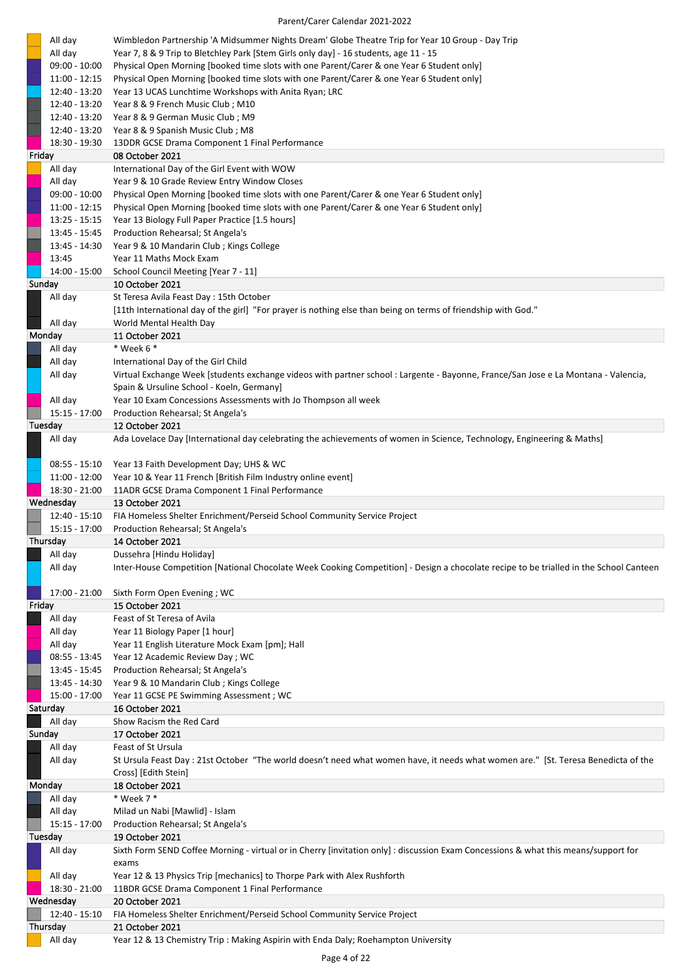| All day                          | Wimbledon Partnership 'A Midsummer Nights Dream' Globe Theatre Trip for Year 10 Group - Day Trip                                       |
|----------------------------------|----------------------------------------------------------------------------------------------------------------------------------------|
| All day                          | Year 7, 8 & 9 Trip to Bletchley Park [Stem Girls only day] - 16 students, age 11 - 15                                                  |
| $09:00 - 10:00$                  | Physical Open Morning [booked time slots with one Parent/Carer & one Year 6 Student only]                                              |
| $11:00 - 12:15$                  | Physical Open Morning [booked time slots with one Parent/Carer & one Year 6 Student only]                                              |
| 12:40 - 13:20                    | Year 13 UCAS Lunchtime Workshops with Anita Ryan; LRC                                                                                  |
| 12:40 - 13:20                    | Year 8 & 9 French Music Club; M10                                                                                                      |
| 12:40 - 13:20<br>12:40 - 13:20   | Year 8 & 9 German Music Club; M9<br>Year 8 & 9 Spanish Music Club; M8                                                                  |
| 18:30 - 19:30                    | 13DDR GCSE Drama Component 1 Final Performance                                                                                         |
| Friday                           | 08 October 2021                                                                                                                        |
| All day                          | International Day of the Girl Event with WOW                                                                                           |
| All day                          | Year 9 & 10 Grade Review Entry Window Closes                                                                                           |
| $09:00 - 10:00$                  | Physical Open Morning [booked time slots with one Parent/Carer & one Year 6 Student only]                                              |
| $11:00 - 12:15$                  | Physical Open Morning [booked time slots with one Parent/Carer & one Year 6 Student only]                                              |
| $13:25 - 15:15$                  | Year 13 Biology Full Paper Practice [1.5 hours]                                                                                        |
| 13:45 - 15:45                    | Production Rehearsal; St Angela's                                                                                                      |
| 13:45 - 14:30                    | Year 9 & 10 Mandarin Club; Kings College                                                                                               |
| 13:45<br>14:00 - 15:00           | Year 11 Maths Mock Exam<br>School Council Meeting [Year 7 - 11]                                                                        |
| Sunday                           | 10 October 2021                                                                                                                        |
| All day                          | St Teresa Avila Feast Day: 15th October                                                                                                |
|                                  | [11th International day of the girl] "For prayer is nothing else than being on terms of friendship with God."                          |
| All day                          | World Mental Health Day                                                                                                                |
| Monday                           | 11 October 2021                                                                                                                        |
| All day                          | * Week 6 *                                                                                                                             |
| All day                          | International Day of the Girl Child                                                                                                    |
| All day                          | Virtual Exchange Week [students exchange videos with partner school : Largente - Bayonne, France/San Jose e La Montana - Valencia,     |
|                                  | Spain & Ursuline School - Koeln, Germany]                                                                                              |
| All day<br>15:15 - 17:00         | Year 10 Exam Concessions Assessments with Jo Thompson all week<br>Production Rehearsal; St Angela's                                    |
| Tuesday                          | 12 October 2021                                                                                                                        |
| All day                          | Ada Lovelace Day [International day celebrating the achievements of women in Science, Technology, Engineering & Maths]                 |
|                                  |                                                                                                                                        |
| $08:55 - 15:10$                  | Year 13 Faith Development Day; UHS & WC                                                                                                |
| $11:00 - 12:00$                  | Year 10 & Year 11 French [British Film Industry online event]                                                                          |
| 18:30 - 21:00                    | 11ADR GCSE Drama Component 1 Final Performance                                                                                         |
| Wednesday                        | 13 October 2021                                                                                                                        |
| 12:40 - 15:10                    | FIA Homeless Shelter Enrichment/Perseid School Community Service Project                                                               |
| 15:15 - 17:00<br>Thursday        | Production Rehearsal; St Angela's<br>14 October 2021                                                                                   |
| All day                          | Dussehra [Hindu Holiday]                                                                                                               |
| All day                          | Inter-House Competition [National Chocolate Week Cooking Competition] - Design a chocolate recipe to be trialled in the School Canteen |
|                                  |                                                                                                                                        |
| 17:00 - 21:00                    | Sixth Form Open Evening; WC                                                                                                            |
| Friday                           | 15 October 2021                                                                                                                        |
| All day                          | Feast of St Teresa of Avila                                                                                                            |
| All day                          | Year 11 Biology Paper [1 hour]                                                                                                         |
| All day                          | Year 11 English Literature Mock Exam [pm]; Hall                                                                                        |
| $08:55 - 13:45$<br>13:45 - 15:45 | Year 12 Academic Review Day; WC<br>Production Rehearsal; St Angela's                                                                   |
| 13:45 - 14:30                    | Year 9 & 10 Mandarin Club; Kings College                                                                                               |
| 15:00 - 17:00                    | Year 11 GCSE PE Swimming Assessment ; WC                                                                                               |
| Saturday                         | 16 October 2021                                                                                                                        |
| All day                          | Show Racism the Red Card                                                                                                               |
| Sunday                           | 17 October 2021                                                                                                                        |
| All day                          | Feast of St Ursula                                                                                                                     |
| All day                          | St Ursula Feast Day : 21st October "The world doesn't need what women have, it needs what women are." [St. Teresa Benedicta of the     |
|                                  | Cross] [Edith Stein]                                                                                                                   |
| Monday<br>All day                | 18 October 2021<br>* Week 7 *                                                                                                          |
|                                  | Milad un Nabi [Mawlid] - Islam                                                                                                         |
|                                  |                                                                                                                                        |
| All day                          |                                                                                                                                        |
| 15:15 - 17:00<br>Tuesday         | Production Rehearsal; St Angela's<br>19 October 2021                                                                                   |
| All day                          | Sixth Form SEND Coffee Morning - virtual or in Cherry [invitation only] : discussion Exam Concessions & what this means/support for    |
|                                  | exams                                                                                                                                  |
| All day                          | Year 12 & 13 Physics Trip [mechanics] to Thorpe Park with Alex Rushforth                                                               |
| 18:30 - 21:00                    | 11BDR GCSE Drama Component 1 Final Performance                                                                                         |
| Wednesday                        | 20 October 2021                                                                                                                        |
| 12:40 - 15:10                    | FIA Homeless Shelter Enrichment/Perseid School Community Service Project                                                               |
| Thursday<br>All day              | 21 October 2021<br>Year 12 & 13 Chemistry Trip: Making Aspirin with Enda Daly; Roehampton University                                   |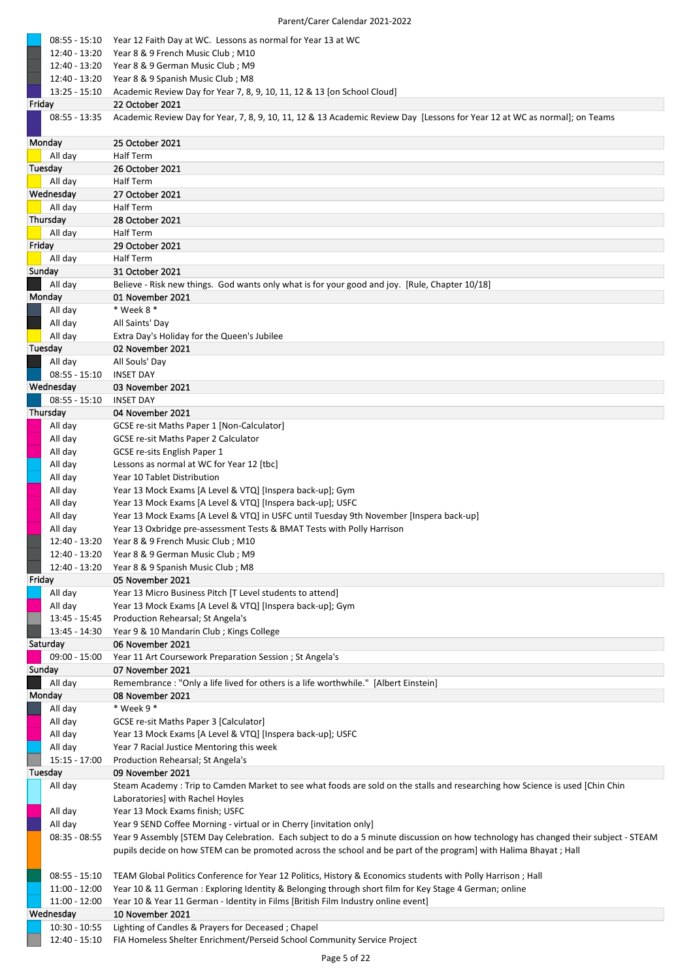| 08:55 - 15:10                    | Year 12 Faith Day at WC. Lessons as normal for Year 13 at WC                                                                                                                                                                                             |
|----------------------------------|----------------------------------------------------------------------------------------------------------------------------------------------------------------------------------------------------------------------------------------------------------|
| 12:40 - 13:20                    | Year 8 & 9 French Music Club; M10                                                                                                                                                                                                                        |
| 12:40 - 13:20                    | Year 8 & 9 German Music Club; M9                                                                                                                                                                                                                         |
| 12:40 - 13:20<br>$13:25 - 15:10$ | Year 8 & 9 Spanish Music Club; M8<br>Academic Review Day for Year 7, 8, 9, 10, 11, 12 & 13 [on School Cloud]                                                                                                                                             |
| Friday                           | 22 October 2021                                                                                                                                                                                                                                          |
| 08:55 - 13:35                    | Academic Review Day for Year, 7, 8, 9, 10, 11, 12 & 13 Academic Review Day [Lessons for Year 12 at WC as normal]; on Teams                                                                                                                               |
|                                  |                                                                                                                                                                                                                                                          |
| Monday                           | 25 October 2021                                                                                                                                                                                                                                          |
| All day                          | Half Term                                                                                                                                                                                                                                                |
| Tuesday<br>All day               | 26 October 2021<br>Half Term                                                                                                                                                                                                                             |
| Wednesday                        | 27 October 2021                                                                                                                                                                                                                                          |
| All day                          | <b>Half Term</b>                                                                                                                                                                                                                                         |
| Thursday                         | 28 October 2021                                                                                                                                                                                                                                          |
| All day                          | Half Term                                                                                                                                                                                                                                                |
| Friday                           | 29 October 2021                                                                                                                                                                                                                                          |
| All day                          | <b>Half Term</b>                                                                                                                                                                                                                                         |
| Sunday                           | 31 October 2021                                                                                                                                                                                                                                          |
| All day<br>Monday                | Believe - Risk new things. God wants only what is for your good and joy. [Rule, Chapter 10/18]<br>01 November 2021                                                                                                                                       |
| All day                          | * Week 8 *                                                                                                                                                                                                                                               |
| All day                          | All Saints' Day                                                                                                                                                                                                                                          |
| All day                          | Extra Day's Holiday for the Queen's Jubilee                                                                                                                                                                                                              |
| Tuesday                          | 02 November 2021                                                                                                                                                                                                                                         |
| All day                          | All Souls' Day                                                                                                                                                                                                                                           |
| $08:55 - 15:10$                  | <b>INSET DAY</b>                                                                                                                                                                                                                                         |
| Wednesday                        | 03 November 2021                                                                                                                                                                                                                                         |
| $08:55 - 15:10$<br>Thursday      | <b>INSET DAY</b><br>04 November 2021                                                                                                                                                                                                                     |
| All day                          | GCSE re-sit Maths Paper 1 [Non-Calculator]                                                                                                                                                                                                               |
| All day                          | GCSE re-sit Maths Paper 2 Calculator                                                                                                                                                                                                                     |
| All day                          | GCSE re-sits English Paper 1                                                                                                                                                                                                                             |
| All day                          | Lessons as normal at WC for Year 12 [tbc]                                                                                                                                                                                                                |
| All day                          | Year 10 Tablet Distribution                                                                                                                                                                                                                              |
| All day                          | Year 13 Mock Exams [A Level & VTQ] [Inspera back-up]; Gym                                                                                                                                                                                                |
| All day                          | Year 13 Mock Exams [A Level & VTQ] [Inspera back-up]; USFC                                                                                                                                                                                               |
| All day<br>All day               | Year 13 Mock Exams [A Level & VTQ] in USFC until Tuesday 9th November [Inspera back-up]<br>Year 13 Oxbridge pre-assessment Tests & BMAT Tests with Polly Harrison                                                                                        |
| 12:40 - 13:20                    | Year 8 & 9 French Music Club ; M10                                                                                                                                                                                                                       |
|                                  | 12:40 - 13:20  Year 8 & 9 German Music Club; M9                                                                                                                                                                                                          |
| 12:40 - 13:20                    | Year 8 & 9 Spanish Music Club; M8                                                                                                                                                                                                                        |
| Friday                           | 05 November 2021                                                                                                                                                                                                                                         |
| All day                          | Year 13 Micro Business Pitch [T Level students to attend]                                                                                                                                                                                                |
| All day                          | Year 13 Mock Exams [A Level & VTQ] [Inspera back-up]; Gym                                                                                                                                                                                                |
| 13:45 - 15:45<br>13:45 - 14:30   | Production Rehearsal; St Angela's<br>Year 9 & 10 Mandarin Club; Kings College                                                                                                                                                                            |
| Saturday                         | 06 November 2021                                                                                                                                                                                                                                         |
| $09:00 - 15:00$                  | Year 11 Art Coursework Preparation Session ; St Angela's                                                                                                                                                                                                 |
| Sunday                           | 07 November 2021                                                                                                                                                                                                                                         |
| All day                          | Remembrance : "Only a life lived for others is a life worthwhile." [Albert Einstein]                                                                                                                                                                     |
| Monday                           | 08 November 2021                                                                                                                                                                                                                                         |
| All day                          | * Week 9 *                                                                                                                                                                                                                                               |
| All day<br>All day               | GCSE re-sit Maths Paper 3 [Calculator]<br>Year 13 Mock Exams [A Level & VTQ] [Inspera back-up]; USFC                                                                                                                                                     |
| All day                          | Year 7 Racial Justice Mentoring this week                                                                                                                                                                                                                |
| 15:15 - 17:00                    | Production Rehearsal; St Angela's                                                                                                                                                                                                                        |
| Tuesday                          | 09 November 2021                                                                                                                                                                                                                                         |
| All day                          | Steam Academy: Trip to Camden Market to see what foods are sold on the stalls and researching how Science is used [Chin Chin                                                                                                                             |
|                                  | Laboratories] with Rachel Hoyles                                                                                                                                                                                                                         |
| All day                          | Year 13 Mock Exams finish; USFC                                                                                                                                                                                                                          |
| All day                          | Year 9 SEND Coffee Morning - virtual or in Cherry [invitation only]                                                                                                                                                                                      |
| $08:35 - 08:55$                  | Year 9 Assembly [STEM Day Celebration. Each subject to do a 5 minute discussion on how technology has changed their subject - STEAM<br>pupils decide on how STEM can be promoted across the school and be part of the program] with Halima Bhayat ; Hall |
|                                  |                                                                                                                                                                                                                                                          |
| 08:55 - 15:10                    | TEAM Global Politics Conference for Year 12 Politics, History & Economics students with Polly Harrison ; Hall                                                                                                                                            |
| 11:00 - 12:00                    | Year 10 & 11 German: Exploring Identity & Belonging through short film for Key Stage 4 German; online                                                                                                                                                    |
| 11:00 - 12:00                    | Year 10 & Year 11 German - Identity in Films [British Film Industry online event]                                                                                                                                                                        |
| Wednesday                        | 10 November 2021                                                                                                                                                                                                                                         |
| $10:30 - 10:55$                  | Lighting of Candles & Prayers for Deceased; Chapel                                                                                                                                                                                                       |
| 12:40 - 15:10                    | FIA Homeless Shelter Enrichment/Perseid School Community Service Project                                                                                                                                                                                 |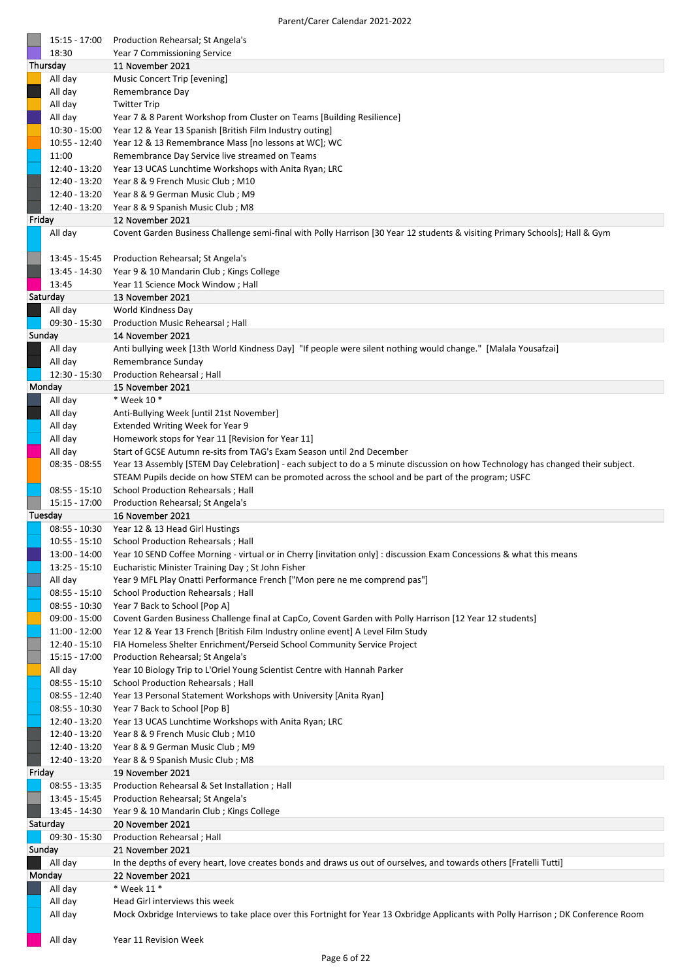|        | 15:15 - 17:00                    | Production Rehearsal; St Angela's                                                                                                                                                            |
|--------|----------------------------------|----------------------------------------------------------------------------------------------------------------------------------------------------------------------------------------------|
|        | 18:30                            | Year 7 Commissioning Service                                                                                                                                                                 |
|        | Thursday                         | 11 November 2021                                                                                                                                                                             |
|        | All day                          | Music Concert Trip [evening]                                                                                                                                                                 |
|        | All day                          | Remembrance Day                                                                                                                                                                              |
|        | All day<br>All day               | <b>Twitter Trip</b><br>Year 7 & 8 Parent Workshop from Cluster on Teams [Building Resilience]                                                                                                |
|        | $10:30 - 15:00$                  | Year 12 & Year 13 Spanish [British Film Industry outing]                                                                                                                                     |
|        | 10:55 - 12:40                    | Year 12 & 13 Remembrance Mass [no lessons at WC]; WC                                                                                                                                         |
|        | 11:00                            | Remembrance Day Service live streamed on Teams                                                                                                                                               |
|        | $12:40 - 13:20$                  | Year 13 UCAS Lunchtime Workshops with Anita Ryan; LRC                                                                                                                                        |
|        | 12:40 - 13:20                    | Year 8 & 9 French Music Club ; M10                                                                                                                                                           |
|        | 12:40 - 13:20                    | Year 8 & 9 German Music Club; M9                                                                                                                                                             |
|        | 12:40 - 13:20                    | Year 8 & 9 Spanish Music Club; M8                                                                                                                                                            |
| Friday |                                  | 12 November 2021                                                                                                                                                                             |
|        | All day                          | Covent Garden Business Challenge semi-final with Polly Harrison [30 Year 12 students & visiting Primary Schools]; Hall & Gym                                                                 |
|        |                                  |                                                                                                                                                                                              |
|        | 13:45 - 15:45                    | Production Rehearsal; St Angela's                                                                                                                                                            |
|        | 13:45 - 14:30                    | Year 9 & 10 Mandarin Club; Kings College                                                                                                                                                     |
|        | 13:45                            | Year 11 Science Mock Window; Hall                                                                                                                                                            |
|        | Saturday                         | 13 November 2021                                                                                                                                                                             |
|        | All day                          | World Kindness Day                                                                                                                                                                           |
|        | $09:30 - 15:30$                  | Production Music Rehearsal; Hall                                                                                                                                                             |
|        | Sunday                           | 14 November 2021                                                                                                                                                                             |
|        | All day                          | Anti bullying week [13th World Kindness Day] "If people were silent nothing would change." [Malala Yousafzai]                                                                                |
|        | All day                          | Remembrance Sunday                                                                                                                                                                           |
|        | 12:30 - 15:30                    | Production Rehearsal ; Hall                                                                                                                                                                  |
|        | Monday                           | 15 November 2021                                                                                                                                                                             |
|        | All day                          | * Week 10 *                                                                                                                                                                                  |
|        | All day                          | Anti-Bullying Week [until 21st November]                                                                                                                                                     |
|        | All day                          | Extended Writing Week for Year 9                                                                                                                                                             |
|        | All day                          | Homework stops for Year 11 [Revision for Year 11]                                                                                                                                            |
|        | All day                          | Start of GCSE Autumn re-sits from TAG's Exam Season until 2nd December                                                                                                                       |
|        | $08:35 - 08:55$                  | Year 13 Assembly [STEM Day Celebration] - each subject to do a 5 minute discussion on how Technology has changed their subject.                                                              |
|        |                                  | STEAM Pupils decide on how STEM can be promoted across the school and be part of the program; USFC                                                                                           |
|        |                                  |                                                                                                                                                                                              |
|        | $08:55 - 15:10$                  | School Production Rehearsals; Hall                                                                                                                                                           |
|        | 15:15 - 17:00                    | Production Rehearsal; St Angela's                                                                                                                                                            |
|        | Tuesday                          | 16 November 2021                                                                                                                                                                             |
|        | 08:55 - 10:30                    | Year 12 & 13 Head Girl Hustings                                                                                                                                                              |
|        | $10:55 - 15:10$                  | School Production Rehearsals ; Hall                                                                                                                                                          |
|        | 13:00 - 14:00                    | Year 10 SEND Coffee Morning - virtual or in Cherry [invitation only] : discussion Exam Concessions & what this means                                                                         |
|        | $13:25 - 15:10$                  | Eucharistic Minister Training Day ; St John Fisher                                                                                                                                           |
|        | All day                          | Year 9 MFL Play Onatti Performance French ["Mon pere ne me comprend pas"]                                                                                                                    |
|        | $08:55 - 15:10$                  | School Production Rehearsals ; Hall                                                                                                                                                          |
|        | $08:55 - 10:30$                  | Year 7 Back to School [Pop A]                                                                                                                                                                |
|        | 09:00 - 15:00<br>$11:00 - 12:00$ | Covent Garden Business Challenge final at CapCo, Covent Garden with Polly Harrison [12 Year 12 students]<br>Year 12 & Year 13 French [British Film Industry online event] A Level Film Study |
|        | $12:40 - 15:10$                  | FIA Homeless Shelter Enrichment/Perseid School Community Service Project                                                                                                                     |
|        | 15:15 - 17:00                    | Production Rehearsal; St Angela's                                                                                                                                                            |
|        | All day                          | Year 10 Biology Trip to L'Oriel Young Scientist Centre with Hannah Parker                                                                                                                    |
|        | $08:55 - 15:10$                  | School Production Rehearsals ; Hall                                                                                                                                                          |
|        | $08:55 - 12:40$                  | Year 13 Personal Statement Workshops with University [Anita Ryan]                                                                                                                            |
|        | $08:55 - 10:30$                  | Year 7 Back to School [Pop B]                                                                                                                                                                |
|        | 12:40 - 13:20                    | Year 13 UCAS Lunchtime Workshops with Anita Ryan; LRC                                                                                                                                        |
|        | 12:40 - 13:20                    | Year 8 & 9 French Music Club; M10                                                                                                                                                            |
|        | 12:40 - 13:20                    | Year 8 & 9 German Music Club; M9                                                                                                                                                             |
|        | 12:40 - 13:20                    | Year 8 & 9 Spanish Music Club; M8                                                                                                                                                            |
| Friday |                                  | 19 November 2021                                                                                                                                                                             |
|        | $08:55 - 13:35$                  | Production Rehearsal & Set Installation; Hall                                                                                                                                                |
|        | 13:45 - 15:45                    | Production Rehearsal; St Angela's                                                                                                                                                            |
|        | 13:45 - 14:30                    | Year 9 & 10 Mandarin Club; Kings College                                                                                                                                                     |
|        | Saturday                         | 20 November 2021                                                                                                                                                                             |
|        | 09:30 - 15:30                    | Production Rehearsal; Hall                                                                                                                                                                   |
|        | Sunday                           | 21 November 2021                                                                                                                                                                             |
|        | All day                          | In the depths of every heart, love creates bonds and draws us out of ourselves, and towards others [Fratelli Tutti]                                                                          |
|        | Monday                           | 22 November 2021                                                                                                                                                                             |
|        | All day                          | * Week 11 *                                                                                                                                                                                  |
|        | All day<br>All day               | Head Girl interviews this week<br>Mock Oxbridge Interviews to take place over this Fortnight for Year 13 Oxbridge Applicants with Polly Harrison; DK Conference Room                         |

All day Year 11 Revision Week

ř.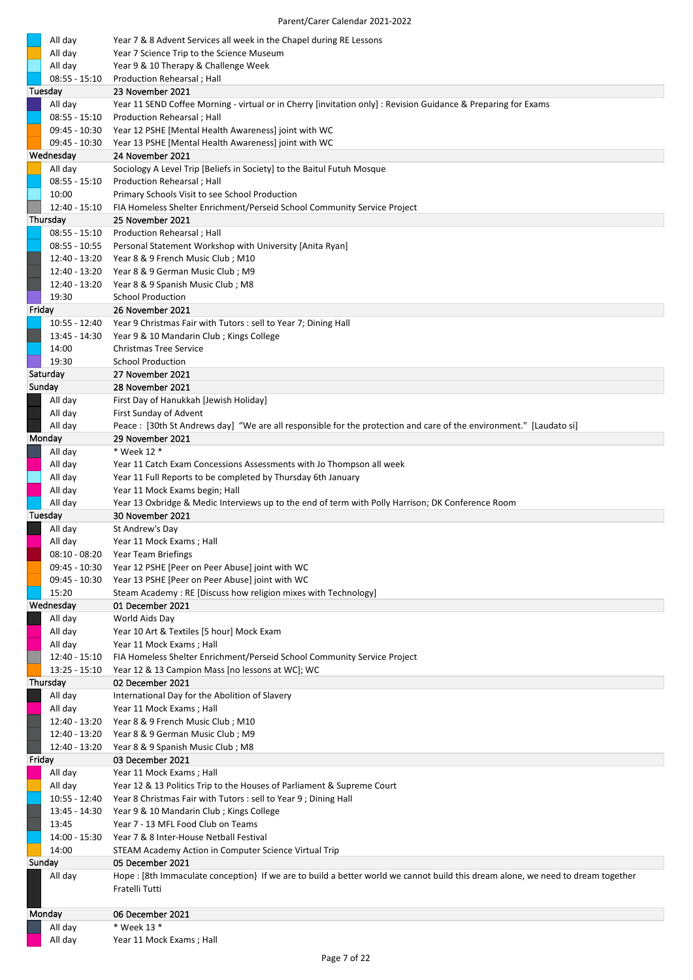| All day         | Year 7 & 8 Advent Services all week in the Chapel during RE Lessons                                                              |
|-----------------|----------------------------------------------------------------------------------------------------------------------------------|
| All day         | Year 7 Science Trip to the Science Museum                                                                                        |
| All day         | Year 9 & 10 Therapy & Challenge Week                                                                                             |
| $08:55 - 15:10$ | Production Rehearsal ; Hall                                                                                                      |
| Tuesday         | 23 November 2021                                                                                                                 |
| All day         | Year 11 SEND Coffee Morning - virtual or in Cherry [invitation only] : Revision Guidance & Preparing for Exams                   |
| $08:55 - 15:10$ | Production Rehearsal; Hall                                                                                                       |
| 09:45 - 10:30   | Year 12 PSHE [Mental Health Awareness] joint with WC                                                                             |
| 09:45 - 10:30   | Year 13 PSHE [Mental Health Awareness] joint with WC                                                                             |
| Wednesday       | 24 November 2021                                                                                                                 |
| All day         | Sociology A Level Trip [Beliefs in Society] to the Baitul Futuh Mosque                                                           |
| $08:55 - 15:10$ | Production Rehearsal ; Hall                                                                                                      |
| 10:00           | Primary Schools Visit to see School Production                                                                                   |
| $12:40 - 15:10$ | FIA Homeless Shelter Enrichment/Perseid School Community Service Project                                                         |
| Thursday        | 25 November 2021                                                                                                                 |
| $08:55 - 15:10$ | Production Rehearsal; Hall                                                                                                       |
|                 |                                                                                                                                  |
| $08:55 - 10:55$ | Personal Statement Workshop with University [Anita Ryan]                                                                         |
| 12:40 - 13:20   | Year 8 & 9 French Music Club; M10                                                                                                |
| 12:40 - 13:20   | Year 8 & 9 German Music Club; M9                                                                                                 |
| 12:40 - 13:20   | Year 8 & 9 Spanish Music Club; M8                                                                                                |
| 19:30           | <b>School Production</b>                                                                                                         |
| Friday          | 26 November 2021                                                                                                                 |
| 10:55 - 12:40   | Year 9 Christmas Fair with Tutors : sell to Year 7; Dining Hall                                                                  |
| 13:45 - 14:30   | Year 9 & 10 Mandarin Club; Kings College                                                                                         |
| 14:00           | <b>Christmas Tree Service</b>                                                                                                    |
| 19:30           | <b>School Production</b>                                                                                                         |
| Saturday        | 27 November 2021                                                                                                                 |
| Sunday          | 28 November 2021                                                                                                                 |
| All day         | First Day of Hanukkah [Jewish Holiday]                                                                                           |
| All day         | First Sunday of Advent                                                                                                           |
| All day         | Peace : [30th St Andrews day] "We are all responsible for the protection and care of the environment." [Laudato si]              |
| Monday          | 29 November 2021                                                                                                                 |
| All day         | * Week 12 *                                                                                                                      |
| All day         | Year 11 Catch Exam Concessions Assessments with Jo Thompson all week                                                             |
| All day         | Year 11 Full Reports to be completed by Thursday 6th January                                                                     |
| All day         | Year 11 Mock Exams begin; Hall                                                                                                   |
| All day         | Year 13 Oxbridge & Medic Interviews up to the end of term with Polly Harrison; DK Conference Room                                |
| Tuesday         | 30 November 2021                                                                                                                 |
| All day         | St Andrew's Day                                                                                                                  |
| All day         | Year 11 Mock Exams; Hall                                                                                                         |
| $08:10 - 08:20$ | Year Team Briefings                                                                                                              |
| $09:45 - 10:30$ | Year 12 PSHE [Peer on Peer Abuse] joint with WC                                                                                  |
| 09:45 - 10:30   | Year 13 PSHE [Peer on Peer Abuse] joint with WC                                                                                  |
| 15:20           | Steam Academy: RE [Discuss how religion mixes with Technology]                                                                   |
| Wednesday       | 01 December 2021                                                                                                                 |
| All day         | World Aids Day                                                                                                                   |
| All day         | Year 10 Art & Textiles [5 hour] Mock Exam                                                                                        |
| All day         | Year 11 Mock Exams; Hall                                                                                                         |
| $12:40 - 15:10$ | FIA Homeless Shelter Enrichment/Perseid School Community Service Project                                                         |
| $13:25 - 15:10$ | Year 12 & 13 Campion Mass [no lessons at WC]; WC                                                                                 |
| Thursday        | 02 December 2021                                                                                                                 |
| All day         | International Day for the Abolition of Slavery                                                                                   |
| All day         | Year 11 Mock Exams; Hall                                                                                                         |
| 12:40 - 13:20   | Year 8 & 9 French Music Club; M10                                                                                                |
| 12:40 - 13:20   | Year 8 & 9 German Music Club; M9                                                                                                 |
| 12:40 - 13:20   | Year 8 & 9 Spanish Music Club; M8                                                                                                |
| Friday          | 03 December 2021                                                                                                                 |
| All day         | Year 11 Mock Exams; Hall                                                                                                         |
| All day         | Year 12 & 13 Politics Trip to the Houses of Parliament & Supreme Court                                                           |
| 10:55 - 12:40   | Year 8 Christmas Fair with Tutors : sell to Year 9; Dining Hall                                                                  |
| 13:45 - 14:30   | Year 9 & 10 Mandarin Club; Kings College                                                                                         |
| 13:45           | Year 7 - 13 MFL Food Club on Teams                                                                                               |
| 14:00 - 15:30   | Year 7 & 8 Inter-House Netball Festival                                                                                          |
| 14:00           | STEAM Academy Action in Computer Science Virtual Trip                                                                            |
| Sunday          | 05 December 2021                                                                                                                 |
| All day         | Hope : [8th Immaculate conception} If we are to build a better world we cannot build this dream alone, we need to dream together |
|                 | Fratelli Tutti                                                                                                                   |
|                 |                                                                                                                                  |
| Monday          | 06 December 2021                                                                                                                 |
| All day         | * Week 13 *                                                                                                                      |
| All day         | Year 11 Mock Exams; Hall                                                                                                         |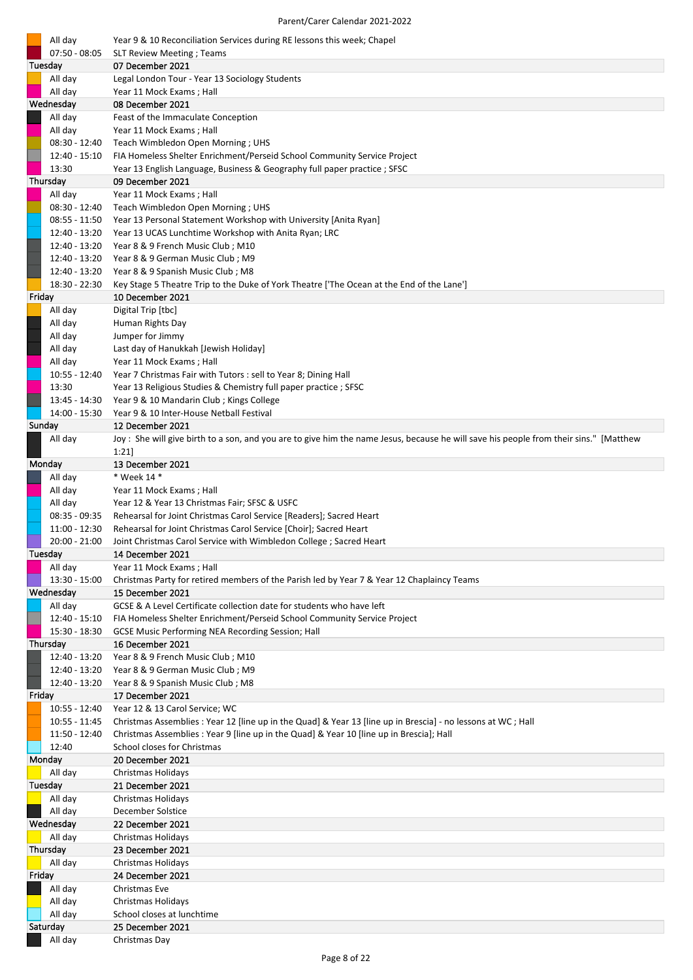| All day                          | Year 9 & 10 Reconciliation Services during RE lessons this week; Chapel                                                                              |
|----------------------------------|------------------------------------------------------------------------------------------------------------------------------------------------------|
| 07:50 - 08:05<br>Tuesday         | <b>SLT Review Meeting; Teams</b><br>07 December 2021                                                                                                 |
| All day                          | Legal London Tour - Year 13 Sociology Students                                                                                                       |
| All day                          | Year 11 Mock Exams; Hall                                                                                                                             |
| Wednesday                        | 08 December 2021                                                                                                                                     |
| All day                          | Feast of the Immaculate Conception                                                                                                                   |
| All day                          | Year 11 Mock Exams; Hall                                                                                                                             |
| 08:30 - 12:40<br>$12:40 - 15:10$ | Teach Wimbledon Open Morning; UHS                                                                                                                    |
| 13:30                            | FIA Homeless Shelter Enrichment/Perseid School Community Service Project<br>Year 13 English Language, Business & Geography full paper practice; SFSC |
| Thursday                         | 09 December 2021                                                                                                                                     |
| All day                          | Year 11 Mock Exams; Hall                                                                                                                             |
| 08:30 - 12:40                    | Teach Wimbledon Open Morning; UHS                                                                                                                    |
| 08:55 - 11:50                    | Year 13 Personal Statement Workshop with University [Anita Ryan]                                                                                     |
| 12:40 - 13:20                    | Year 13 UCAS Lunchtime Workshop with Anita Ryan; LRC                                                                                                 |
| 12:40 - 13:20                    | Year 8 & 9 French Music Club; M10                                                                                                                    |
| 12:40 - 13:20                    | Year 8 & 9 German Music Club; M9                                                                                                                     |
| 12:40 - 13:20<br>18:30 - 22:30   | Year 8 & 9 Spanish Music Club; M8<br>Key Stage 5 Theatre Trip to the Duke of York Theatre ['The Ocean at the End of the Lane']                       |
| Friday                           | 10 December 2021                                                                                                                                     |
| All day                          | Digital Trip [tbc]                                                                                                                                   |
| All day                          | Human Rights Day                                                                                                                                     |
| All day                          | Jumper for Jimmy                                                                                                                                     |
| All day                          | Last day of Hanukkah [Jewish Holiday]                                                                                                                |
| All day                          | Year 11 Mock Exams; Hall                                                                                                                             |
| $10:55 - 12:40$                  | Year 7 Christmas Fair with Tutors : sell to Year 8; Dining Hall                                                                                      |
| 13:30<br>13:45 - 14:30           | Year 13 Religious Studies & Chemistry full paper practice; SFSC<br>Year 9 & 10 Mandarin Club; Kings College                                          |
| 14:00 - 15:30                    | Year 9 & 10 Inter-House Netball Festival                                                                                                             |
| Sunday                           | 12 December 2021                                                                                                                                     |
| All day                          | Joy : She will give birth to a son, and you are to give him the name Jesus, because he will save his people from their sins." [Matthew               |
|                                  | 1:21                                                                                                                                                 |
| Monday                           | 13 December 2021                                                                                                                                     |
| All day                          | * Week 14 *                                                                                                                                          |
| All day                          | Year 11 Mock Exams; Hall                                                                                                                             |
| All day<br>$08:35 - 09:35$       | Year 12 & Year 13 Christmas Fair; SFSC & USFC<br>Rehearsal for Joint Christmas Carol Service [Readers]; Sacred Heart                                 |
| 11:00 - 12:30                    | Rehearsal for Joint Christmas Carol Service [Choir]; Sacred Heart                                                                                    |
| 20:00 - 21:00                    | Joint Christmas Carol Service with Wimbledon College ; Sacred Heart                                                                                  |
| Tuesday                          | 14 December 2021                                                                                                                                     |
| All day                          | Year 11 Mock Exams; Hall                                                                                                                             |
| 13:30 - 15:00                    | Christmas Party for retired members of the Parish led by Year 7 & Year 12 Chaplaincy Teams                                                           |
| Wednesday                        | 15 December 2021                                                                                                                                     |
| All day<br>$12:40 - 15:10$       | GCSE & A Level Certificate collection date for students who have left<br>FIA Homeless Shelter Enrichment/Perseid School Community Service Project    |
| 15:30 - 18:30                    | <b>GCSE Music Performing NEA Recording Session; Hall</b>                                                                                             |
| Thursday                         | 16 December 2021                                                                                                                                     |
| 12:40 - 13:20                    | Year 8 & 9 French Music Club; M10                                                                                                                    |
| 12:40 - 13:20                    | Year 8 & 9 German Music Club; M9                                                                                                                     |
| 12:40 - 13:20                    | Year 8 & 9 Spanish Music Club; M8                                                                                                                    |
| Friday                           | 17 December 2021                                                                                                                                     |
| $10:55 - 12:40$<br>10:55 - 11:45 | Year 12 & 13 Carol Service; WC<br>Christmas Assemblies : Year 12 [line up in the Quad] & Year 13 [line up in Brescia] - no lessons at WC; Hall       |
| 11:50 - 12:40                    | Christmas Assemblies: Year 9 [line up in the Quad] & Year 10 [line up in Brescia]; Hall                                                              |
| 12:40                            | School closes for Christmas                                                                                                                          |
| Monday                           | 20 December 2021                                                                                                                                     |
| All day                          | Christmas Holidays                                                                                                                                   |
| Tuesday                          | 21 December 2021                                                                                                                                     |
| All day                          | <b>Christmas Holidays</b>                                                                                                                            |
| All day                          | December Solstice                                                                                                                                    |
| Wednesday<br>All day             | 22 December 2021<br><b>Christmas Holidays</b>                                                                                                        |
| Thursday                         | 23 December 2021                                                                                                                                     |
| All day                          | <b>Christmas Holidays</b>                                                                                                                            |
| Friday                           | 24 December 2021                                                                                                                                     |
| All day                          | Christmas Eve                                                                                                                                        |
| All day                          | Christmas Holidays                                                                                                                                   |
| All day                          | School closes at lunchtime                                                                                                                           |
|                                  |                                                                                                                                                      |
| Saturday<br>All day              | 25 December 2021<br>Christmas Day                                                                                                                    |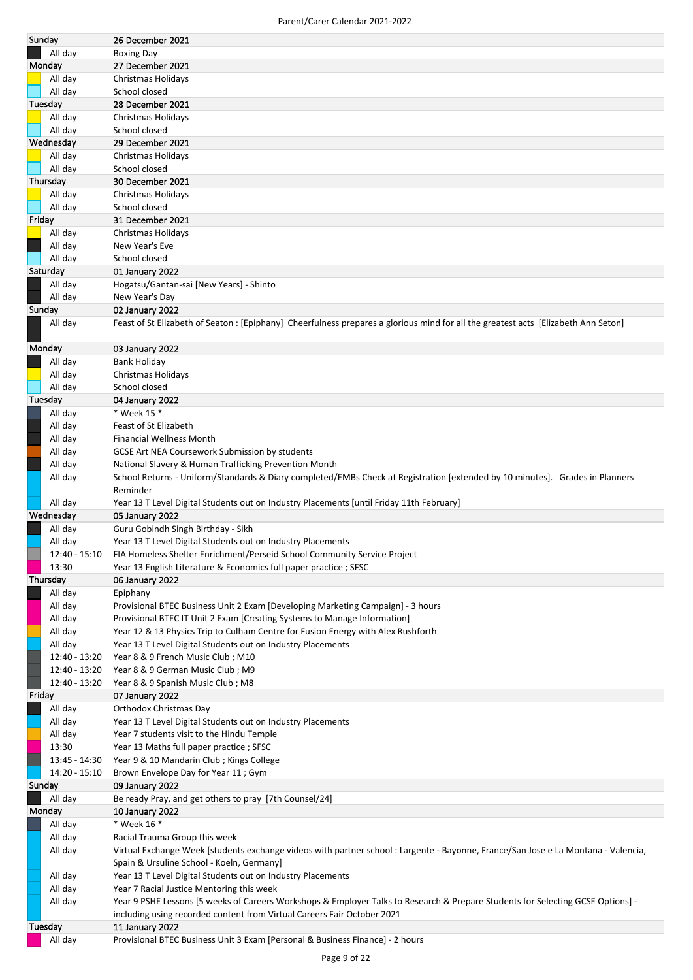| All day<br><b>Boxing Day</b><br>Monday<br>27 December 2021<br>All day<br>Christmas Holidays<br>All day<br>School closed<br>Tuesday<br>28 December 2021<br>All day<br>Christmas Holidays<br>All day<br>School closed<br>Wednesday<br>29 December 2021<br>Christmas Holidays<br>All day<br>All day<br>School closed<br>Thursday<br>30 December 2021<br>All day<br>Christmas Holidays<br>All day<br>School closed<br>Friday<br>31 December 2021<br>All day<br>Christmas Holidays<br>All day<br>New Year's Eve<br>All day<br>School closed<br>Saturday<br>01 January 2022<br>Hogatsu/Gantan-sai [New Years] - Shinto<br>All day<br>New Year's Day<br>All day<br>Sunday<br>02 January 2022<br>Feast of St Elizabeth of Seaton : [Epiphany] Cheerfulness prepares a glorious mind for all the greatest acts [Elizabeth Ann Seton]<br>All day<br>Monday<br>03 January 2022<br>All day<br>Bank Holiday<br>All day<br>Christmas Holidays<br>All day<br>School closed<br>Tuesday<br>04 January 2022<br>All day<br>* Week 15 *<br>All day<br>Feast of St Elizabeth<br>All day<br>Financial Wellness Month<br>All day<br>GCSE Art NEA Coursework Submission by students<br>All day<br>National Slavery & Human Trafficking Prevention Month<br>All day<br>School Returns - Uniform/Standards & Diary completed/EMBs Check at Registration [extended by 10 minutes]. Grades in Planners<br>Reminder<br>All day<br>Year 13 T Level Digital Students out on Industry Placements [until Friday 11th February]<br>Wednesday<br>05 January 2022<br>All day<br>Guru Gobindh Singh Birthday - Sikh<br>Year 13 T Level Digital Students out on Industry Placements<br>All day<br>12:40 - 15:10 FIA Homeless Shelter Enrichment/Perseid School Community Service Project<br>13:30<br>Year 13 English Literature & Economics full paper practice; SFSC<br>Thursday<br>06 January 2022<br>All day<br>Epiphany<br>Provisional BTEC Business Unit 2 Exam [Developing Marketing Campaign] - 3 hours<br>All day<br>All day<br>Provisional BTEC IT Unit 2 Exam [Creating Systems to Manage Information]<br>All day<br>Year 12 & 13 Physics Trip to Culham Centre for Fusion Energy with Alex Rushforth<br>All day<br>Year 13 T Level Digital Students out on Industry Placements<br>12:40 - 13:20<br>Year 8 & 9 French Music Club; M10<br>12:40 - 13:20<br>Year 8 & 9 German Music Club; M9<br>12:40 - 13:20<br>Year 8 & 9 Spanish Music Club; M8<br>Friday<br>07 January 2022<br>All day<br>Orthodox Christmas Day<br>Year 13 T Level Digital Students out on Industry Placements<br>All day<br>All day<br>Year 7 students visit to the Hindu Temple<br>13:30<br>Year 13 Maths full paper practice; SFSC<br>13:45 - 14:30<br>Year 9 & 10 Mandarin Club; Kings College<br>14:20 - 15:10<br>Brown Envelope Day for Year 11; Gym<br>Sunday<br>09 January 2022<br>All day<br>Be ready Pray, and get others to pray [7th Counsel/24]<br>Monday<br>10 January 2022<br>* Week 16 *<br>All day<br>All day<br>Racial Trauma Group this week<br>Virtual Exchange Week [students exchange videos with partner school : Largente - Bayonne, France/San Jose e La Montana - Valencia,<br>All day<br>Spain & Ursuline School - Koeln, Germany]<br>All day<br>Year 13 T Level Digital Students out on Industry Placements<br>All day<br>Year 7 Racial Justice Mentoring this week<br>All day<br>Year 9 PSHE Lessons [5 weeks of Careers Workshops & Employer Talks to Research & Prepare Students for Selecting GCSE Options] -<br>including using recorded content from Virtual Careers Fair October 2021<br>Tuesday<br>11 January 2022 | Sunday | 26 December 2021 |
|-----------------------------------------------------------------------------------------------------------------------------------------------------------------------------------------------------------------------------------------------------------------------------------------------------------------------------------------------------------------------------------------------------------------------------------------------------------------------------------------------------------------------------------------------------------------------------------------------------------------------------------------------------------------------------------------------------------------------------------------------------------------------------------------------------------------------------------------------------------------------------------------------------------------------------------------------------------------------------------------------------------------------------------------------------------------------------------------------------------------------------------------------------------------------------------------------------------------------------------------------------------------------------------------------------------------------------------------------------------------------------------------------------------------------------------------------------------------------------------------------------------------------------------------------------------------------------------------------------------------------------------------------------------------------------------------------------------------------------------------------------------------------------------------------------------------------------------------------------------------------------------------------------------------------------------------------------------------------------------------------------------------------------------------------------------------------------------------------------------------------------------------------------------------------------------------------------------------------------------------------------------------------------------------------------------------------------------------------------------------------------------------------------------------------------------------------------------------------------------------------------------------------------------------------------------------------------------------------------------------------------------------------------------------------------------------------------------------------------------------------------------------------------------------------------------------------------------------------------------------------------------------------------------------------------------------------------------------------------------------------------------------------------------------------------------------------------------------------------------------------------------------------------------------------------------------------------------------------------------------------------------------------------------------------------------------------------------------------------------------------------------------------------------------------------------------------------------------------------------------------------------------------------------------------------------------------------------------------|--------|------------------|
|                                                                                                                                                                                                                                                                                                                                                                                                                                                                                                                                                                                                                                                                                                                                                                                                                                                                                                                                                                                                                                                                                                                                                                                                                                                                                                                                                                                                                                                                                                                                                                                                                                                                                                                                                                                                                                                                                                                                                                                                                                                                                                                                                                                                                                                                                                                                                                                                                                                                                                                                                                                                                                                                                                                                                                                                                                                                                                                                                                                                                                                                                                                                                                                                                                                                                                                                                                                                                                                                                                                                                                                               |        |                  |
|                                                                                                                                                                                                                                                                                                                                                                                                                                                                                                                                                                                                                                                                                                                                                                                                                                                                                                                                                                                                                                                                                                                                                                                                                                                                                                                                                                                                                                                                                                                                                                                                                                                                                                                                                                                                                                                                                                                                                                                                                                                                                                                                                                                                                                                                                                                                                                                                                                                                                                                                                                                                                                                                                                                                                                                                                                                                                                                                                                                                                                                                                                                                                                                                                                                                                                                                                                                                                                                                                                                                                                                               |        |                  |
|                                                                                                                                                                                                                                                                                                                                                                                                                                                                                                                                                                                                                                                                                                                                                                                                                                                                                                                                                                                                                                                                                                                                                                                                                                                                                                                                                                                                                                                                                                                                                                                                                                                                                                                                                                                                                                                                                                                                                                                                                                                                                                                                                                                                                                                                                                                                                                                                                                                                                                                                                                                                                                                                                                                                                                                                                                                                                                                                                                                                                                                                                                                                                                                                                                                                                                                                                                                                                                                                                                                                                                                               |        |                  |
|                                                                                                                                                                                                                                                                                                                                                                                                                                                                                                                                                                                                                                                                                                                                                                                                                                                                                                                                                                                                                                                                                                                                                                                                                                                                                                                                                                                                                                                                                                                                                                                                                                                                                                                                                                                                                                                                                                                                                                                                                                                                                                                                                                                                                                                                                                                                                                                                                                                                                                                                                                                                                                                                                                                                                                                                                                                                                                                                                                                                                                                                                                                                                                                                                                                                                                                                                                                                                                                                                                                                                                                               |        |                  |
|                                                                                                                                                                                                                                                                                                                                                                                                                                                                                                                                                                                                                                                                                                                                                                                                                                                                                                                                                                                                                                                                                                                                                                                                                                                                                                                                                                                                                                                                                                                                                                                                                                                                                                                                                                                                                                                                                                                                                                                                                                                                                                                                                                                                                                                                                                                                                                                                                                                                                                                                                                                                                                                                                                                                                                                                                                                                                                                                                                                                                                                                                                                                                                                                                                                                                                                                                                                                                                                                                                                                                                                               |        |                  |
|                                                                                                                                                                                                                                                                                                                                                                                                                                                                                                                                                                                                                                                                                                                                                                                                                                                                                                                                                                                                                                                                                                                                                                                                                                                                                                                                                                                                                                                                                                                                                                                                                                                                                                                                                                                                                                                                                                                                                                                                                                                                                                                                                                                                                                                                                                                                                                                                                                                                                                                                                                                                                                                                                                                                                                                                                                                                                                                                                                                                                                                                                                                                                                                                                                                                                                                                                                                                                                                                                                                                                                                               |        |                  |
|                                                                                                                                                                                                                                                                                                                                                                                                                                                                                                                                                                                                                                                                                                                                                                                                                                                                                                                                                                                                                                                                                                                                                                                                                                                                                                                                                                                                                                                                                                                                                                                                                                                                                                                                                                                                                                                                                                                                                                                                                                                                                                                                                                                                                                                                                                                                                                                                                                                                                                                                                                                                                                                                                                                                                                                                                                                                                                                                                                                                                                                                                                                                                                                                                                                                                                                                                                                                                                                                                                                                                                                               |        |                  |
|                                                                                                                                                                                                                                                                                                                                                                                                                                                                                                                                                                                                                                                                                                                                                                                                                                                                                                                                                                                                                                                                                                                                                                                                                                                                                                                                                                                                                                                                                                                                                                                                                                                                                                                                                                                                                                                                                                                                                                                                                                                                                                                                                                                                                                                                                                                                                                                                                                                                                                                                                                                                                                                                                                                                                                                                                                                                                                                                                                                                                                                                                                                                                                                                                                                                                                                                                                                                                                                                                                                                                                                               |        |                  |
|                                                                                                                                                                                                                                                                                                                                                                                                                                                                                                                                                                                                                                                                                                                                                                                                                                                                                                                                                                                                                                                                                                                                                                                                                                                                                                                                                                                                                                                                                                                                                                                                                                                                                                                                                                                                                                                                                                                                                                                                                                                                                                                                                                                                                                                                                                                                                                                                                                                                                                                                                                                                                                                                                                                                                                                                                                                                                                                                                                                                                                                                                                                                                                                                                                                                                                                                                                                                                                                                                                                                                                                               |        |                  |
|                                                                                                                                                                                                                                                                                                                                                                                                                                                                                                                                                                                                                                                                                                                                                                                                                                                                                                                                                                                                                                                                                                                                                                                                                                                                                                                                                                                                                                                                                                                                                                                                                                                                                                                                                                                                                                                                                                                                                                                                                                                                                                                                                                                                                                                                                                                                                                                                                                                                                                                                                                                                                                                                                                                                                                                                                                                                                                                                                                                                                                                                                                                                                                                                                                                                                                                                                                                                                                                                                                                                                                                               |        |                  |
|                                                                                                                                                                                                                                                                                                                                                                                                                                                                                                                                                                                                                                                                                                                                                                                                                                                                                                                                                                                                                                                                                                                                                                                                                                                                                                                                                                                                                                                                                                                                                                                                                                                                                                                                                                                                                                                                                                                                                                                                                                                                                                                                                                                                                                                                                                                                                                                                                                                                                                                                                                                                                                                                                                                                                                                                                                                                                                                                                                                                                                                                                                                                                                                                                                                                                                                                                                                                                                                                                                                                                                                               |        |                  |
|                                                                                                                                                                                                                                                                                                                                                                                                                                                                                                                                                                                                                                                                                                                                                                                                                                                                                                                                                                                                                                                                                                                                                                                                                                                                                                                                                                                                                                                                                                                                                                                                                                                                                                                                                                                                                                                                                                                                                                                                                                                                                                                                                                                                                                                                                                                                                                                                                                                                                                                                                                                                                                                                                                                                                                                                                                                                                                                                                                                                                                                                                                                                                                                                                                                                                                                                                                                                                                                                                                                                                                                               |        |                  |
|                                                                                                                                                                                                                                                                                                                                                                                                                                                                                                                                                                                                                                                                                                                                                                                                                                                                                                                                                                                                                                                                                                                                                                                                                                                                                                                                                                                                                                                                                                                                                                                                                                                                                                                                                                                                                                                                                                                                                                                                                                                                                                                                                                                                                                                                                                                                                                                                                                                                                                                                                                                                                                                                                                                                                                                                                                                                                                                                                                                                                                                                                                                                                                                                                                                                                                                                                                                                                                                                                                                                                                                               |        |                  |
|                                                                                                                                                                                                                                                                                                                                                                                                                                                                                                                                                                                                                                                                                                                                                                                                                                                                                                                                                                                                                                                                                                                                                                                                                                                                                                                                                                                                                                                                                                                                                                                                                                                                                                                                                                                                                                                                                                                                                                                                                                                                                                                                                                                                                                                                                                                                                                                                                                                                                                                                                                                                                                                                                                                                                                                                                                                                                                                                                                                                                                                                                                                                                                                                                                                                                                                                                                                                                                                                                                                                                                                               |        |                  |
|                                                                                                                                                                                                                                                                                                                                                                                                                                                                                                                                                                                                                                                                                                                                                                                                                                                                                                                                                                                                                                                                                                                                                                                                                                                                                                                                                                                                                                                                                                                                                                                                                                                                                                                                                                                                                                                                                                                                                                                                                                                                                                                                                                                                                                                                                                                                                                                                                                                                                                                                                                                                                                                                                                                                                                                                                                                                                                                                                                                                                                                                                                                                                                                                                                                                                                                                                                                                                                                                                                                                                                                               |        |                  |
|                                                                                                                                                                                                                                                                                                                                                                                                                                                                                                                                                                                                                                                                                                                                                                                                                                                                                                                                                                                                                                                                                                                                                                                                                                                                                                                                                                                                                                                                                                                                                                                                                                                                                                                                                                                                                                                                                                                                                                                                                                                                                                                                                                                                                                                                                                                                                                                                                                                                                                                                                                                                                                                                                                                                                                                                                                                                                                                                                                                                                                                                                                                                                                                                                                                                                                                                                                                                                                                                                                                                                                                               |        |                  |
|                                                                                                                                                                                                                                                                                                                                                                                                                                                                                                                                                                                                                                                                                                                                                                                                                                                                                                                                                                                                                                                                                                                                                                                                                                                                                                                                                                                                                                                                                                                                                                                                                                                                                                                                                                                                                                                                                                                                                                                                                                                                                                                                                                                                                                                                                                                                                                                                                                                                                                                                                                                                                                                                                                                                                                                                                                                                                                                                                                                                                                                                                                                                                                                                                                                                                                                                                                                                                                                                                                                                                                                               |        |                  |
|                                                                                                                                                                                                                                                                                                                                                                                                                                                                                                                                                                                                                                                                                                                                                                                                                                                                                                                                                                                                                                                                                                                                                                                                                                                                                                                                                                                                                                                                                                                                                                                                                                                                                                                                                                                                                                                                                                                                                                                                                                                                                                                                                                                                                                                                                                                                                                                                                                                                                                                                                                                                                                                                                                                                                                                                                                                                                                                                                                                                                                                                                                                                                                                                                                                                                                                                                                                                                                                                                                                                                                                               |        |                  |
|                                                                                                                                                                                                                                                                                                                                                                                                                                                                                                                                                                                                                                                                                                                                                                                                                                                                                                                                                                                                                                                                                                                                                                                                                                                                                                                                                                                                                                                                                                                                                                                                                                                                                                                                                                                                                                                                                                                                                                                                                                                                                                                                                                                                                                                                                                                                                                                                                                                                                                                                                                                                                                                                                                                                                                                                                                                                                                                                                                                                                                                                                                                                                                                                                                                                                                                                                                                                                                                                                                                                                                                               |        |                  |
|                                                                                                                                                                                                                                                                                                                                                                                                                                                                                                                                                                                                                                                                                                                                                                                                                                                                                                                                                                                                                                                                                                                                                                                                                                                                                                                                                                                                                                                                                                                                                                                                                                                                                                                                                                                                                                                                                                                                                                                                                                                                                                                                                                                                                                                                                                                                                                                                                                                                                                                                                                                                                                                                                                                                                                                                                                                                                                                                                                                                                                                                                                                                                                                                                                                                                                                                                                                                                                                                                                                                                                                               |        |                  |
|                                                                                                                                                                                                                                                                                                                                                                                                                                                                                                                                                                                                                                                                                                                                                                                                                                                                                                                                                                                                                                                                                                                                                                                                                                                                                                                                                                                                                                                                                                                                                                                                                                                                                                                                                                                                                                                                                                                                                                                                                                                                                                                                                                                                                                                                                                                                                                                                                                                                                                                                                                                                                                                                                                                                                                                                                                                                                                                                                                                                                                                                                                                                                                                                                                                                                                                                                                                                                                                                                                                                                                                               |        |                  |
|                                                                                                                                                                                                                                                                                                                                                                                                                                                                                                                                                                                                                                                                                                                                                                                                                                                                                                                                                                                                                                                                                                                                                                                                                                                                                                                                                                                                                                                                                                                                                                                                                                                                                                                                                                                                                                                                                                                                                                                                                                                                                                                                                                                                                                                                                                                                                                                                                                                                                                                                                                                                                                                                                                                                                                                                                                                                                                                                                                                                                                                                                                                                                                                                                                                                                                                                                                                                                                                                                                                                                                                               |        |                  |
|                                                                                                                                                                                                                                                                                                                                                                                                                                                                                                                                                                                                                                                                                                                                                                                                                                                                                                                                                                                                                                                                                                                                                                                                                                                                                                                                                                                                                                                                                                                                                                                                                                                                                                                                                                                                                                                                                                                                                                                                                                                                                                                                                                                                                                                                                                                                                                                                                                                                                                                                                                                                                                                                                                                                                                                                                                                                                                                                                                                                                                                                                                                                                                                                                                                                                                                                                                                                                                                                                                                                                                                               |        |                  |
|                                                                                                                                                                                                                                                                                                                                                                                                                                                                                                                                                                                                                                                                                                                                                                                                                                                                                                                                                                                                                                                                                                                                                                                                                                                                                                                                                                                                                                                                                                                                                                                                                                                                                                                                                                                                                                                                                                                                                                                                                                                                                                                                                                                                                                                                                                                                                                                                                                                                                                                                                                                                                                                                                                                                                                                                                                                                                                                                                                                                                                                                                                                                                                                                                                                                                                                                                                                                                                                                                                                                                                                               |        |                  |
|                                                                                                                                                                                                                                                                                                                                                                                                                                                                                                                                                                                                                                                                                                                                                                                                                                                                                                                                                                                                                                                                                                                                                                                                                                                                                                                                                                                                                                                                                                                                                                                                                                                                                                                                                                                                                                                                                                                                                                                                                                                                                                                                                                                                                                                                                                                                                                                                                                                                                                                                                                                                                                                                                                                                                                                                                                                                                                                                                                                                                                                                                                                                                                                                                                                                                                                                                                                                                                                                                                                                                                                               |        |                  |
|                                                                                                                                                                                                                                                                                                                                                                                                                                                                                                                                                                                                                                                                                                                                                                                                                                                                                                                                                                                                                                                                                                                                                                                                                                                                                                                                                                                                                                                                                                                                                                                                                                                                                                                                                                                                                                                                                                                                                                                                                                                                                                                                                                                                                                                                                                                                                                                                                                                                                                                                                                                                                                                                                                                                                                                                                                                                                                                                                                                                                                                                                                                                                                                                                                                                                                                                                                                                                                                                                                                                                                                               |        |                  |
|                                                                                                                                                                                                                                                                                                                                                                                                                                                                                                                                                                                                                                                                                                                                                                                                                                                                                                                                                                                                                                                                                                                                                                                                                                                                                                                                                                                                                                                                                                                                                                                                                                                                                                                                                                                                                                                                                                                                                                                                                                                                                                                                                                                                                                                                                                                                                                                                                                                                                                                                                                                                                                                                                                                                                                                                                                                                                                                                                                                                                                                                                                                                                                                                                                                                                                                                                                                                                                                                                                                                                                                               |        |                  |
|                                                                                                                                                                                                                                                                                                                                                                                                                                                                                                                                                                                                                                                                                                                                                                                                                                                                                                                                                                                                                                                                                                                                                                                                                                                                                                                                                                                                                                                                                                                                                                                                                                                                                                                                                                                                                                                                                                                                                                                                                                                                                                                                                                                                                                                                                                                                                                                                                                                                                                                                                                                                                                                                                                                                                                                                                                                                                                                                                                                                                                                                                                                                                                                                                                                                                                                                                                                                                                                                                                                                                                                               |        |                  |
|                                                                                                                                                                                                                                                                                                                                                                                                                                                                                                                                                                                                                                                                                                                                                                                                                                                                                                                                                                                                                                                                                                                                                                                                                                                                                                                                                                                                                                                                                                                                                                                                                                                                                                                                                                                                                                                                                                                                                                                                                                                                                                                                                                                                                                                                                                                                                                                                                                                                                                                                                                                                                                                                                                                                                                                                                                                                                                                                                                                                                                                                                                                                                                                                                                                                                                                                                                                                                                                                                                                                                                                               |        |                  |
|                                                                                                                                                                                                                                                                                                                                                                                                                                                                                                                                                                                                                                                                                                                                                                                                                                                                                                                                                                                                                                                                                                                                                                                                                                                                                                                                                                                                                                                                                                                                                                                                                                                                                                                                                                                                                                                                                                                                                                                                                                                                                                                                                                                                                                                                                                                                                                                                                                                                                                                                                                                                                                                                                                                                                                                                                                                                                                                                                                                                                                                                                                                                                                                                                                                                                                                                                                                                                                                                                                                                                                                               |        |                  |
|                                                                                                                                                                                                                                                                                                                                                                                                                                                                                                                                                                                                                                                                                                                                                                                                                                                                                                                                                                                                                                                                                                                                                                                                                                                                                                                                                                                                                                                                                                                                                                                                                                                                                                                                                                                                                                                                                                                                                                                                                                                                                                                                                                                                                                                                                                                                                                                                                                                                                                                                                                                                                                                                                                                                                                                                                                                                                                                                                                                                                                                                                                                                                                                                                                                                                                                                                                                                                                                                                                                                                                                               |        |                  |
|                                                                                                                                                                                                                                                                                                                                                                                                                                                                                                                                                                                                                                                                                                                                                                                                                                                                                                                                                                                                                                                                                                                                                                                                                                                                                                                                                                                                                                                                                                                                                                                                                                                                                                                                                                                                                                                                                                                                                                                                                                                                                                                                                                                                                                                                                                                                                                                                                                                                                                                                                                                                                                                                                                                                                                                                                                                                                                                                                                                                                                                                                                                                                                                                                                                                                                                                                                                                                                                                                                                                                                                               |        |                  |
|                                                                                                                                                                                                                                                                                                                                                                                                                                                                                                                                                                                                                                                                                                                                                                                                                                                                                                                                                                                                                                                                                                                                                                                                                                                                                                                                                                                                                                                                                                                                                                                                                                                                                                                                                                                                                                                                                                                                                                                                                                                                                                                                                                                                                                                                                                                                                                                                                                                                                                                                                                                                                                                                                                                                                                                                                                                                                                                                                                                                                                                                                                                                                                                                                                                                                                                                                                                                                                                                                                                                                                                               |        |                  |
|                                                                                                                                                                                                                                                                                                                                                                                                                                                                                                                                                                                                                                                                                                                                                                                                                                                                                                                                                                                                                                                                                                                                                                                                                                                                                                                                                                                                                                                                                                                                                                                                                                                                                                                                                                                                                                                                                                                                                                                                                                                                                                                                                                                                                                                                                                                                                                                                                                                                                                                                                                                                                                                                                                                                                                                                                                                                                                                                                                                                                                                                                                                                                                                                                                                                                                                                                                                                                                                                                                                                                                                               |        |                  |
|                                                                                                                                                                                                                                                                                                                                                                                                                                                                                                                                                                                                                                                                                                                                                                                                                                                                                                                                                                                                                                                                                                                                                                                                                                                                                                                                                                                                                                                                                                                                                                                                                                                                                                                                                                                                                                                                                                                                                                                                                                                                                                                                                                                                                                                                                                                                                                                                                                                                                                                                                                                                                                                                                                                                                                                                                                                                                                                                                                                                                                                                                                                                                                                                                                                                                                                                                                                                                                                                                                                                                                                               |        |                  |
|                                                                                                                                                                                                                                                                                                                                                                                                                                                                                                                                                                                                                                                                                                                                                                                                                                                                                                                                                                                                                                                                                                                                                                                                                                                                                                                                                                                                                                                                                                                                                                                                                                                                                                                                                                                                                                                                                                                                                                                                                                                                                                                                                                                                                                                                                                                                                                                                                                                                                                                                                                                                                                                                                                                                                                                                                                                                                                                                                                                                                                                                                                                                                                                                                                                                                                                                                                                                                                                                                                                                                                                               |        |                  |
|                                                                                                                                                                                                                                                                                                                                                                                                                                                                                                                                                                                                                                                                                                                                                                                                                                                                                                                                                                                                                                                                                                                                                                                                                                                                                                                                                                                                                                                                                                                                                                                                                                                                                                                                                                                                                                                                                                                                                                                                                                                                                                                                                                                                                                                                                                                                                                                                                                                                                                                                                                                                                                                                                                                                                                                                                                                                                                                                                                                                                                                                                                                                                                                                                                                                                                                                                                                                                                                                                                                                                                                               |        |                  |
|                                                                                                                                                                                                                                                                                                                                                                                                                                                                                                                                                                                                                                                                                                                                                                                                                                                                                                                                                                                                                                                                                                                                                                                                                                                                                                                                                                                                                                                                                                                                                                                                                                                                                                                                                                                                                                                                                                                                                                                                                                                                                                                                                                                                                                                                                                                                                                                                                                                                                                                                                                                                                                                                                                                                                                                                                                                                                                                                                                                                                                                                                                                                                                                                                                                                                                                                                                                                                                                                                                                                                                                               |        |                  |
|                                                                                                                                                                                                                                                                                                                                                                                                                                                                                                                                                                                                                                                                                                                                                                                                                                                                                                                                                                                                                                                                                                                                                                                                                                                                                                                                                                                                                                                                                                                                                                                                                                                                                                                                                                                                                                                                                                                                                                                                                                                                                                                                                                                                                                                                                                                                                                                                                                                                                                                                                                                                                                                                                                                                                                                                                                                                                                                                                                                                                                                                                                                                                                                                                                                                                                                                                                                                                                                                                                                                                                                               |        |                  |
|                                                                                                                                                                                                                                                                                                                                                                                                                                                                                                                                                                                                                                                                                                                                                                                                                                                                                                                                                                                                                                                                                                                                                                                                                                                                                                                                                                                                                                                                                                                                                                                                                                                                                                                                                                                                                                                                                                                                                                                                                                                                                                                                                                                                                                                                                                                                                                                                                                                                                                                                                                                                                                                                                                                                                                                                                                                                                                                                                                                                                                                                                                                                                                                                                                                                                                                                                                                                                                                                                                                                                                                               |        |                  |
|                                                                                                                                                                                                                                                                                                                                                                                                                                                                                                                                                                                                                                                                                                                                                                                                                                                                                                                                                                                                                                                                                                                                                                                                                                                                                                                                                                                                                                                                                                                                                                                                                                                                                                                                                                                                                                                                                                                                                                                                                                                                                                                                                                                                                                                                                                                                                                                                                                                                                                                                                                                                                                                                                                                                                                                                                                                                                                                                                                                                                                                                                                                                                                                                                                                                                                                                                                                                                                                                                                                                                                                               |        |                  |
|                                                                                                                                                                                                                                                                                                                                                                                                                                                                                                                                                                                                                                                                                                                                                                                                                                                                                                                                                                                                                                                                                                                                                                                                                                                                                                                                                                                                                                                                                                                                                                                                                                                                                                                                                                                                                                                                                                                                                                                                                                                                                                                                                                                                                                                                                                                                                                                                                                                                                                                                                                                                                                                                                                                                                                                                                                                                                                                                                                                                                                                                                                                                                                                                                                                                                                                                                                                                                                                                                                                                                                                               |        |                  |
|                                                                                                                                                                                                                                                                                                                                                                                                                                                                                                                                                                                                                                                                                                                                                                                                                                                                                                                                                                                                                                                                                                                                                                                                                                                                                                                                                                                                                                                                                                                                                                                                                                                                                                                                                                                                                                                                                                                                                                                                                                                                                                                                                                                                                                                                                                                                                                                                                                                                                                                                                                                                                                                                                                                                                                                                                                                                                                                                                                                                                                                                                                                                                                                                                                                                                                                                                                                                                                                                                                                                                                                               |        |                  |
|                                                                                                                                                                                                                                                                                                                                                                                                                                                                                                                                                                                                                                                                                                                                                                                                                                                                                                                                                                                                                                                                                                                                                                                                                                                                                                                                                                                                                                                                                                                                                                                                                                                                                                                                                                                                                                                                                                                                                                                                                                                                                                                                                                                                                                                                                                                                                                                                                                                                                                                                                                                                                                                                                                                                                                                                                                                                                                                                                                                                                                                                                                                                                                                                                                                                                                                                                                                                                                                                                                                                                                                               |        |                  |
|                                                                                                                                                                                                                                                                                                                                                                                                                                                                                                                                                                                                                                                                                                                                                                                                                                                                                                                                                                                                                                                                                                                                                                                                                                                                                                                                                                                                                                                                                                                                                                                                                                                                                                                                                                                                                                                                                                                                                                                                                                                                                                                                                                                                                                                                                                                                                                                                                                                                                                                                                                                                                                                                                                                                                                                                                                                                                                                                                                                                                                                                                                                                                                                                                                                                                                                                                                                                                                                                                                                                                                                               |        |                  |
|                                                                                                                                                                                                                                                                                                                                                                                                                                                                                                                                                                                                                                                                                                                                                                                                                                                                                                                                                                                                                                                                                                                                                                                                                                                                                                                                                                                                                                                                                                                                                                                                                                                                                                                                                                                                                                                                                                                                                                                                                                                                                                                                                                                                                                                                                                                                                                                                                                                                                                                                                                                                                                                                                                                                                                                                                                                                                                                                                                                                                                                                                                                                                                                                                                                                                                                                                                                                                                                                                                                                                                                               |        |                  |
|                                                                                                                                                                                                                                                                                                                                                                                                                                                                                                                                                                                                                                                                                                                                                                                                                                                                                                                                                                                                                                                                                                                                                                                                                                                                                                                                                                                                                                                                                                                                                                                                                                                                                                                                                                                                                                                                                                                                                                                                                                                                                                                                                                                                                                                                                                                                                                                                                                                                                                                                                                                                                                                                                                                                                                                                                                                                                                                                                                                                                                                                                                                                                                                                                                                                                                                                                                                                                                                                                                                                                                                               |        |                  |
|                                                                                                                                                                                                                                                                                                                                                                                                                                                                                                                                                                                                                                                                                                                                                                                                                                                                                                                                                                                                                                                                                                                                                                                                                                                                                                                                                                                                                                                                                                                                                                                                                                                                                                                                                                                                                                                                                                                                                                                                                                                                                                                                                                                                                                                                                                                                                                                                                                                                                                                                                                                                                                                                                                                                                                                                                                                                                                                                                                                                                                                                                                                                                                                                                                                                                                                                                                                                                                                                                                                                                                                               |        |                  |
|                                                                                                                                                                                                                                                                                                                                                                                                                                                                                                                                                                                                                                                                                                                                                                                                                                                                                                                                                                                                                                                                                                                                                                                                                                                                                                                                                                                                                                                                                                                                                                                                                                                                                                                                                                                                                                                                                                                                                                                                                                                                                                                                                                                                                                                                                                                                                                                                                                                                                                                                                                                                                                                                                                                                                                                                                                                                                                                                                                                                                                                                                                                                                                                                                                                                                                                                                                                                                                                                                                                                                                                               |        |                  |
|                                                                                                                                                                                                                                                                                                                                                                                                                                                                                                                                                                                                                                                                                                                                                                                                                                                                                                                                                                                                                                                                                                                                                                                                                                                                                                                                                                                                                                                                                                                                                                                                                                                                                                                                                                                                                                                                                                                                                                                                                                                                                                                                                                                                                                                                                                                                                                                                                                                                                                                                                                                                                                                                                                                                                                                                                                                                                                                                                                                                                                                                                                                                                                                                                                                                                                                                                                                                                                                                                                                                                                                               |        |                  |
|                                                                                                                                                                                                                                                                                                                                                                                                                                                                                                                                                                                                                                                                                                                                                                                                                                                                                                                                                                                                                                                                                                                                                                                                                                                                                                                                                                                                                                                                                                                                                                                                                                                                                                                                                                                                                                                                                                                                                                                                                                                                                                                                                                                                                                                                                                                                                                                                                                                                                                                                                                                                                                                                                                                                                                                                                                                                                                                                                                                                                                                                                                                                                                                                                                                                                                                                                                                                                                                                                                                                                                                               |        |                  |
|                                                                                                                                                                                                                                                                                                                                                                                                                                                                                                                                                                                                                                                                                                                                                                                                                                                                                                                                                                                                                                                                                                                                                                                                                                                                                                                                                                                                                                                                                                                                                                                                                                                                                                                                                                                                                                                                                                                                                                                                                                                                                                                                                                                                                                                                                                                                                                                                                                                                                                                                                                                                                                                                                                                                                                                                                                                                                                                                                                                                                                                                                                                                                                                                                                                                                                                                                                                                                                                                                                                                                                                               |        |                  |
|                                                                                                                                                                                                                                                                                                                                                                                                                                                                                                                                                                                                                                                                                                                                                                                                                                                                                                                                                                                                                                                                                                                                                                                                                                                                                                                                                                                                                                                                                                                                                                                                                                                                                                                                                                                                                                                                                                                                                                                                                                                                                                                                                                                                                                                                                                                                                                                                                                                                                                                                                                                                                                                                                                                                                                                                                                                                                                                                                                                                                                                                                                                                                                                                                                                                                                                                                                                                                                                                                                                                                                                               |        |                  |
|                                                                                                                                                                                                                                                                                                                                                                                                                                                                                                                                                                                                                                                                                                                                                                                                                                                                                                                                                                                                                                                                                                                                                                                                                                                                                                                                                                                                                                                                                                                                                                                                                                                                                                                                                                                                                                                                                                                                                                                                                                                                                                                                                                                                                                                                                                                                                                                                                                                                                                                                                                                                                                                                                                                                                                                                                                                                                                                                                                                                                                                                                                                                                                                                                                                                                                                                                                                                                                                                                                                                                                                               |        |                  |
|                                                                                                                                                                                                                                                                                                                                                                                                                                                                                                                                                                                                                                                                                                                                                                                                                                                                                                                                                                                                                                                                                                                                                                                                                                                                                                                                                                                                                                                                                                                                                                                                                                                                                                                                                                                                                                                                                                                                                                                                                                                                                                                                                                                                                                                                                                                                                                                                                                                                                                                                                                                                                                                                                                                                                                                                                                                                                                                                                                                                                                                                                                                                                                                                                                                                                                                                                                                                                                                                                                                                                                                               |        |                  |
|                                                                                                                                                                                                                                                                                                                                                                                                                                                                                                                                                                                                                                                                                                                                                                                                                                                                                                                                                                                                                                                                                                                                                                                                                                                                                                                                                                                                                                                                                                                                                                                                                                                                                                                                                                                                                                                                                                                                                                                                                                                                                                                                                                                                                                                                                                                                                                                                                                                                                                                                                                                                                                                                                                                                                                                                                                                                                                                                                                                                                                                                                                                                                                                                                                                                                                                                                                                                                                                                                                                                                                                               |        |                  |
|                                                                                                                                                                                                                                                                                                                                                                                                                                                                                                                                                                                                                                                                                                                                                                                                                                                                                                                                                                                                                                                                                                                                                                                                                                                                                                                                                                                                                                                                                                                                                                                                                                                                                                                                                                                                                                                                                                                                                                                                                                                                                                                                                                                                                                                                                                                                                                                                                                                                                                                                                                                                                                                                                                                                                                                                                                                                                                                                                                                                                                                                                                                                                                                                                                                                                                                                                                                                                                                                                                                                                                                               |        |                  |
|                                                                                                                                                                                                                                                                                                                                                                                                                                                                                                                                                                                                                                                                                                                                                                                                                                                                                                                                                                                                                                                                                                                                                                                                                                                                                                                                                                                                                                                                                                                                                                                                                                                                                                                                                                                                                                                                                                                                                                                                                                                                                                                                                                                                                                                                                                                                                                                                                                                                                                                                                                                                                                                                                                                                                                                                                                                                                                                                                                                                                                                                                                                                                                                                                                                                                                                                                                                                                                                                                                                                                                                               |        |                  |
|                                                                                                                                                                                                                                                                                                                                                                                                                                                                                                                                                                                                                                                                                                                                                                                                                                                                                                                                                                                                                                                                                                                                                                                                                                                                                                                                                                                                                                                                                                                                                                                                                                                                                                                                                                                                                                                                                                                                                                                                                                                                                                                                                                                                                                                                                                                                                                                                                                                                                                                                                                                                                                                                                                                                                                                                                                                                                                                                                                                                                                                                                                                                                                                                                                                                                                                                                                                                                                                                                                                                                                                               |        |                  |
|                                                                                                                                                                                                                                                                                                                                                                                                                                                                                                                                                                                                                                                                                                                                                                                                                                                                                                                                                                                                                                                                                                                                                                                                                                                                                                                                                                                                                                                                                                                                                                                                                                                                                                                                                                                                                                                                                                                                                                                                                                                                                                                                                                                                                                                                                                                                                                                                                                                                                                                                                                                                                                                                                                                                                                                                                                                                                                                                                                                                                                                                                                                                                                                                                                                                                                                                                                                                                                                                                                                                                                                               |        |                  |
|                                                                                                                                                                                                                                                                                                                                                                                                                                                                                                                                                                                                                                                                                                                                                                                                                                                                                                                                                                                                                                                                                                                                                                                                                                                                                                                                                                                                                                                                                                                                                                                                                                                                                                                                                                                                                                                                                                                                                                                                                                                                                                                                                                                                                                                                                                                                                                                                                                                                                                                                                                                                                                                                                                                                                                                                                                                                                                                                                                                                                                                                                                                                                                                                                                                                                                                                                                                                                                                                                                                                                                                               |        |                  |
|                                                                                                                                                                                                                                                                                                                                                                                                                                                                                                                                                                                                                                                                                                                                                                                                                                                                                                                                                                                                                                                                                                                                                                                                                                                                                                                                                                                                                                                                                                                                                                                                                                                                                                                                                                                                                                                                                                                                                                                                                                                                                                                                                                                                                                                                                                                                                                                                                                                                                                                                                                                                                                                                                                                                                                                                                                                                                                                                                                                                                                                                                                                                                                                                                                                                                                                                                                                                                                                                                                                                                                                               |        |                  |
|                                                                                                                                                                                                                                                                                                                                                                                                                                                                                                                                                                                                                                                                                                                                                                                                                                                                                                                                                                                                                                                                                                                                                                                                                                                                                                                                                                                                                                                                                                                                                                                                                                                                                                                                                                                                                                                                                                                                                                                                                                                                                                                                                                                                                                                                                                                                                                                                                                                                                                                                                                                                                                                                                                                                                                                                                                                                                                                                                                                                                                                                                                                                                                                                                                                                                                                                                                                                                                                                                                                                                                                               |        |                  |
|                                                                                                                                                                                                                                                                                                                                                                                                                                                                                                                                                                                                                                                                                                                                                                                                                                                                                                                                                                                                                                                                                                                                                                                                                                                                                                                                                                                                                                                                                                                                                                                                                                                                                                                                                                                                                                                                                                                                                                                                                                                                                                                                                                                                                                                                                                                                                                                                                                                                                                                                                                                                                                                                                                                                                                                                                                                                                                                                                                                                                                                                                                                                                                                                                                                                                                                                                                                                                                                                                                                                                                                               |        |                  |
|                                                                                                                                                                                                                                                                                                                                                                                                                                                                                                                                                                                                                                                                                                                                                                                                                                                                                                                                                                                                                                                                                                                                                                                                                                                                                                                                                                                                                                                                                                                                                                                                                                                                                                                                                                                                                                                                                                                                                                                                                                                                                                                                                                                                                                                                                                                                                                                                                                                                                                                                                                                                                                                                                                                                                                                                                                                                                                                                                                                                                                                                                                                                                                                                                                                                                                                                                                                                                                                                                                                                                                                               |        |                  |

All day Provisional BTEC Business Unit 3 Exam [Personal & Business Finance] - 2 hours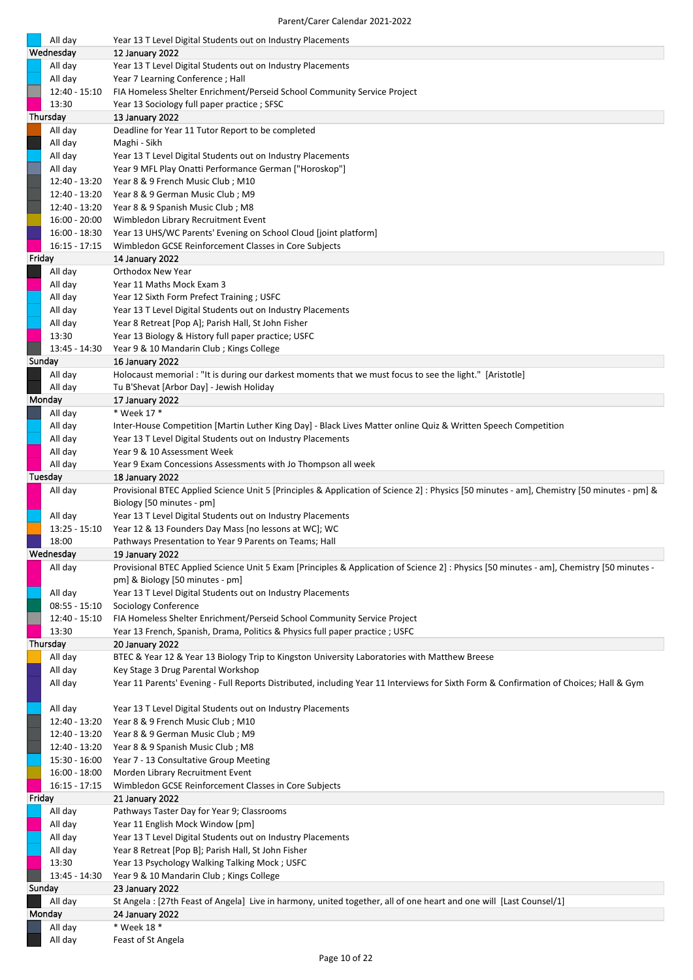|        | All day                 | Year 13 T Level Digital Students out on Industry Placements                                                                                |
|--------|-------------------------|--------------------------------------------------------------------------------------------------------------------------------------------|
|        | Wednesday               | 12 January 2022                                                                                                                            |
|        | All day                 | Year 13 T Level Digital Students out on Industry Placements                                                                                |
|        | All day                 | Year 7 Learning Conference; Hall                                                                                                           |
|        | 12:40 - 15:10           | FIA Homeless Shelter Enrichment/Perseid School Community Service Project                                                                   |
|        | 13:30                   | Year 13 Sociology full paper practice; SFSC                                                                                                |
|        | Thursday                | 13 January 2022                                                                                                                            |
|        | All day<br>All day      | Deadline for Year 11 Tutor Report to be completed<br>Maghi - Sikh                                                                          |
|        | All day                 | Year 13 T Level Digital Students out on Industry Placements                                                                                |
|        | All day                 | Year 9 MFL Play Onatti Performance German ["Horoskop"]                                                                                     |
|        | 12:40 - 13:20           | Year 8 & 9 French Music Club; M10                                                                                                          |
|        | 12:40 - 13:20           | Year 8 & 9 German Music Club; M9                                                                                                           |
|        | 12:40 - 13:20           | Year 8 & 9 Spanish Music Club; M8                                                                                                          |
|        | $16:00 - 20:00$         | Wimbledon Library Recruitment Event                                                                                                        |
|        | 16:00 - 18:30           | Year 13 UHS/WC Parents' Evening on School Cloud [joint platform]                                                                           |
|        | $16:15 - 17:15$         | Wimbledon GCSE Reinforcement Classes in Core Subjects                                                                                      |
| Friday |                         | 14 January 2022                                                                                                                            |
|        | All day                 | <b>Orthodox New Year</b>                                                                                                                   |
|        | All day                 | Year 11 Maths Mock Exam 3                                                                                                                  |
|        | All day                 | Year 12 Sixth Form Prefect Training; USFC                                                                                                  |
|        | All day                 | Year 13 T Level Digital Students out on Industry Placements                                                                                |
|        | All day<br>13:30        | Year 8 Retreat [Pop A]; Parish Hall, St John Fisher<br>Year 13 Biology & History full paper practice; USFC                                 |
|        | 13:45 - 14:30           | Year 9 & 10 Mandarin Club; Kings College                                                                                                   |
|        | Sunday                  | 16 January 2022                                                                                                                            |
|        | All day                 | Holocaust memorial : "It is during our darkest moments that we must focus to see the light." [Aristotle]                                   |
|        | All day                 | Tu B'Shevat [Arbor Day] - Jewish Holiday                                                                                                   |
|        | Monday                  | 17 January 2022                                                                                                                            |
|        | All day                 | * Week 17 *                                                                                                                                |
|        | All day                 | Inter-House Competition [Martin Luther King Day] - Black Lives Matter online Quiz & Written Speech Competition                             |
|        | All day                 | Year 13 T Level Digital Students out on Industry Placements                                                                                |
|        | All day                 | Year 9 & 10 Assessment Week                                                                                                                |
|        | All day                 | Year 9 Exam Concessions Assessments with Jo Thompson all week                                                                              |
|        | Tuesday                 | 18 January 2022                                                                                                                            |
|        | All day                 | Provisional BTEC Applied Science Unit 5 [Principles & Application of Science 2] : Physics [50 minutes - am], Chemistry [50 minutes - pm] & |
|        |                         | Biology [50 minutes - pm]                                                                                                                  |
|        |                         |                                                                                                                                            |
|        | All day                 | Year 13 T Level Digital Students out on Industry Placements                                                                                |
|        | $13:25 - 15:10$         | Year 12 & 13 Founders Day Mass [no lessons at WC]; WC                                                                                      |
|        | 18:00<br>Wednesday      | Pathways Presentation to Year 9 Parents on Teams; Hall<br>19 January 2022                                                                  |
|        | All day                 | Provisional BTEC Applied Science Unit 5 Exam [Principles & Application of Science 2] : Physics [50 minutes - am], Chemistry [50 minutes -  |
|        |                         | pm] & Biology [50 minutes - pm]                                                                                                            |
|        | All day                 | Year 13 T Level Digital Students out on Industry Placements                                                                                |
|        | $08:55 - 15:10$         | Sociology Conference                                                                                                                       |
|        | 12:40 - 15:10           | FIA Homeless Shelter Enrichment/Perseid School Community Service Project                                                                   |
|        | 13:30                   | Year 13 French, Spanish, Drama, Politics & Physics full paper practice; USFC                                                               |
|        | Thursday                | <b>20 January 2022</b>                                                                                                                     |
|        | All day                 | BTEC & Year 12 & Year 13 Biology Trip to Kingston University Laboratories with Matthew Breese                                              |
|        | All day                 | Key Stage 3 Drug Parental Workshop                                                                                                         |
|        | All day                 | Year 11 Parents' Evening - Full Reports Distributed, including Year 11 Interviews for Sixth Form & Confirmation of Choices; Hall & Gym     |
|        | All day                 | Year 13 T Level Digital Students out on Industry Placements                                                                                |
|        | 12:40 - 13:20           | Year 8 & 9 French Music Club; M10                                                                                                          |
|        | 12:40 - 13:20           | Year 8 & 9 German Music Club; M9                                                                                                           |
|        | 12:40 - 13:20           | Year 8 & 9 Spanish Music Club; M8                                                                                                          |
|        | 15:30 - 16:00           | Year 7 - 13 Consultative Group Meeting                                                                                                     |
|        | $16:00 - 18:00$         | Morden Library Recruitment Event                                                                                                           |
|        | 16:15 - 17:15           | Wimbledon GCSE Reinforcement Classes in Core Subjects                                                                                      |
| Friday |                         | 21 January 2022                                                                                                                            |
|        | All day                 | Pathways Taster Day for Year 9; Classrooms                                                                                                 |
|        | All day                 | Year 11 English Mock Window [pm]                                                                                                           |
|        | All day                 | Year 13 T Level Digital Students out on Industry Placements                                                                                |
|        | All day                 | Year 8 Retreat [Pop B]; Parish Hall, St John Fisher                                                                                        |
|        | 13:30                   | Year 13 Psychology Walking Talking Mock; USFC                                                                                              |
|        | 13:45 - 14:30<br>Sunday | Year 9 & 10 Mandarin Club; Kings College<br>23 January 2022                                                                                |
|        | All day                 | St Angela : [27th Feast of Angela] Live in harmony, united together, all of one heart and one will [Last Counsel/1]                        |
|        | Monday                  | 24 January 2022                                                                                                                            |
|        | All day<br>All day      | * Week 18 *<br>Feast of St Angela                                                                                                          |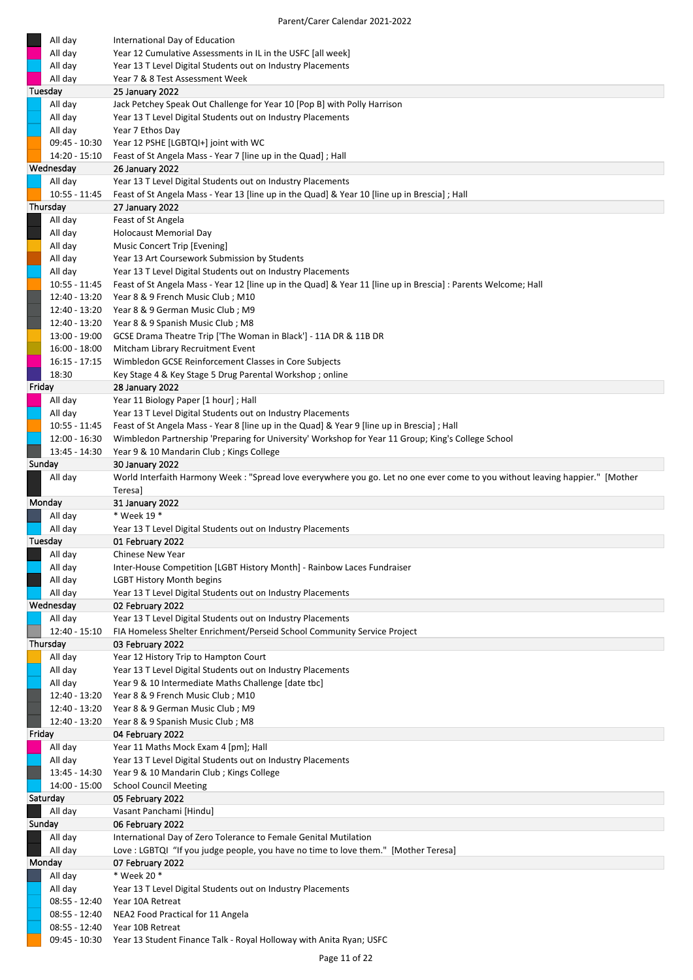| All day         | International Day of Education                                                                                                |
|-----------------|-------------------------------------------------------------------------------------------------------------------------------|
| All day         | Year 12 Cumulative Assessments in IL in the USFC [all week]                                                                   |
| All day         | Year 13 T Level Digital Students out on Industry Placements                                                                   |
| All day         | Year 7 & 8 Test Assessment Week                                                                                               |
| Tuesday         | 25 January 2022                                                                                                               |
| All day         | Jack Petchey Speak Out Challenge for Year 10 [Pop B] with Polly Harrison                                                      |
| All day         | Year 13 T Level Digital Students out on Industry Placements                                                                   |
| All day         | Year 7 Ethos Day                                                                                                              |
|                 |                                                                                                                               |
| 09:45 - 10:30   | Year 12 PSHE [LGBTQI+] joint with WC                                                                                          |
| 14:20 - 15:10   | Feast of St Angela Mass - Year 7 [line up in the Quad]; Hall                                                                  |
| Wednesday       | 26 January 2022                                                                                                               |
| All day         | Year 13 T Level Digital Students out on Industry Placements                                                                   |
| $10:55 - 11:45$ | Feast of St Angela Mass - Year 13 [line up in the Quad] & Year 10 [line up in Brescia] ; Hall                                 |
| Thursday        | 27 January 2022                                                                                                               |
| All day         | Feast of St Angela                                                                                                            |
| All day         | <b>Holocaust Memorial Day</b>                                                                                                 |
| All day         | Music Concert Trip [Evening]                                                                                                  |
| All day         | Year 13 Art Coursework Submission by Students                                                                                 |
| All day         | Year 13 T Level Digital Students out on Industry Placements                                                                   |
| $10:55 - 11:45$ | Feast of St Angela Mass - Year 12 [line up in the Quad] & Year 11 [line up in Brescia] : Parents Welcome; Hall                |
| 12:40 - 13:20   | Year 8 & 9 French Music Club; M10                                                                                             |
|                 |                                                                                                                               |
| 12:40 - 13:20   | Year 8 & 9 German Music Club; M9                                                                                              |
| 12:40 - 13:20   | Year 8 & 9 Spanish Music Club; M8                                                                                             |
| 13:00 - 19:00   | GCSE Drama Theatre Trip ['The Woman in Black'] - 11A DR & 11B DR                                                              |
| $16:00 - 18:00$ | Mitcham Library Recruitment Event                                                                                             |
| $16:15 - 17:15$ | Wimbledon GCSE Reinforcement Classes in Core Subjects                                                                         |
| 18:30           | Key Stage 4 & Key Stage 5 Drug Parental Workshop; online                                                                      |
| Friday          | <b>28 January 2022</b>                                                                                                        |
| All day         | Year 11 Biology Paper [1 hour]; Hall                                                                                          |
| All day         | Year 13 T Level Digital Students out on Industry Placements                                                                   |
| 10:55 - 11:45   | Feast of St Angela Mass - Year 8 [line up in the Quad] & Year 9 [line up in Brescia]; Hall                                    |
| 12:00 - 16:30   | Wimbledon Partnership 'Preparing for University' Workshop for Year 11 Group; King's College School                            |
| 13:45 - 14:30   | Year 9 & 10 Mandarin Club; Kings College                                                                                      |
| Sunday          | 30 January 2022                                                                                                               |
| All day         | World Interfaith Harmony Week : "Spread love everywhere you go. Let no one ever come to you without leaving happier." [Mother |
|                 |                                                                                                                               |
|                 |                                                                                                                               |
|                 | Teresa]                                                                                                                       |
| Monday          | 31 January 2022                                                                                                               |
| All day         | * Week 19 *                                                                                                                   |
| All day         | Year 13 T Level Digital Students out on Industry Placements                                                                   |
| Tuesday         | 01 February 2022                                                                                                              |
| All day         | Chinese New Year                                                                                                              |
| All day         | Inter-House Competition [LGBT History Month] - Rainbow Laces Fundraiser                                                       |
| All day         | <b>LGBT History Month begins</b>                                                                                              |
| All day         | Year 13 T Level Digital Students out on Industry Placements                                                                   |
| Wednesday       | 02 February 2022                                                                                                              |
| All day         | Year 13 T Level Digital Students out on Industry Placements                                                                   |
| 12:40 - 15:10   | FIA Homeless Shelter Enrichment/Perseid School Community Service Project                                                      |
| Thursday        | 03 February 2022                                                                                                              |
| All day         | Year 12 History Trip to Hampton Court                                                                                         |
| All day         | Year 13 T Level Digital Students out on Industry Placements                                                                   |
| All day         | Year 9 & 10 Intermediate Maths Challenge [date tbc]                                                                           |
| 12:40 - 13:20   |                                                                                                                               |
|                 | Year 8 & 9 French Music Club; M10                                                                                             |
| 12:40 - 13:20   | Year 8 & 9 German Music Club; M9                                                                                              |
| 12:40 - 13:20   | Year 8 & 9 Spanish Music Club; M8                                                                                             |
| Friday          | 04 February 2022                                                                                                              |
| All day         | Year 11 Maths Mock Exam 4 [pm]; Hall                                                                                          |
| All day         | Year 13 T Level Digital Students out on Industry Placements                                                                   |
| 13:45 - 14:30   | Year 9 & 10 Mandarin Club; Kings College                                                                                      |
| 14:00 - 15:00   | <b>School Council Meeting</b>                                                                                                 |
| Saturday        | 05 February 2022                                                                                                              |
| All day         | Vasant Panchami [Hindu]                                                                                                       |
| Sunday          | 06 February 2022                                                                                                              |
| All day         | International Day of Zero Tolerance to Female Genital Mutilation                                                              |
| All day         | Love: LGBTQI "If you judge people, you have no time to love them." [Mother Teresa]                                            |
| Monday          | 07 February 2022                                                                                                              |
| All day         | * Week 20 *                                                                                                                   |
| All day         | Year 13 T Level Digital Students out on Industry Placements                                                                   |
| 08:55 - 12:40   | Year 10A Retreat                                                                                                              |
| 08:55 - 12:40   | NEA2 Food Practical for 11 Angela                                                                                             |
| 08:55 - 12:40   | Year 10B Retreat                                                                                                              |
| 09:45 - 10:30   | Year 13 Student Finance Talk - Royal Holloway with Anita Ryan; USFC                                                           |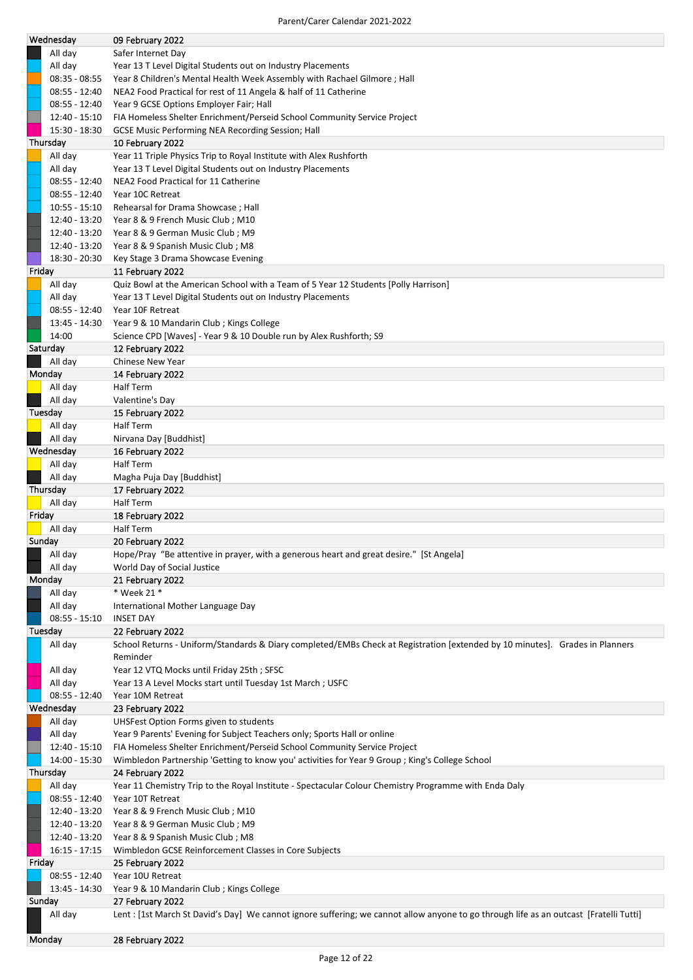|                 | 09 February 2022                                                                                                                       |
|-----------------|----------------------------------------------------------------------------------------------------------------------------------------|
| All day         | Safer Internet Day                                                                                                                     |
| All day         | Year 13 T Level Digital Students out on Industry Placements                                                                            |
| $08:35 - 08:55$ | Year 8 Children's Mental Health Week Assembly with Rachael Gilmore ; Hall                                                              |
| $08:55 - 12:40$ | NEA2 Food Practical for rest of 11 Angela & half of 11 Catherine                                                                       |
|                 |                                                                                                                                        |
| $08:55 - 12:40$ | Year 9 GCSE Options Employer Fair; Hall                                                                                                |
| $12:40 - 15:10$ | FIA Homeless Shelter Enrichment/Perseid School Community Service Project                                                               |
| 15:30 - 18:30   | <b>GCSE Music Performing NEA Recording Session; Hall</b>                                                                               |
| Thursday        | 10 February 2022                                                                                                                       |
| All day         | Year 11 Triple Physics Trip to Royal Institute with Alex Rushforth                                                                     |
| All day         | Year 13 T Level Digital Students out on Industry Placements                                                                            |
| $08:55 - 12:40$ | NEA2 Food Practical for 11 Catherine                                                                                                   |
| $08:55 - 12:40$ | Year 10C Retreat                                                                                                                       |
|                 |                                                                                                                                        |
| $10:55 - 15:10$ | Rehearsal for Drama Showcase; Hall                                                                                                     |
| 12:40 - 13:20   | Year 8 & 9 French Music Club; M10                                                                                                      |
| 12:40 - 13:20   | Year 8 & 9 German Music Club; M9                                                                                                       |
| 12:40 - 13:20   | Year 8 & 9 Spanish Music Club; M8                                                                                                      |
| 18:30 - 20:30   | Key Stage 3 Drama Showcase Evening                                                                                                     |
| Friday          | 11 February 2022                                                                                                                       |
| All day         | Quiz Bowl at the American School with a Team of 5 Year 12 Students [Polly Harrison]                                                    |
| All day         | Year 13 T Level Digital Students out on Industry Placements                                                                            |
| $08:55 - 12:40$ | Year 10F Retreat                                                                                                                       |
| 13:45 - 14:30   | Year 9 & 10 Mandarin Club; Kings College                                                                                               |
|                 |                                                                                                                                        |
| 14:00           | Science CPD [Waves] - Year 9 & 10 Double run by Alex Rushforth; S9                                                                     |
| Saturday        | 12 February 2022                                                                                                                       |
| All day         | Chinese New Year                                                                                                                       |
| Monday          | 14 February 2022                                                                                                                       |
| All day         | <b>Half Term</b>                                                                                                                       |
| All day         | Valentine's Day                                                                                                                        |
| Tuesday         | 15 February 2022                                                                                                                       |
| All day         | <b>Half Term</b>                                                                                                                       |
| All day         | Nirvana Day [Buddhist]                                                                                                                 |
| Wednesday       | 16 February 2022                                                                                                                       |
| All day         | <b>Half Term</b>                                                                                                                       |
| All day         | Magha Puja Day [Buddhist]                                                                                                              |
| Thursday        | 17 February 2022                                                                                                                       |
|                 | Half Term                                                                                                                              |
|                 |                                                                                                                                        |
| All day         |                                                                                                                                        |
| Friday          | 18 February 2022                                                                                                                       |
| All day         | Half Term                                                                                                                              |
| Sunday          | 20 February 2022                                                                                                                       |
| All day         | Hope/Pray "Be attentive in prayer, with a generous heart and great desire." [St Angela]                                                |
| All day         | World Day of Social Justice                                                                                                            |
| Monday          | 21 February 2022                                                                                                                       |
| All day         | * Week 21 *                                                                                                                            |
| All day         | International Mother Language Day                                                                                                      |
| $08:55 - 15:10$ | <b>INSET DAY</b>                                                                                                                       |
| Tuesday         | 22 February 2022                                                                                                                       |
| All day         | School Returns - Uniform/Standards & Diary completed/EMBs Check at Registration [extended by 10 minutes]. Grades in Planners           |
|                 | Reminder                                                                                                                               |
| All day         | Year 12 VTQ Mocks until Friday 25th; SFSC                                                                                              |
| All day         | Year 13 A Level Mocks start until Tuesday 1st March; USFC                                                                              |
| $08:55 - 12:40$ | Year 10M Retreat                                                                                                                       |
| Wednesday       | 23 February 2022                                                                                                                       |
|                 |                                                                                                                                        |
| All day         | UHSFest Option Forms given to students                                                                                                 |
| All day         | Year 9 Parents' Evening for Subject Teachers only; Sports Hall or online                                                               |
| 12:40 - 15:10   | FIA Homeless Shelter Enrichment/Perseid School Community Service Project                                                               |
| 14:00 - 15:30   | Wimbledon Partnership 'Getting to know you' activities for Year 9 Group ; King's College School                                        |
| Thursday        | 24 February 2022                                                                                                                       |
| All day         | Year 11 Chemistry Trip to the Royal Institute - Spectacular Colour Chemistry Programme with Enda Daly                                  |
| $08:55 - 12:40$ | Year 10T Retreat                                                                                                                       |
| 12:40 - 13:20   | Year 8 & 9 French Music Club; M10                                                                                                      |
| 12:40 - 13:20   | Year 8 & 9 German Music Club; M9                                                                                                       |
| 12:40 - 13:20   | Year 8 & 9 Spanish Music Club; M8                                                                                                      |
| $16:15 - 17:15$ | Wimbledon GCSE Reinforcement Classes in Core Subjects                                                                                  |
| Friday          | 25 February 2022                                                                                                                       |
| $08:55 - 12:40$ | Year 10U Retreat                                                                                                                       |
| 13:45 - 14:30   | Year 9 & 10 Mandarin Club; Kings College                                                                                               |
| Sunday          | 27 February 2022                                                                                                                       |
| All day         | Lent : [1st March St David's Day] We cannot ignore suffering; we cannot allow anyone to go through life as an outcast [Fratelli Tutti] |
|                 |                                                                                                                                        |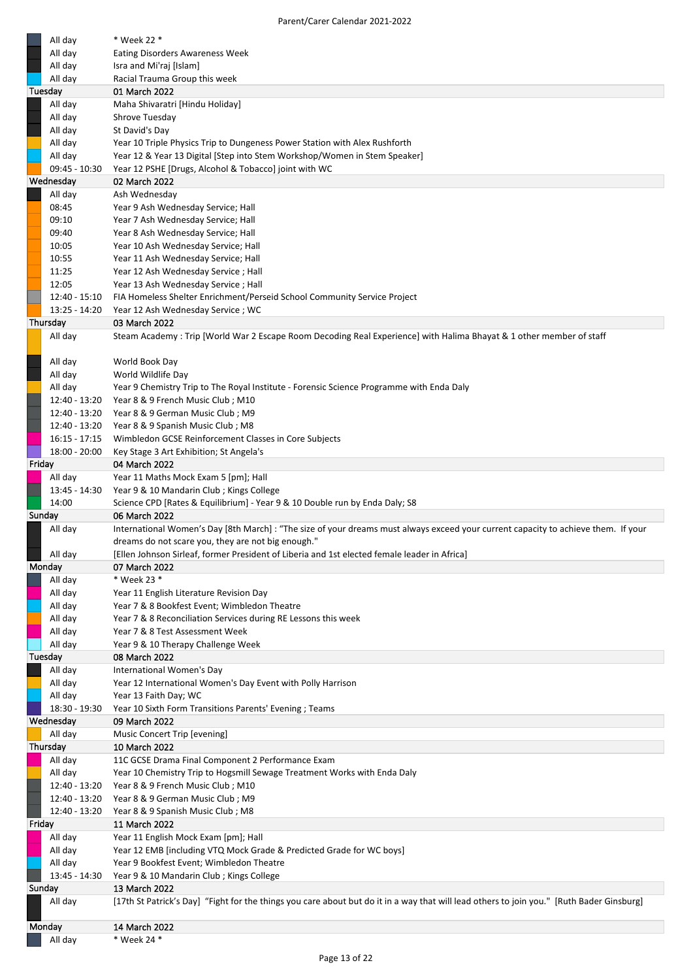| All day            | * Week 22 *                                                                                                                                                |
|--------------------|------------------------------------------------------------------------------------------------------------------------------------------------------------|
| All day            | <b>Eating Disorders Awareness Week</b>                                                                                                                     |
| All day            | Isra and Mi'raj [Islam]                                                                                                                                    |
| All day            | Racial Trauma Group this week                                                                                                                              |
| Tuesday            | 01 March 2022                                                                                                                                              |
| All day            | Maha Shivaratri [Hindu Holiday]                                                                                                                            |
| All day            | Shrove Tuesday                                                                                                                                             |
| All day            | St David's Day                                                                                                                                             |
| All day            | Year 10 Triple Physics Trip to Dungeness Power Station with Alex Rushforth                                                                                 |
| All day            | Year 12 & Year 13 Digital [Step into Stem Workshop/Women in Stem Speaker]                                                                                  |
| 09:45 - 10:30      | Year 12 PSHE [Drugs, Alcohol & Tobacco] joint with WC                                                                                                      |
| Wednesday          | 02 March 2022                                                                                                                                              |
| All day            | Ash Wednesday                                                                                                                                              |
| 08:45              | Year 9 Ash Wednesday Service; Hall                                                                                                                         |
| 09:10              | Year 7 Ash Wednesday Service; Hall                                                                                                                         |
| 09:40              | Year 8 Ash Wednesday Service; Hall                                                                                                                         |
| 10:05              | Year 10 Ash Wednesday Service; Hall                                                                                                                        |
| 10:55              | Year 11 Ash Wednesday Service; Hall                                                                                                                        |
| 11:25              | Year 12 Ash Wednesday Service; Hall                                                                                                                        |
| 12:05              | Year 13 Ash Wednesday Service ; Hall                                                                                                                       |
| 12:40 - 15:10      | FIA Homeless Shelter Enrichment/Perseid School Community Service Project                                                                                   |
| 13:25 - 14:20      | Year 12 Ash Wednesday Service; WC                                                                                                                          |
| Thursday           | 03 March 2022                                                                                                                                              |
| All day            | Steam Academy: Trip [World War 2 Escape Room Decoding Real Experience] with Halima Bhayat & 1 other member of staff                                        |
|                    |                                                                                                                                                            |
| All day<br>All day | World Book Day<br>World Wildlife Day                                                                                                                       |
| All day            | Year 9 Chemistry Trip to The Royal Institute - Forensic Science Programme with Enda Daly                                                                   |
| 12:40 - 13:20      | Year 8 & 9 French Music Club; M10                                                                                                                          |
| 12:40 - 13:20      | Year 8 & 9 German Music Club; M9                                                                                                                           |
| 12:40 - 13:20      | Year 8 & 9 Spanish Music Club; M8                                                                                                                          |
| $16:15 - 17:15$    | Wimbledon GCSE Reinforcement Classes in Core Subjects                                                                                                      |
| 18:00 - 20:00      | Key Stage 3 Art Exhibition; St Angela's                                                                                                                    |
| Friday             | 04 March 2022                                                                                                                                              |
| All day            | Year 11 Maths Mock Exam 5 [pm]; Hall                                                                                                                       |
| 13:45 - 14:30      | Year 9 & 10 Mandarin Club; Kings College                                                                                                                   |
|                    |                                                                                                                                                            |
| 14:00              | Science CPD [Rates & Equilibrium] - Year 9 & 10 Double run by Enda Daly; S8                                                                                |
| Sunday             | 06 March 2022                                                                                                                                              |
| All day            | International Women's Day [8th March]: "The size of your dreams must always exceed your current capacity to achieve them. If your                          |
|                    | dreams do not scare you, they are not big enough."                                                                                                         |
| All day            | [Ellen Johnson Sirleaf, former President of Liberia and 1st elected female leader in Africa]                                                               |
| Monday             | 07 March 2022                                                                                                                                              |
| All day            | * Week 23 *                                                                                                                                                |
| All day            | Year 11 English Literature Revision Day                                                                                                                    |
| All day            | Year 7 & 8 Bookfest Event; Wimbledon Theatre                                                                                                               |
| All day            | Year 7 & 8 Reconciliation Services during RE Lessons this week                                                                                             |
| All day            | Year 7 & 8 Test Assessment Week                                                                                                                            |
| All day            | Year 9 & 10 Therapy Challenge Week                                                                                                                         |
| Tuesday            | 08 March 2022                                                                                                                                              |
| All day            | International Women's Day                                                                                                                                  |
| All day<br>All day | Year 12 International Women's Day Event with Polly Harrison<br>Year 13 Faith Day; WC                                                                       |
| 18:30 - 19:30      | Year 10 Sixth Form Transitions Parents' Evening ; Teams                                                                                                    |
| Wednesday          | 09 March 2022                                                                                                                                              |
| All day            | Music Concert Trip [evening]                                                                                                                               |
| Thursday           | 10 March 2022                                                                                                                                              |
| All day            | 11C GCSE Drama Final Component 2 Performance Exam                                                                                                          |
| All day            | Year 10 Chemistry Trip to Hogsmill Sewage Treatment Works with Enda Daly                                                                                   |
| 12:40 - 13:20      | Year 8 & 9 French Music Club; M10                                                                                                                          |
| 12:40 - 13:20      | Year 8 & 9 German Music Club; M9                                                                                                                           |
| 12:40 - 13:20      | Year 8 & 9 Spanish Music Club; M8                                                                                                                          |
| Friday             | 11 March 2022                                                                                                                                              |
| All day            | Year 11 English Mock Exam [pm]; Hall                                                                                                                       |
| All day            | Year 12 EMB [including VTQ Mock Grade & Predicted Grade for WC boys]                                                                                       |
| All day            | Year 9 Bookfest Event; Wimbledon Theatre                                                                                                                   |
| 13:45 - 14:30      | Year 9 & 10 Mandarin Club; Kings College                                                                                                                   |
| Sunday             | 13 March 2022<br>[17th St Patrick's Day] "Fight for the things you care about but do it in a way that will lead others to join you." [Ruth Bader Ginsburg] |
| All day            |                                                                                                                                                            |
| Monday             | 14 March 2022                                                                                                                                              |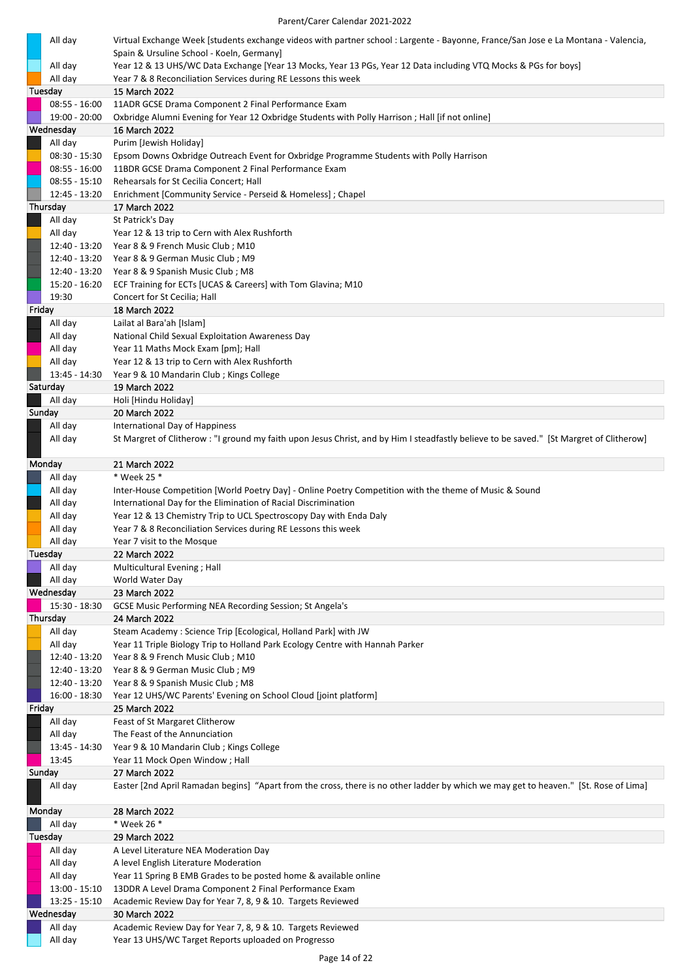| All day                   | Virtual Exchange Week [students exchange videos with partner school : Largente - Bayonne, France/San Jose e La Montana - Valencia,      |
|---------------------------|-----------------------------------------------------------------------------------------------------------------------------------------|
|                           | Spain & Ursuline School - Koeln, Germany]                                                                                               |
| All day                   | Year 12 & 13 UHS/WC Data Exchange [Year 13 Mocks, Year 13 PGs, Year 12 Data including VTQ Mocks & PGs for boys]                         |
| All day<br>Tuesday        | Year 7 & 8 Reconciliation Services during RE Lessons this week<br>15 March 2022                                                         |
| $08:55 - 16:00$           | 11ADR GCSE Drama Component 2 Final Performance Exam                                                                                     |
| 19:00 - 20:00             | Oxbridge Alumni Evening for Year 12 Oxbridge Students with Polly Harrison; Hall [if not online]                                         |
| Wednesday                 | 16 March 2022                                                                                                                           |
| All day                   | Purim [Jewish Holiday]                                                                                                                  |
| $08:30 - 15:30$           | Epsom Downs Oxbridge Outreach Event for Oxbridge Programme Students with Polly Harrison                                                 |
| $08:55 - 16:00$           | 11BDR GCSE Drama Component 2 Final Performance Exam                                                                                     |
| $08:55 - 15:10$           | Rehearsals for St Cecilia Concert; Hall                                                                                                 |
| 12:45 - 13:20             | Enrichment [Community Service - Perseid & Homeless] ; Chapel                                                                            |
| Thursday<br>All day       | 17 March 2022<br>St Patrick's Day                                                                                                       |
| All day                   | Year 12 & 13 trip to Cern with Alex Rushforth                                                                                           |
| 12:40 - 13:20             | Year 8 & 9 French Music Club; M10                                                                                                       |
| 12:40 - 13:20             | Year 8 & 9 German Music Club; M9                                                                                                        |
| 12:40 - 13:20             | Year 8 & 9 Spanish Music Club; M8                                                                                                       |
| 15:20 - 16:20             | ECF Training for ECTs [UCAS & Careers] with Tom Glavina; M10                                                                            |
| 19:30                     | Concert for St Cecilia; Hall                                                                                                            |
| Friday                    | 18 March 2022                                                                                                                           |
| All day                   | Lailat al Bara'ah [Islam]                                                                                                               |
| All day<br>All day        | National Child Sexual Exploitation Awareness Day<br>Year 11 Maths Mock Exam [pm]; Hall                                                  |
| All day                   | Year 12 & 13 trip to Cern with Alex Rushforth                                                                                           |
| 13:45 - 14:30             | Year 9 & 10 Mandarin Club; Kings College                                                                                                |
| Saturday                  | 19 March 2022                                                                                                                           |
| All day                   | Holi [Hindu Holiday]                                                                                                                    |
| Sunday                    | 20 March 2022                                                                                                                           |
| All day                   | International Day of Happiness                                                                                                          |
| All day                   | St Margret of Clitherow: "I ground my faith upon Jesus Christ, and by Him I steadfastly believe to be saved." [St Margret of Clitherow] |
| Monday                    | 21 March 2022                                                                                                                           |
| All day                   | * Week 25 *                                                                                                                             |
|                           |                                                                                                                                         |
| All day                   | Inter-House Competition [World Poetry Day] - Online Poetry Competition with the theme of Music & Sound                                  |
| All day                   | International Day for the Elimination of Racial Discrimination                                                                          |
| All day                   | Year 12 & 13 Chemistry Trip to UCL Spectroscopy Day with Enda Daly                                                                      |
| All day                   | Year 7 & 8 Reconciliation Services during RE Lessons this week                                                                          |
| All day                   | Year 7 visit to the Mosque                                                                                                              |
| Tuesday                   | 22 March 2022                                                                                                                           |
| All day                   | Multicultural Evening; Hall                                                                                                             |
| All day<br>Wednesday      | World Water Day<br>23 March 2022                                                                                                        |
| 15:30 - 18:30             | GCSE Music Performing NEA Recording Session; St Angela's                                                                                |
| Thursday                  | 24 March 2022                                                                                                                           |
| All day                   | Steam Academy: Science Trip [Ecological, Holland Park] with JW                                                                          |
| All day                   | Year 11 Triple Biology Trip to Holland Park Ecology Centre with Hannah Parker                                                           |
| 12:40 - 13:20             | Year 8 & 9 French Music Club; M10                                                                                                       |
| 12:40 - 13:20             | Year 8 & 9 German Music Club; M9                                                                                                        |
| 12:40 - 13:20             | Year 8 & 9 Spanish Music Club; M8                                                                                                       |
| $16:00 - 18:30$<br>Friday | Year 12 UHS/WC Parents' Evening on School Cloud [joint platform]<br>25 March 2022                                                       |
| All day                   | Feast of St Margaret Clitherow                                                                                                          |
| All day                   | The Feast of the Annunciation                                                                                                           |
| 13:45 - 14:30             | Year 9 & 10 Mandarin Club; Kings College                                                                                                |
| 13:45                     | Year 11 Mock Open Window; Hall                                                                                                          |
| Sunday                    | 27 March 2022                                                                                                                           |
| All day                   | Easter [2nd April Ramadan begins] "Apart from the cross, there is no other ladder by which we may get to heaven." [St. Rose of Lima]    |
|                           |                                                                                                                                         |
| Monday<br>All day         | 28 March 2022<br>* Week 26 *                                                                                                            |
| Tuesday                   | 29 March 2022                                                                                                                           |
| All day                   | A Level Literature NEA Moderation Day                                                                                                   |
| All day                   | A level English Literature Moderation                                                                                                   |
| All day                   | Year 11 Spring B EMB Grades to be posted home & available online                                                                        |
| $13:00 - 15:10$           | 13DDR A Level Drama Component 2 Final Performance Exam                                                                                  |
| $13:25 - 15:10$           | Academic Review Day for Year 7, 8, 9 & 10. Targets Reviewed                                                                             |
| Wednesday                 | 30 March 2022                                                                                                                           |
| All day<br>All day        | Academic Review Day for Year 7, 8, 9 & 10. Targets Reviewed<br>Year 13 UHS/WC Target Reports uploaded on Progresso                      |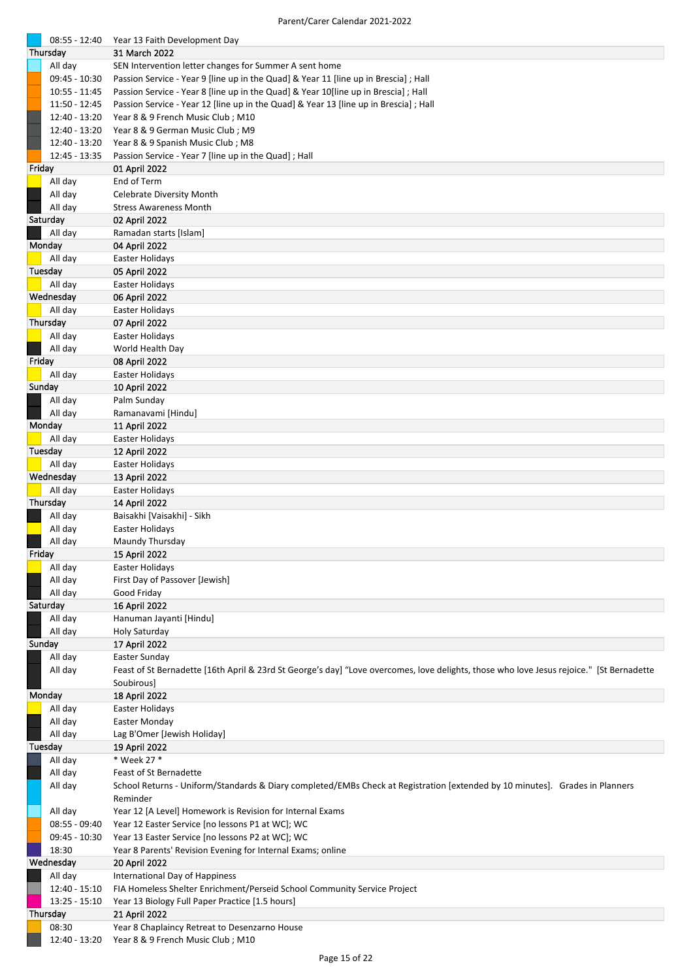|        | 08:55 - 12:40                  | Year 13 Faith Development Day                                                                                                            |
|--------|--------------------------------|------------------------------------------------------------------------------------------------------------------------------------------|
|        | Thursday                       | 31 March 2022                                                                                                                            |
|        | All day                        | SEN Intervention letter changes for Summer A sent home                                                                                   |
|        | 09:45 - 10:30                  | Passion Service - Year 9 [line up in the Quad] & Year 11 [line up in Brescia]; Hall                                                      |
|        | 10:55 - 11:45                  | Passion Service - Year 8 [line up in the Quad] & Year 10 [line up in Brescia]; Hall                                                      |
|        | 11:50 - 12:45                  | Passion Service - Year 12 [line up in the Quad] & Year 13 [line up in Brescia] ; Hall                                                    |
|        | 12:40 - 13:20                  | Year 8 & 9 French Music Club; M10                                                                                                        |
|        | 12:40 - 13:20<br>12:40 - 13:20 | Year 8 & 9 German Music Club; M9<br>Year 8 & 9 Spanish Music Club; M8                                                                    |
|        | 12:45 - 13:35                  | Passion Service - Year 7 [line up in the Quad]; Hall                                                                                     |
| Friday |                                | 01 April 2022                                                                                                                            |
|        | All day                        | End of Term                                                                                                                              |
|        | All day                        | Celebrate Diversity Month                                                                                                                |
|        | All day                        | <b>Stress Awareness Month</b>                                                                                                            |
|        | Saturday                       | 02 April 2022                                                                                                                            |
|        | All day                        | Ramadan starts [Islam]                                                                                                                   |
|        | Monday                         | 04 April 2022                                                                                                                            |
|        | All day                        | Easter Holidays                                                                                                                          |
|        | Tuesday                        | 05 April 2022                                                                                                                            |
|        | All day<br>Wednesday           | Easter Holidays                                                                                                                          |
|        | All day                        | 06 April 2022<br>Easter Holidays                                                                                                         |
|        | Thursday                       | 07 April 2022                                                                                                                            |
|        | All day                        | <b>Easter Holidays</b>                                                                                                                   |
|        | All day                        | World Health Day                                                                                                                         |
| Friday |                                | 08 April 2022                                                                                                                            |
|        | All day                        | Easter Holidays                                                                                                                          |
| Sunday |                                | 10 April 2022                                                                                                                            |
|        | All day                        | Palm Sunday                                                                                                                              |
|        | All day                        | Ramanavami [Hindu]                                                                                                                       |
|        | Monday                         | 11 April 2022                                                                                                                            |
|        | All day<br>Tuesday             | Easter Holidays                                                                                                                          |
|        | All day                        | 12 April 2022<br>Easter Holidays                                                                                                         |
|        | Wednesday                      | 13 April 2022                                                                                                                            |
|        | All day                        | Easter Holidays                                                                                                                          |
|        | Thursday                       | 14 April 2022                                                                                                                            |
|        | All day                        | Baisakhi [Vaisakhi] - Sikh                                                                                                               |
|        | All day                        | Easter Holidays                                                                                                                          |
|        | All day                        | Maundy Thursday                                                                                                                          |
| Friday |                                | 15 April 2022                                                                                                                            |
|        | All day                        | Easter Holidays                                                                                                                          |
|        | All day<br>All day             | First Day of Passover [Jewish]<br>Good Friday                                                                                            |
|        | Saturday                       | 16 April 2022                                                                                                                            |
|        | All day                        | Hanuman Jayanti [Hindu]                                                                                                                  |
|        | All day                        | <b>Holy Saturday</b>                                                                                                                     |
| Sunday |                                | 17 April 2022                                                                                                                            |
|        | All day                        | Easter Sunday                                                                                                                            |
|        | All day                        | Feast of St Bernadette [16th April & 23rd St George's day] "Love overcomes, love delights, those who love Jesus rejoice." [St Bernadette |
|        |                                | Soubirous]                                                                                                                               |
|        | Monday                         | 18 April 2022                                                                                                                            |
|        | All day<br>All day             | Easter Holidays<br>Easter Monday                                                                                                         |
|        | All day                        | Lag B'Omer [Jewish Holiday]                                                                                                              |
|        | Tuesday                        | 19 April 2022                                                                                                                            |
|        | All day                        | * Week 27 *                                                                                                                              |
|        | All day                        | Feast of St Bernadette                                                                                                                   |
|        | All day                        | School Returns - Uniform/Standards & Diary completed/EMBs Check at Registration [extended by 10 minutes]. Grades in Planners             |
|        |                                | Reminder                                                                                                                                 |
|        | All day                        | Year 12 [A Level] Homework is Revision for Internal Exams                                                                                |
|        | 08:55 - 09:40                  | Year 12 Easter Service [no lessons P1 at WC]; WC                                                                                         |
|        | 09:45 - 10:30                  | Year 13 Easter Service [no lessons P2 at WC]; WC                                                                                         |
|        | 18:30<br>Wednesday             | Year 8 Parents' Revision Evening for Internal Exams; online<br>20 April 2022                                                             |
|        | All day                        | International Day of Happiness                                                                                                           |
|        | 12:40 - 15:10                  | FIA Homeless Shelter Enrichment/Perseid School Community Service Project                                                                 |
|        | $13:25 - 15:10$                | Year 13 Biology Full Paper Practice [1.5 hours]                                                                                          |
|        | Thursday                       | 21 April 2022                                                                                                                            |
|        | 08:30                          | Year 8 Chaplaincy Retreat to Desenzarno House                                                                                            |
|        | 12:40 - 13:20                  | Year 8 & 9 French Music Club; M10                                                                                                        |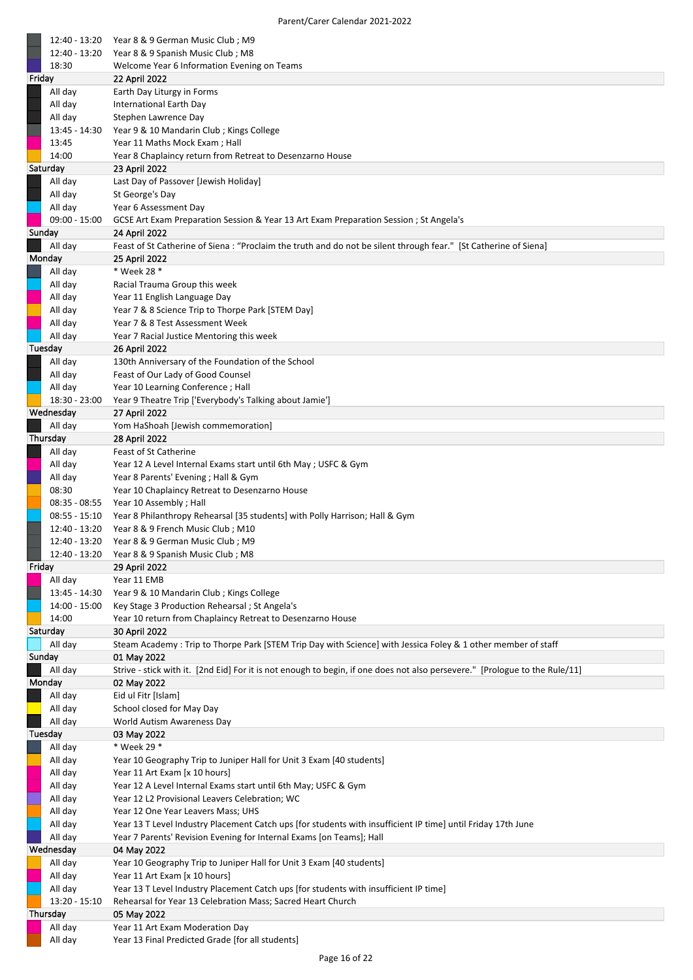|        | 12:40 - 13:20      | Year 8 & 9 German Music Club; M9                                                                                            |
|--------|--------------------|-----------------------------------------------------------------------------------------------------------------------------|
|        | 12:40 - 13:20      | Year 8 & 9 Spanish Music Club; M8                                                                                           |
|        | 18:30              | Welcome Year 6 Information Evening on Teams                                                                                 |
| Friday |                    | 22 April 2022                                                                                                               |
|        | All day            | Earth Day Liturgy in Forms                                                                                                  |
|        | All day            | International Earth Day                                                                                                     |
|        | All day            | Stephen Lawrence Day                                                                                                        |
|        | 13:45 - 14:30      | Year 9 & 10 Mandarin Club; Kings College                                                                                    |
|        | 13:45              | Year 11 Maths Mock Exam; Hall                                                                                               |
|        | 14:00              | Year 8 Chaplaincy return from Retreat to Desenzarno House                                                                   |
|        | Saturday           | 23 April 2022                                                                                                               |
|        | All day            | Last Day of Passover [Jewish Holiday]                                                                                       |
|        | All day            | St George's Day                                                                                                             |
|        | All day            | Year 6 Assessment Day                                                                                                       |
|        | $09:00 - 15:00$    | GCSE Art Exam Preparation Session & Year 13 Art Exam Preparation Session ; St Angela's                                      |
|        | Sunday             | 24 April 2022                                                                                                               |
|        | All day            | Feast of St Catherine of Siena : "Proclaim the truth and do not be silent through fear." [St Catherine of Siena]            |
|        | Monday             | 25 April 2022                                                                                                               |
|        | All day            | * Week 28 *                                                                                                                 |
|        | All day            | Racial Trauma Group this week                                                                                               |
|        | All day<br>All day | Year 11 English Language Day                                                                                                |
|        | All day            | Year 7 & 8 Science Trip to Thorpe Park [STEM Day]<br>Year 7 & 8 Test Assessment Week                                        |
|        | All day            | Year 7 Racial Justice Mentoring this week                                                                                   |
|        | Tuesday            | 26 April 2022                                                                                                               |
|        | All day            | 130th Anniversary of the Foundation of the School                                                                           |
|        | All day            | Feast of Our Lady of Good Counsel                                                                                           |
|        | All day            | Year 10 Learning Conference; Hall                                                                                           |
|        | 18:30 - 23:00      | Year 9 Theatre Trip ['Everybody's Talking about Jamie']                                                                     |
|        | Wednesday          | 27 April 2022                                                                                                               |
|        | All day            | Yom HaShoah [Jewish commemoration]                                                                                          |
|        | Thursday           | 28 April 2022                                                                                                               |
|        | All day            | Feast of St Catherine                                                                                                       |
|        | All day            | Year 12 A Level Internal Exams start until 6th May ; USFC & Gym                                                             |
|        | All day            | Year 8 Parents' Evening ; Hall & Gym                                                                                        |
|        | 08:30              | Year 10 Chaplaincy Retreat to Desenzarno House                                                                              |
|        | 08:35 - 08:55      | Year 10 Assembly; Hall                                                                                                      |
|        | $08:55 - 15:10$    | Year 8 Philanthropy Rehearsal [35 students] with Polly Harrison; Hall & Gym                                                 |
|        | 12:40 - 13:20      | Year 8 & 9 French Music Club; M10                                                                                           |
|        | 12:40 - 13:20      | Year 8 & 9 German Music Club; M9                                                                                            |
|        |                    | 12:40 - 13:20 Year 8 & 9 Spanish Music Club; M8                                                                             |
| Friday |                    | 29 April 2022                                                                                                               |
|        | All day            | Year 11 EMB                                                                                                                 |
|        | 13:45 - 14:30      | Year 9 & 10 Mandarin Club; Kings College                                                                                    |
|        | 14:00 - 15:00      | Key Stage 3 Production Rehearsal; St Angela's                                                                               |
|        | 14:00              | Year 10 return from Chaplaincy Retreat to Desenzarno House                                                                  |
|        | Saturday           | 30 April 2022                                                                                                               |
|        | All day            | Steam Academy : Trip to Thorpe Park [STEM Trip Day with Science] with Jessica Foley & 1 other member of staff               |
|        | Sunday             | 01 May 2022                                                                                                                 |
|        | All day            | Strive - stick with it. [2nd Eid] For it is not enough to begin, if one does not also persevere." [Prologue to the Rule/11] |
|        | Monday             | 02 May 2022                                                                                                                 |
|        | All day            | Eid ul Fitr [Islam]                                                                                                         |
|        | All day            | School closed for May Day                                                                                                   |
|        | All day<br>Tuesday | World Autism Awareness Day<br>03 May 2022                                                                                   |
|        | All day            | * Week 29 *                                                                                                                 |
|        | All day            | Year 10 Geography Trip to Juniper Hall for Unit 3 Exam [40 students]                                                        |
|        | All day            | Year 11 Art Exam [x 10 hours]                                                                                               |
|        | All day            | Year 12 A Level Internal Exams start until 6th May; USFC & Gym                                                              |
|        | All day            | Year 12 L2 Provisional Leavers Celebration; WC                                                                              |
|        | All day            | Year 12 One Year Leavers Mass; UHS                                                                                          |
|        | All day            | Year 13 T Level Industry Placement Catch ups [for students with insufficient IP time] until Friday 17th June                |
|        | All day            | Year 7 Parents' Revision Evening for Internal Exams [on Teams]; Hall                                                        |
|        | Wednesday          | 04 May 2022                                                                                                                 |
|        | All day            | Year 10 Geography Trip to Juniper Hall for Unit 3 Exam [40 students]                                                        |
|        | All day            | Year 11 Art Exam [x 10 hours]                                                                                               |
|        | All day            | Year 13 T Level Industry Placement Catch ups [for students with insufficient IP time]                                       |
|        | 13:20 - 15:10      | Rehearsal for Year 13 Celebration Mass; Sacred Heart Church                                                                 |
|        | Thursday           | 05 May 2022                                                                                                                 |
|        | All day            | Year 11 Art Exam Moderation Day                                                                                             |
|        | All day            | Year 13 Final Predicted Grade [for all students]                                                                            |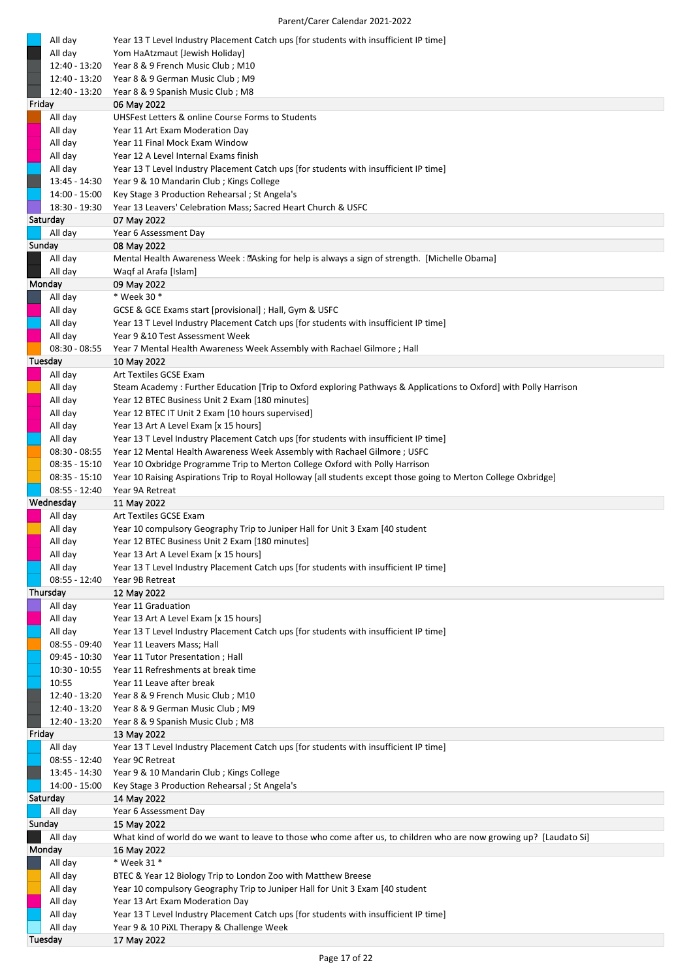|        | All day<br>All day                 | Year 13 T Level Industry Placement Catch ups [for students with insufficient IP time]<br>Yom HaAtzmaut [Jewish Holiday]                                              |
|--------|------------------------------------|----------------------------------------------------------------------------------------------------------------------------------------------------------------------|
|        | 12:40 - 13:20                      | Year 8 & 9 French Music Club; M10                                                                                                                                    |
|        | 12:40 - 13:20                      | Year 8 & 9 German Music Club; M9                                                                                                                                     |
|        | 12:40 - 13:20                      | Year 8 & 9 Spanish Music Club; M8                                                                                                                                    |
| Friday | All day                            | 06 May 2022<br>UHSFest Letters & online Course Forms to Students                                                                                                     |
|        | All day                            | Year 11 Art Exam Moderation Day                                                                                                                                      |
|        | All day                            | Year 11 Final Mock Exam Window                                                                                                                                       |
|        | All day                            | Year 12 A Level Internal Exams finish                                                                                                                                |
|        | All day                            | Year 13 T Level Industry Placement Catch ups [for students with insufficient IP time]                                                                                |
|        | 13:45 - 14:30                      | Year 9 & 10 Mandarin Club; Kings College                                                                                                                             |
|        | 14:00 - 15:00<br>18:30 - 19:30     | Key Stage 3 Production Rehearsal; St Angela's<br>Year 13 Leavers' Celebration Mass; Sacred Heart Church & USFC                                                       |
|        | Saturday                           | 07 May 2022                                                                                                                                                          |
|        | All day                            | Year 6 Assessment Day                                                                                                                                                |
| Sunday |                                    | 08 May 2022                                                                                                                                                          |
|        | All day                            | Mental Health Awareness Week: [2Asking for help is always a sign of strength. [Michelle Obama]                                                                       |
|        | All day                            | Waqf al Arafa [Islam]                                                                                                                                                |
|        | Monday<br>All day                  | 09 May 2022<br>* Week 30 *                                                                                                                                           |
|        | All day                            | GCSE & GCE Exams start [provisional] ; Hall, Gym & USFC                                                                                                              |
|        | All day                            | Year 13 T Level Industry Placement Catch ups [for students with insufficient IP time]                                                                                |
|        | All day                            | Year 9 & 10 Test Assessment Week                                                                                                                                     |
|        | $08:30 - 08:55$                    | Year 7 Mental Health Awareness Week Assembly with Rachael Gilmore; Hall                                                                                              |
|        | Tuesday                            | 10 May 2022                                                                                                                                                          |
|        | All day                            | Art Textiles GCSE Exam                                                                                                                                               |
|        | All day<br>All day                 | Steam Academy: Further Education [Trip to Oxford exploring Pathways & Applications to Oxford] with Polly Harrison<br>Year 12 BTEC Business Unit 2 Exam [180 minutes] |
|        | All day                            | Year 12 BTEC IT Unit 2 Exam [10 hours supervised]                                                                                                                    |
|        | All day                            | Year 13 Art A Level Exam [x 15 hours]                                                                                                                                |
|        | All day                            | Year 13 T Level Industry Placement Catch ups [for students with insufficient IP time]                                                                                |
|        | $08:30 - 08:55$                    | Year 12 Mental Health Awareness Week Assembly with Rachael Gilmore ; USFC                                                                                            |
|        | 08:35 - 15:10                      | Year 10 Oxbridge Programme Trip to Merton College Oxford with Polly Harrison                                                                                         |
|        | $08:35 - 15:10$<br>$08:55 - 12:40$ | Year 10 Raising Aspirations Trip to Royal Holloway [all students except those going to Merton College Oxbridge]<br>Year 9A Retreat                                   |
|        | Wednesday                          | 11 May 2022                                                                                                                                                          |
|        | All day                            | Art Textiles GCSE Exam                                                                                                                                               |
|        | All day                            | Year 10 compulsory Geography Trip to Juniper Hall for Unit 3 Exam [40 student                                                                                        |
|        | All day                            | Year 12 BTEC Business Unit 2 Exam [180 minutes]                                                                                                                      |
|        | All day                            | Year 13 Art A Level Exam [x 15 hours]                                                                                                                                |
|        | All day<br>$08:55 - 12:40$         | Year 13 T Level Industry Placement Catch ups [for students with insufficient IP time]<br>Year 9B Retreat                                                             |
|        | Thursday                           | 12 May 2022                                                                                                                                                          |
|        | All day                            | Year 11 Graduation                                                                                                                                                   |
|        | All day                            | Year 13 Art A Level Exam [x 15 hours]                                                                                                                                |
|        | All day                            | Year 13 T Level Industry Placement Catch ups [for students with insufficient IP time]                                                                                |
|        | 08:55 - 09:40<br>09:45 - 10:30     | Year 11 Leavers Mass; Hall<br>Year 11 Tutor Presentation; Hall                                                                                                       |
|        | 10:30 - 10:55                      | Year 11 Refreshments at break time                                                                                                                                   |
|        | 10:55                              | Year 11 Leave after break                                                                                                                                            |
|        | 12:40 - 13:20                      | Year 8 & 9 French Music Club; M10                                                                                                                                    |
|        | 12:40 - 13:20                      | Year 8 & 9 German Music Club; M9                                                                                                                                     |
|        | 12:40 - 13:20                      | Year 8 & 9 Spanish Music Club; M8                                                                                                                                    |
| Friday | All day                            | 13 May 2022<br>Year 13 T Level Industry Placement Catch ups [for students with insufficient IP time]                                                                 |
|        | $08:55 - 12:40$                    | Year 9C Retreat                                                                                                                                                      |
|        | 13:45 - 14:30                      | Year 9 & 10 Mandarin Club; Kings College                                                                                                                             |
|        | 14:00 - 15:00                      | Key Stage 3 Production Rehearsal; St Angela's                                                                                                                        |
|        | Saturday                           | 14 May 2022                                                                                                                                                          |
|        | All day                            | Year 6 Assessment Day                                                                                                                                                |
| Sunday | All day                            | 15 May 2022<br>What kind of world do we want to leave to those who come after us, to children who are now growing up? [Laudato Si]                                   |
|        | Monday                             | 16 May 2022                                                                                                                                                          |
|        | All day                            | * Week 31 *                                                                                                                                                          |
|        | All day                            | BTEC & Year 12 Biology Trip to London Zoo with Matthew Breese                                                                                                        |
|        | All day                            | Year 10 compulsory Geography Trip to Juniper Hall for Unit 3 Exam [40 student                                                                                        |
|        | All day                            | Year 13 Art Exam Moderation Day                                                                                                                                      |
|        | All day<br>All day                 | Year 13 T Level Industry Placement Catch ups [for students with insufficient IP time]<br>Year 9 & 10 PiXL Therapy & Challenge Week                                   |
|        | Tuesday                            | 17 May 2022                                                                                                                                                          |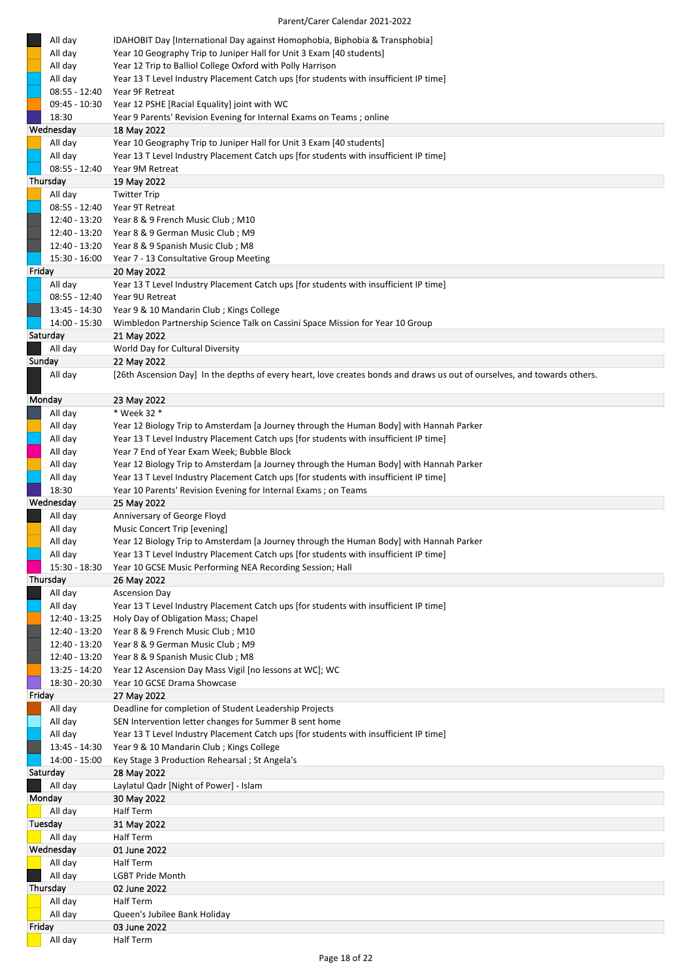| All day                          | IDAHOBIT Day [International Day against Homophobia, Biphobia & Transphobia]                                              |
|----------------------------------|--------------------------------------------------------------------------------------------------------------------------|
| All day                          | Year 10 Geography Trip to Juniper Hall for Unit 3 Exam [40 students]                                                     |
| All day                          | Year 12 Trip to Balliol College Oxford with Polly Harrison                                                               |
| All day                          | Year 13 T Level Industry Placement Catch ups [for students with insufficient IP time]                                    |
| $08:55 - 12:40$                  | Year 9F Retreat                                                                                                          |
| 09:45 - 10:30                    | Year 12 PSHE [Racial Equality] joint with WC                                                                             |
| 18:30                            | Year 9 Parents' Revision Evening for Internal Exams on Teams; online                                                     |
| Wednesday                        | 18 May 2022                                                                                                              |
| All day                          | Year 10 Geography Trip to Juniper Hall for Unit 3 Exam [40 students]                                                     |
| All day                          | Year 13 T Level Industry Placement Catch ups [for students with insufficient IP time]                                    |
| $08:55 - 12:40$                  | Year 9M Retreat                                                                                                          |
| Thursday                         | 19 May 2022                                                                                                              |
| All day                          | <b>Twitter Trip</b>                                                                                                      |
| $08:55 - 12:40$                  | Year 9T Retreat                                                                                                          |
| 12:40 - 13:20                    | Year 8 & 9 French Music Club; M10                                                                                        |
| 12:40 - 13:20                    | Year 8 & 9 German Music Club; M9                                                                                         |
| 12:40 - 13:20                    | Year 8 & 9 Spanish Music Club; M8                                                                                        |
| 15:30 - 16:00                    | Year 7 - 13 Consultative Group Meeting                                                                                   |
| Friday                           | 20 May 2022                                                                                                              |
|                                  | Year 13 T Level Industry Placement Catch ups [for students with insufficient IP time]                                    |
| All day                          |                                                                                                                          |
| $08:55 - 12:40$<br>13:45 - 14:30 | Year 9U Retreat<br>Year 9 & 10 Mandarin Club; Kings College                                                              |
| 14:00 - 15:30                    | Wimbledon Partnership Science Talk on Cassini Space Mission for Year 10 Group                                            |
| Saturday                         |                                                                                                                          |
| All day                          | 21 May 2022<br>World Day for Cultural Diversity                                                                          |
| Sunday                           | 22 May 2022                                                                                                              |
|                                  | [26th Ascension Day] In the depths of every heart, love creates bonds and draws us out of ourselves, and towards others. |
| All day                          |                                                                                                                          |
| Monday                           | 23 May 2022                                                                                                              |
| All day                          | * Week 32 *                                                                                                              |
| All day                          | Year 12 Biology Trip to Amsterdam [a Journey through the Human Body] with Hannah Parker                                  |
| All day                          | Year 13 T Level Industry Placement Catch ups [for students with insufficient IP time]                                    |
| All day                          | Year 7 End of Year Exam Week; Bubble Block                                                                               |
| All day                          | Year 12 Biology Trip to Amsterdam [a Journey through the Human Body] with Hannah Parker                                  |
| All day                          | Year 13 T Level Industry Placement Catch ups [for students with insufficient IP time]                                    |
|                                  |                                                                                                                          |
|                                  |                                                                                                                          |
| 18:30                            | Year 10 Parents' Revision Evening for Internal Exams; on Teams                                                           |
| Wednesday                        | 25 May 2022                                                                                                              |
| All day                          | Anniversary of George Floyd                                                                                              |
| All day                          | Music Concert Trip [evening]                                                                                             |
| All day                          | Year 12 Biology Trip to Amsterdam [a Journey through the Human Body] with Hannah Parker                                  |
| All day                          | Year 13 T Level Industry Placement Catch ups [for students with insufficient IP time]                                    |
| 15:30 - 18:30                    | Year 10 GCSE Music Performing NEA Recording Session; Hall                                                                |
| Thursday                         | 26 May 2022                                                                                                              |
| All day                          | <b>Ascension Day</b>                                                                                                     |
| All day                          | Year 13 T Level Industry Placement Catch ups [for students with insufficient IP time]                                    |
| 12:40 - 13:25                    | Holy Day of Obligation Mass; Chapel                                                                                      |
| 12:40 - 13:20                    | Year 8 & 9 French Music Club; M10                                                                                        |
| 12:40 - 13:20                    | Year 8 & 9 German Music Club; M9                                                                                         |
| 12:40 - 13:20                    | Year 8 & 9 Spanish Music Club; M8                                                                                        |
| $13:25 - 14:20$                  | Year 12 Ascension Day Mass Vigil [no lessons at WC]; WC                                                                  |
| 18:30 - 20:30                    | Year 10 GCSE Drama Showcase                                                                                              |
| Friday                           | 27 May 2022                                                                                                              |
| All day                          | Deadline for completion of Student Leadership Projects                                                                   |
| All day                          | SEN Intervention letter changes for Summer B sent home                                                                   |
| All day                          | Year 13 T Level Industry Placement Catch ups [for students with insufficient IP time]                                    |
| 13:45 - 14:30                    | Year 9 & 10 Mandarin Club; Kings College                                                                                 |
| 14:00 - 15:00                    | Key Stage 3 Production Rehearsal ; St Angela's                                                                           |
| Saturday<br>All day              | 28 May 2022<br>Laylatul Qadr [Night of Power] - Islam                                                                    |
| Monday                           | 30 May 2022                                                                                                              |
| All day                          | Half Term                                                                                                                |
| Tuesday                          | 31 May 2022                                                                                                              |
| All day                          | Half Term                                                                                                                |
| Wednesday                        | 01 June 2022                                                                                                             |
| All day                          | Half Term                                                                                                                |
| All day                          | <b>LGBT Pride Month</b>                                                                                                  |
| Thursday                         | 02 June 2022                                                                                                             |
| All day                          | Half Term                                                                                                                |
| All day                          | Queen's Jubilee Bank Holiday                                                                                             |
| Friday                           | 03 June 2022                                                                                                             |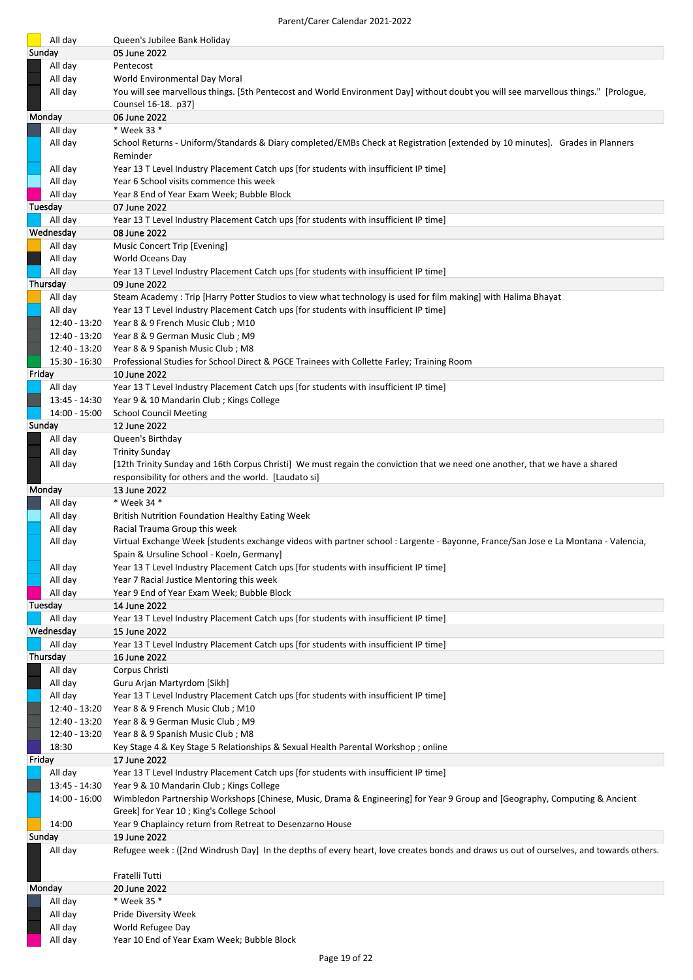| All day                        | Queen's Jubilee Bank Holiday                                                                                                                          |
|--------------------------------|-------------------------------------------------------------------------------------------------------------------------------------------------------|
| Sunday                         | 05 June 2022                                                                                                                                          |
| All day                        | Pentecost                                                                                                                                             |
| All day                        | World Environmental Day Moral                                                                                                                         |
| All day                        | You will see marvellous things. [5th Pentecost and World Environment Day] without doubt you will see marvellous things." [Prologue,                   |
|                                | Counsel 16-18. p37]                                                                                                                                   |
| Monday                         | 06 June 2022                                                                                                                                          |
| All day                        | * Week 33 *                                                                                                                                           |
| All day                        | School Returns - Uniform/Standards & Diary completed/EMBs Check at Registration [extended by 10 minutes]. Grades in Planners                          |
| All day                        | Reminder<br>Year 13 T Level Industry Placement Catch ups [for students with insufficient IP time]                                                     |
| All day                        | Year 6 School visits commence this week                                                                                                               |
| All day                        | Year 8 End of Year Exam Week; Bubble Block                                                                                                            |
| Tuesday                        | 07 June 2022                                                                                                                                          |
| All day                        | Year 13 T Level Industry Placement Catch ups [for students with insufficient IP time]                                                                 |
| Wednesday                      | 08 June 2022                                                                                                                                          |
| All day                        | Music Concert Trip [Evening]                                                                                                                          |
| All day                        | World Oceans Day                                                                                                                                      |
| All day                        | Year 13 T Level Industry Placement Catch ups [for students with insufficient IP time]                                                                 |
| Thursday                       | 09 June 2022                                                                                                                                          |
| All day                        | Steam Academy: Trip [Harry Potter Studios to view what technology is used for film making] with Halima Bhayat                                         |
| All day<br>12:40 - 13:20       | Year 13 T Level Industry Placement Catch ups [for students with insufficient IP time]<br>Year 8 & 9 French Music Club; M10                            |
|                                | 12:40 - 13:20 Year 8 & 9 German Music Club; M9                                                                                                        |
| 12:40 - 13:20                  | Year 8 & 9 Spanish Music Club; M8                                                                                                                     |
| 15:30 - 16:30                  | Professional Studies for School Direct & PGCE Trainees with Collette Farley; Training Room                                                            |
| Friday                         | 10 June 2022                                                                                                                                          |
| All day                        | Year 13 T Level Industry Placement Catch ups [for students with insufficient IP time]                                                                 |
| 13:45 - 14:30                  | Year 9 & 10 Mandarin Club; Kings College                                                                                                              |
| 14:00 - 15:00                  | <b>School Council Meeting</b>                                                                                                                         |
| Sunday                         | 12 June 2022                                                                                                                                          |
| All day<br>All day             | Queen's Birthday<br><b>Trinity Sunday</b>                                                                                                             |
| All day                        | [12th Trinity Sunday and 16th Corpus Christi] We must regain the conviction that we need one another, that we have a shared                           |
|                                | responsibility for others and the world. [Laudato si]                                                                                                 |
| Monday                         | 13 June 2022                                                                                                                                          |
| All day                        | * Week 34 *                                                                                                                                           |
| All day                        | British Nutrition Foundation Healthy Eating Week                                                                                                      |
| All day                        | Racial Trauma Group this week                                                                                                                         |
| All day                        | Virtual Exchange Week [students exchange videos with partner school: Largente - Bayonne, France/San Jose e La Montana - Valencia,                     |
|                                | Spain & Ursuline School - Koeln, Germany]                                                                                                             |
| All day<br>All day             | Year 13 T Level Industry Placement Catch ups [for students with insufficient IP time]<br>Year 7 Racial Justice Mentoring this week                    |
| All day                        | Year 9 End of Year Exam Week; Bubble Block                                                                                                            |
| Tuesday                        | 14 June 2022                                                                                                                                          |
| All day                        | Year 13 T Level Industry Placement Catch ups [for students with insufficient IP time]                                                                 |
| Wednesday                      | 15 June 2022                                                                                                                                          |
| All day                        | Year 13 T Level Industry Placement Catch ups [for students with insufficient IP time]                                                                 |
| Thursday                       | 16 June 2022                                                                                                                                          |
| All day                        | Corpus Christi                                                                                                                                        |
| All day                        | Guru Arjan Martyrdom [Sikh]                                                                                                                           |
| All day                        | Year 13 T Level Industry Placement Catch ups [for students with insufficient IP time]<br>Year 8 & 9 French Music Club; M10                            |
| 12:40 - 13:20<br>12:40 - 13:20 | Year 8 & 9 German Music Club; M9                                                                                                                      |
| 12:40 - 13:20                  | Year 8 & 9 Spanish Music Club; M8                                                                                                                     |
| 18:30                          | Key Stage 4 & Key Stage 5 Relationships & Sexual Health Parental Workshop; online                                                                     |
| Friday                         | 17 June 2022                                                                                                                                          |
| All day                        | Year 13 T Level Industry Placement Catch ups [for students with insufficient IP time]                                                                 |
| 13:45 - 14:30                  | Year 9 & 10 Mandarin Club; Kings College                                                                                                              |
| 14:00 - 16:00                  | Wimbledon Partnership Workshops [Chinese, Music, Drama & Engineering] for Year 9 Group and [Geography, Computing & Ancient                            |
|                                | Greek] for Year 10; King's College School                                                                                                             |
| 14:00                          | Year 9 Chaplaincy return from Retreat to Desenzarno House                                                                                             |
| Sunday<br>All day              | 19 June 2022<br>Refugee week: ([2nd Windrush Day] In the depths of every heart, love creates bonds and draws us out of ourselves, and towards others. |
|                                |                                                                                                                                                       |
|                                | Fratelli Tutti                                                                                                                                        |
| Monday                         | 20 June 2022                                                                                                                                          |
| All day                        | * Week 35 *                                                                                                                                           |
| All day                        | Pride Diversity Week                                                                                                                                  |
| All day                        | World Refugee Day                                                                                                                                     |
| All day                        | Year 10 End of Year Exam Week; Bubble Block                                                                                                           |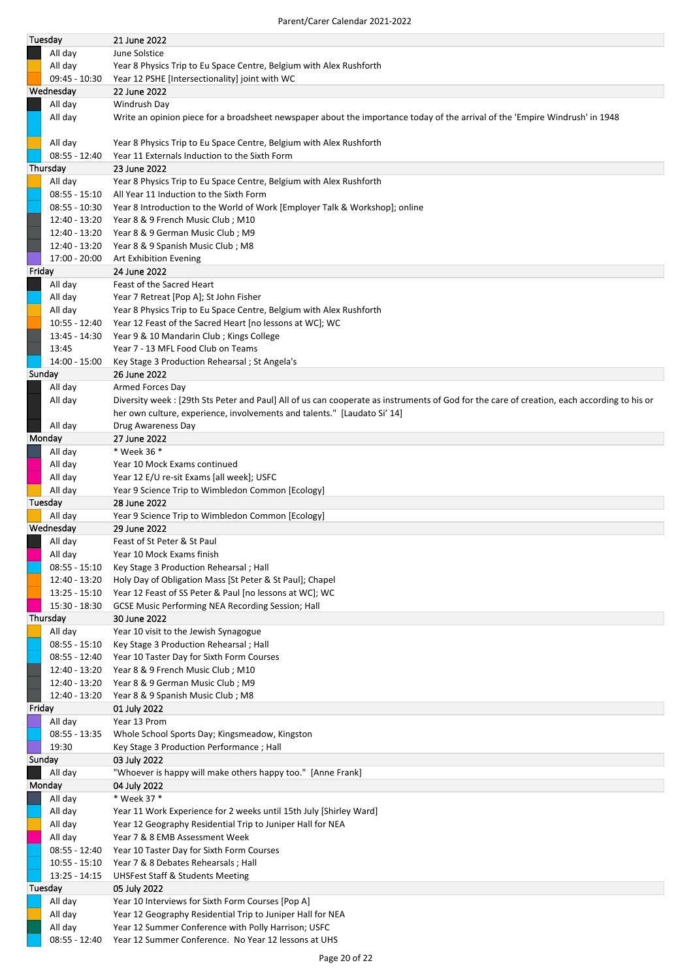| Tuesday |                            | 21 June 2022                                                                                                                               |
|---------|----------------------------|--------------------------------------------------------------------------------------------------------------------------------------------|
|         | All day                    | June Solstice                                                                                                                              |
|         | All day                    | Year 8 Physics Trip to Eu Space Centre, Belgium with Alex Rushforth                                                                        |
|         | $09:45 - 10:30$            | Year 12 PSHE [Intersectionality] joint with WC                                                                                             |
|         | Wednesday                  | 22 June 2022                                                                                                                               |
|         | All day                    | Windrush Day                                                                                                                               |
|         | All day                    | Write an opinion piece for a broadsheet newspaper about the importance today of the arrival of the 'Empire Windrush' in 1948               |
|         | All day                    | Year 8 Physics Trip to Eu Space Centre, Belgium with Alex Rushforth                                                                        |
|         | $08:55 - 12:40$            | Year 11 Externals Induction to the Sixth Form                                                                                              |
|         | Thursday                   | 23 June 2022                                                                                                                               |
|         | All day                    | Year 8 Physics Trip to Eu Space Centre, Belgium with Alex Rushforth                                                                        |
|         | $08:55 - 15:10$            | All Year 11 Induction to the Sixth Form                                                                                                    |
|         | $08:55 - 10:30$            | Year 8 Introduction to the World of Work [Employer Talk & Workshop]; online                                                                |
|         | 12:40 - 13:20              | Year 8 & 9 French Music Club; M10                                                                                                          |
|         | 12:40 - 13:20              | Year 8 & 9 German Music Club; M9                                                                                                           |
|         | 12:40 - 13:20              | Year 8 & 9 Spanish Music Club; M8                                                                                                          |
|         | 17:00 - 20:00              | Art Exhibition Evening                                                                                                                     |
|         | Friday                     | 24 June 2022                                                                                                                               |
|         | All day                    | Feast of the Sacred Heart                                                                                                                  |
|         | All day                    | Year 7 Retreat [Pop A]; St John Fisher                                                                                                     |
|         |                            | Year 8 Physics Trip to Eu Space Centre, Belgium with Alex Rushforth                                                                        |
|         | All day<br>$10:55 - 12:40$ |                                                                                                                                            |
|         |                            | Year 12 Feast of the Sacred Heart [no lessons at WC]; WC                                                                                   |
|         | 13:45 - 14:30              | Year 9 & 10 Mandarin Club; Kings College                                                                                                   |
|         | 13:45                      | Year 7 - 13 MFL Food Club on Teams                                                                                                         |
|         | 14:00 - 15:00              | Key Stage 3 Production Rehearsal; St Angela's                                                                                              |
|         | Sunday                     | 26 June 2022                                                                                                                               |
|         | All day                    | Armed Forces Day                                                                                                                           |
|         | All day                    | Diversity week: [29th Sts Peter and Paul] All of us can cooperate as instruments of God for the care of creation, each according to his or |
|         |                            | her own culture, experience, involvements and talents." [Laudato Si' 14]                                                                   |
|         | All day                    | Drug Awareness Day                                                                                                                         |
|         | Monday                     | 27 June 2022                                                                                                                               |
|         | All day                    | * Week 36 *                                                                                                                                |
|         | All day                    | Year 10 Mock Exams continued                                                                                                               |
|         | All day                    | Year 12 E/U re-sit Exams [all week]; USFC                                                                                                  |
|         | All day                    | Year 9 Science Trip to Wimbledon Common [Ecology]                                                                                          |
|         |                            | 28 June 2022                                                                                                                               |
|         | Tuesday                    |                                                                                                                                            |
|         | All day                    | Year 9 Science Trip to Wimbledon Common [Ecology]                                                                                          |
|         | Wednesday                  | 29 June 2022                                                                                                                               |
|         | All day                    | Feast of St Peter & St Paul                                                                                                                |
|         | All day                    | Year 10 Mock Exams finish                                                                                                                  |
|         | $08:55 - 15:10$            | Key Stage 3 Production Rehearsal; Hall                                                                                                     |
|         | 12:40 - 13:20              | Holy Day of Obligation Mass [St Peter & St Paul]; Chapel                                                                                   |
|         | $13:25 - 15:10$            | Year 12 Feast of SS Peter & Paul [no lessons at WC]; WC                                                                                    |
|         | 15:30 - 18:30              | GCSE Music Performing NEA Recording Session; Hall                                                                                          |
|         | Thursday                   | 30 June 2022                                                                                                                               |
|         | All day                    | Year 10 visit to the Jewish Synagogue                                                                                                      |
|         | $08:55 - 15:10$            | Key Stage 3 Production Rehearsal; Hall                                                                                                     |
|         | 08:55 - 12:40              | Year 10 Taster Day for Sixth Form Courses                                                                                                  |
|         | 12:40 - 13:20              | Year 8 & 9 French Music Club; M10                                                                                                          |
|         | 12:40 - 13:20              | Year 8 & 9 German Music Club; M9                                                                                                           |
|         | 12:40 - 13:20              | Year 8 & 9 Spanish Music Club; M8                                                                                                          |
|         | Friday                     | 01 July 2022                                                                                                                               |
|         | All day                    | Year 13 Prom                                                                                                                               |
|         |                            |                                                                                                                                            |
|         | 08:55 - 13:35              | Whole School Sports Day; Kingsmeadow, Kingston                                                                                             |
|         | 19:30                      | Key Stage 3 Production Performance; Hall                                                                                                   |
|         | Sunday                     | 03 July 2022                                                                                                                               |
|         | All day                    | "Whoever is happy will make others happy too." [Anne Frank]                                                                                |
|         | Monday                     | 04 July 2022                                                                                                                               |
|         | All day                    | * Week 37 *                                                                                                                                |
|         | All day                    | Year 11 Work Experience for 2 weeks until 15th July [Shirley Ward]                                                                         |
|         | All day                    | Year 12 Geography Residential Trip to Juniper Hall for NEA                                                                                 |
|         | All day                    | Year 7 & 8 EMB Assessment Week                                                                                                             |
|         | $08:55 - 12:40$            | Year 10 Taster Day for Sixth Form Courses                                                                                                  |
|         | $10:55 - 15:10$            | Year 7 & 8 Debates Rehearsals; Hall                                                                                                        |
|         | $13:25 - 14:15$            | <b>UHSFest Staff &amp; Students Meeting</b>                                                                                                |
|         | Tuesday                    | 05 July 2022                                                                                                                               |
|         | All day                    | Year 10 Interviews for Sixth Form Courses [Pop A]                                                                                          |
|         |                            |                                                                                                                                            |
|         |                            |                                                                                                                                            |
|         | All day<br>All day         | Year 12 Geography Residential Trip to Juniper Hall for NEA<br>Year 12 Summer Conference with Polly Harrison; USFC                          |

08:55 - 12:40 Year 12 Summer Conference. No Year 12 lessons at UHS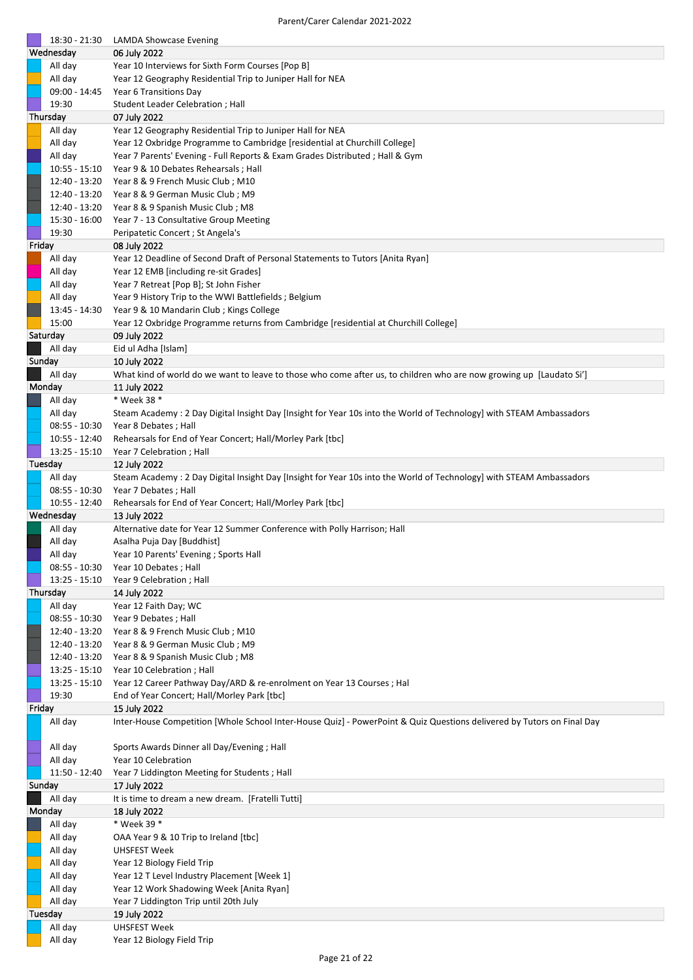|          | 18:30 - 21:30   | <b>LAMDA Showcase Evening</b>                                                                                          |
|----------|-----------------|------------------------------------------------------------------------------------------------------------------------|
|          | Wednesday       | 06 July 2022                                                                                                           |
|          | All day         | Year 10 Interviews for Sixth Form Courses [Pop B]                                                                      |
|          | All day         | Year 12 Geography Residential Trip to Juniper Hall for NEA                                                             |
|          | 09:00 - 14:45   | Year 6 Transitions Day                                                                                                 |
|          | 19:30           | Student Leader Celebration; Hall                                                                                       |
| Thursday |                 | 07 July 2022                                                                                                           |
|          | All day         | Year 12 Geography Residential Trip to Juniper Hall for NEA                                                             |
|          | All day         | Year 12 Oxbridge Programme to Cambridge [residential at Churchill College]                                             |
|          | All day         | Year 7 Parents' Evening - Full Reports & Exam Grades Distributed; Hall & Gym                                           |
|          | $10:55 - 15:10$ | Year 9 & 10 Debates Rehearsals; Hall                                                                                   |
|          | 12:40 - 13:20   | Year 8 & 9 French Music Club; M10                                                                                      |
|          | 12:40 - 13:20   | Year 8 & 9 German Music Club; M9                                                                                       |
|          | 12:40 - 13:20   | Year 8 & 9 Spanish Music Club; M8                                                                                      |
|          | 15:30 - 16:00   | Year 7 - 13 Consultative Group Meeting                                                                                 |
|          | 19:30           | Peripatetic Concert ; St Angela's                                                                                      |
| Friday   |                 | 08 July 2022                                                                                                           |
|          | All day         | Year 12 Deadline of Second Draft of Personal Statements to Tutors [Anita Ryan]                                         |
|          | All day         | Year 12 EMB [including re-sit Grades]                                                                                  |
|          | All day         | Year 7 Retreat [Pop B]; St John Fisher                                                                                 |
|          | All day         | Year 9 History Trip to the WWI Battlefields; Belgium                                                                   |
|          | 13:45 - 14:30   | Year 9 & 10 Mandarin Club; Kings College                                                                               |
|          | 15:00           | Year 12 Oxbridge Programme returns from Cambridge [residential at Churchill College]                                   |
|          | Saturday        | 09 July 2022                                                                                                           |
|          | All day         | Eid ul Adha [Islam]                                                                                                    |
|          | Sunday          | 10 July 2022                                                                                                           |
|          | All day         | What kind of world do we want to leave to those who come after us, to children who are now growing up [Laudato Si']    |
|          | Monday          | 11 July 2022                                                                                                           |
|          | All day         | * Week 38 *                                                                                                            |
|          | All day         | Steam Academy: 2 Day Digital Insight Day [Insight for Year 10s into the World of Technology] with STEAM Ambassadors    |
|          | $08:55 - 10:30$ | Year 8 Debates ; Hall                                                                                                  |
|          | 10:55 - 12:40   | Rehearsals for End of Year Concert; Hall/Morley Park [tbc]                                                             |
|          | $13:25 - 15:10$ | Year 7 Celebration; Hall                                                                                               |
|          | Tuesday         | 12 July 2022                                                                                                           |
|          | All day         | Steam Academy: 2 Day Digital Insight Day [Insight for Year 10s into the World of Technology] with STEAM Ambassadors    |
|          | $08:55 - 10:30$ | Year 7 Debates; Hall                                                                                                   |
|          | 10:55 - 12:40   | Rehearsals for End of Year Concert; Hall/Morley Park [tbc]                                                             |
|          | Wednesday       | 13 July 2022                                                                                                           |
|          | All day         | Alternative date for Year 12 Summer Conference with Polly Harrison; Hall                                               |
|          | All day         | Asalha Puja Day [Buddhist]                                                                                             |
|          | All day         | Year 10 Parents' Evening ; Sports Hall                                                                                 |
|          | $08:55 - 10:30$ | Year 10 Debates ; Hall                                                                                                 |
|          | $13:25 - 15:10$ | Year 9 Celebration; Hall                                                                                               |
|          | Thursday        | 14 July 2022                                                                                                           |
|          | All day         |                                                                                                                        |
|          |                 | Year 12 Faith Day; WC                                                                                                  |
|          | $08:55 - 10:30$ | Year 9 Debates ; Hall                                                                                                  |
|          | 12:40 - 13:20   | Year 8 & 9 French Music Club; M10                                                                                      |
|          | 12:40 - 13:20   | Year 8 & 9 German Music Club; M9                                                                                       |
|          | 12:40 - 13:20   | Year 8 & 9 Spanish Music Club; M8                                                                                      |
|          | $13:25 - 15:10$ | Year 10 Celebration; Hall                                                                                              |
|          | $13:25 - 15:10$ |                                                                                                                        |
|          | 19:30           | Year 12 Career Pathway Day/ARD & re-enrolment on Year 13 Courses ; Hal                                                 |
| Friday   |                 | End of Year Concert; Hall/Morley Park [tbc]<br>15 July 2022                                                            |
|          | All day         | Inter-House Competition [Whole School Inter-House Quiz] - PowerPoint & Quiz Questions delivered by Tutors on Final Day |
|          |                 |                                                                                                                        |
|          | All day         | Sports Awards Dinner all Day/Evening; Hall                                                                             |
|          | All day         | Year 10 Celebration                                                                                                    |
|          | 11:50 - 12:40   | Year 7 Liddington Meeting for Students; Hall                                                                           |
|          | Sunday          | 17 July 2022                                                                                                           |
|          | All day         | It is time to dream a new dream. [Fratelli Tutti]                                                                      |
|          | Monday          | 18 July 2022                                                                                                           |
|          | All day         | * Week 39 *                                                                                                            |
|          | All day         | OAA Year 9 & 10 Trip to Ireland [tbc]                                                                                  |
|          | All day         | <b>UHSFEST Week</b>                                                                                                    |
|          | All day         | Year 12 Biology Field Trip                                                                                             |
|          | All day         | Year 12 T Level Industry Placement [Week 1]                                                                            |
|          | All day         | Year 12 Work Shadowing Week [Anita Ryan]                                                                               |
|          | All day         | Year 7 Liddington Trip until 20th July                                                                                 |
|          | Tuesday         | 19 July 2022                                                                                                           |
|          | All day         | <b>UHSFEST Week</b>                                                                                                    |